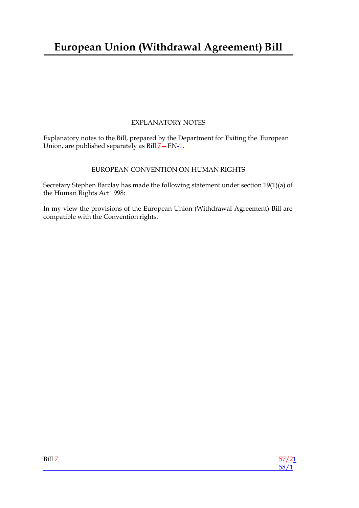# **European Union (Withdrawal Agreement) Bill**

# EXPLANATORY NOTES

Explanatory notes to the Bill, prepared by the Department for Exiting the European Union, are published separately as Bill  $Z$ -EN-1.

# EUROPEAN CONVENTION ON HUMAN RIGHTS

Secretary Stephen Barclay has made the following statement under section 19(1)(a) of the Human Rights Act 1998:

In my view the provisions of the European Union (Withdrawal Agreement) Bill are compatible with the Convention rights.

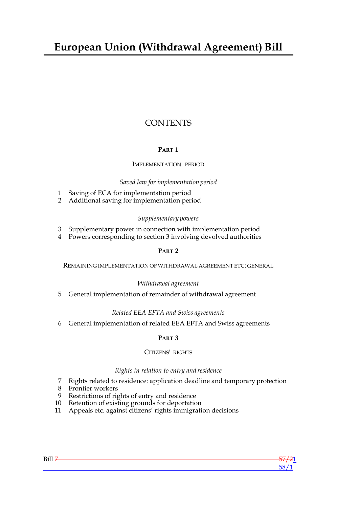# **European Union (Withdrawal Agreement) Bill**

# **CONTENTS**

# **PART 1**

# IMPLEMENTATION PERIOD

# *Saved law for implementation period*

- 1 Saving of ECA for implementation period
- 2 Additional saving for implementation period

# *Supplementary powers*

- 3 Supplementary power in connection with implementation period
- 4 Powers corresponding to section 3 involving devolved authorities

#### **PART 2**

REMAINING IMPLEMENTATION OF WITHDRAWAL AGREEMENT ETC: GENERAL

#### *Withdrawal agreement*

5 General implementation of remainder of withdrawal agreement

#### *Related EEA EFTA and Swiss agreements*

6 General implementation of related EEA EFTA and Swiss agreements

#### **PART 3**

#### CITIZENS' RIGHTS

#### *Rights in relation to entry and residence*

7 Rights related to residence: application deadline and temporary protection

58/1

- 8 Frontier workers<br>9 Restrictions of rig
- Restrictions of rights of entry and residence
- 10 Retention of existing grounds for deportation
- 11 Appeals etc. against citizens' rights immigration decisions

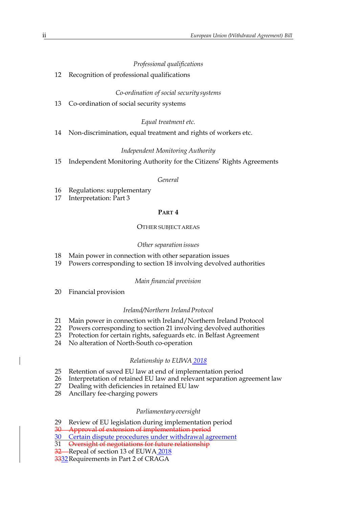#### *Professional qualifications*

12 Recognition of professional qualifications

#### *Co-ordination of social securitysystems*

13 Co-ordination of social security systems

#### *Equal treatment etc.*

14 Non-discrimination, equal treatment and rights of workers etc.

#### *Independent Monitoring Authority*

15 Independent Monitoring Authority for the Citizens' Rights Agreements

#### *General*

- 16 Regulations: supplementary
- 17 Interpretation: Part 3

#### **PART 4**

#### OTHER SUBJECTAREAS

#### *Other separation issues*

- 18 Main power in connection with other separation issues
- 19 Powers corresponding to section 18 involving devolved authorities

#### *Main financial provision*

20 Financial provision

#### *Ireland/Northern IrelandProtocol*

- 21 Main power in connection with Ireland/Northern Ireland Protocol<br>22 Powers corresponding to section 21 involving devolved authorities<br>23 Protection for certain rights, safeguards etc. in Belfast Agreement
- Powers corresponding to section 21 involving devolved authorities
- Protection for certain rights, safeguards etc. in Belfast Agreement
- 24 No alteration of North-South co-operation

#### *Relationship to EUWA 2018*

- 25 Retention of saved EU law at end of implementation period
- 26 Interpretation of retained EU law and relevant separation agreement law<br>27 Dealing with deficiencies in retained EU law
- Dealing with deficiencies in retained EU law
- 28 Ancillary fee-charging powers

#### *Parliamentary oversight*

- 29 Review of EU legislation during implementation period
- 30 Approval of extension of implementation period
- 30 Certain dispute procedures under withdrawal agreement<br>31 <del>Oversight of negotiations for future relationship</del>
- Oversight of negotiations for future relationship
- 32 Repeal of section 13 of EUWA 2018
- 3332Requirements in Part 2 of CRAGA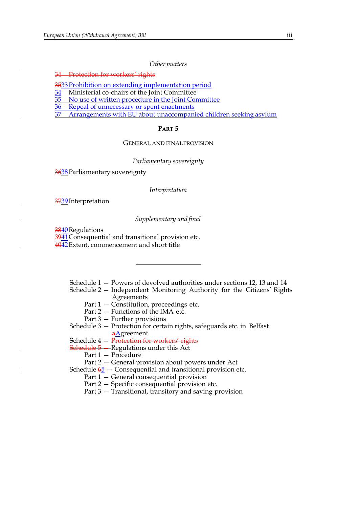*Other matters*

#### 34 Protection for workers' rights

3533Prohibition on extending implementation period

34 Ministerial co-chairs of the Joint Committee

35 No use of written procedure in the Joint Committee

36 Repeal of unnecessary or spent enactments

37 Arrangements with EU about unaccompanied children seeking asylum

#### **PART 5**

# GENERAL AND FINALPROVISION

#### *Parliamentary sovereignty*

3638 Parliamentary sovereignty

#### *Interpretation*

3739 Interpretation

#### *Supplementary and final*

3840Regulations

3941 Consequential and transitional provision etc. 4042Extent, commencement and short title

- Schedule 1 Powers of devolved authorities under sections 12, 13 and 14
- Schedule 2 Independent Monitoring Authority for the Citizens' Rights Agreements
	- Part 1 Constitution, proceedings etc.
	- Part 2 Functions of the IMA etc.
	- Part 3 Further provisions
- Schedule 3 Protection for certain rights, safeguards etc. in Belfast a**A**greement

# Schedule 4 - Protection for workers' rights

- Schedule 5 Regulations under this Act
	- Part 1 Procedure
	- Part 2 General provision about powers under Act

Schedule  $65$  – Consequential and transitional provision etc.

- Part 1 General consequential provision
- Part 2 Specific consequential provision etc.
- Part 3 Transitional, transitory and saving provision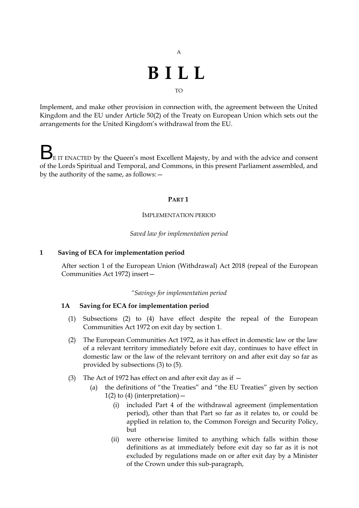# **B I L L**

TO

Implement, and make other provision in connection with, the agreement between the United Kingdom and the EU under Article 50(2) of the Treaty on European Union which sets out the arrangements for the United Kingdom's withdrawal from the EU.

 $\blacktriangleright_{\text{E IT ENACTED}}$  by the Queen's most Excellent Majesty, by and with the advice and consent of the Lords Spiritual and Temporal, and Commons, in this present Parliament assembled, and by the authority of the same, as follows:— **EXAMPE TO THE SUPER CONDUCE SUPPER CONDUCE AND SPECIES AND ANOTED BY A REFORMATION PERIOD Saving of ECA for implementation period After section 1 of the European Union (With<br>drawing and Communities Act 1972) insert The C** 

#### **PART 1**

#### IMPLEMENTATION PERIOD

#### *Saved law for implementation period*

#### **1 Saving of ECA for implementation period**

After section 1 of the European Union (Withdrawal) Act 2018 (repeal of the European Communities Act 1972) insert—

#### *"Savings for implementation period*

#### **1A Saving for ECA for implementation period**

- (1) Subsections (2) to (4) have effect despite the repeal of the European Communities Act 1972 on exit day by section 1.
- (2) The European Communities Act 1972, as it has effect in domestic law or the law of a relevant territory immediately before exit day, continues to have effect in domestic law or the law of the relevant territory on and after exit day so far as provided by subsections (3) to (5).
- (3) The Act of 1972 has effect on and after exit day as if
	- (a) the definitions of "the Treaties" and "the EU Treaties" given by section  $1(2)$  to  $(4)$  (interpretation) –
		- (i) included Part 4 of the withdrawal agreement (implementation period), other than that Part so far as it relates to, or could be applied in relation to, the Common Foreign and Security Policy, but
		- (ii) were otherwise limited to anything which falls within those definitions as at immediately before exit day so far as it is not excluded by regulations made on or after exit day by a Minister

# A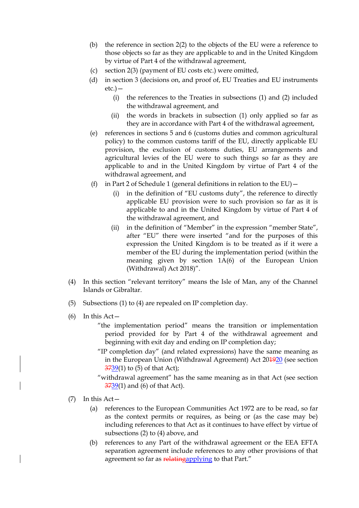- (b) the reference in section 2(2) to the objects of the EU were a reference to those objects so far as they are applicable to and in the United Kingdom by virtue of Part 4 of the withdrawal agreement,
- (c) section 2(3) (payment of EU costs etc.) were omitted,
- (d) in section 3 (decisions on, and proof of, EU Treaties and EU instruments  $etc.$ ) —
	- (i) the references to the Treaties in subsections (1) and (2) included the withdrawal agreement, and
	- (ii) the words in brackets in subsection (1) only applied so far as they are in accordance with Part 4 of the withdrawal agreement,
- (e) references in sections 5 and 6 (customs duties and common agricultural policy) to the common customs tariff of the EU, directly applicable EU provision, the exclusion of customs duties, EU arrangements and agricultural levies of the EU were to such things so far as they are applicable to and in the United Kingdom by virtue of Part 4 of the withdrawal agreement, and
- (f) in Part 2 of Schedule 1 (general definitions in relation to the EU)  $-$ 
	- (i) in the definition of "EU customs duty", the reference to directly applicable EU provision were to such provision so far as it is applicable to and in the United Kingdom by virtue of Part 4 of the withdrawal agreement, and
	- (ii) in the definition of "Member" in the expression "member State", after "EU" there were inserted "and for the purposes of this expression the United Kingdom is to be treated as if it were a member of the EU during the implementation period (within the meaning given by section 1A(6) of the European Union (Withdrawal) Act 2018)".
- (4) In this section "relevant territory" means the Isle of Man, any of the Channel Islands or Gibraltar.
- (5) Subsections (1) to (4) are repealed on IP completion day.
- $(6)$  In this Act
	- "the implementation period" means the transition or implementation period provided for by Part 4 of the withdrawal agreement and beginning with exit day and ending on IP completion day;
	- "IP completion day" (and related expressions) have the same meaning as in the European Union (Withdrawal Agreement) Act 201920 (see section 3739(1) to (5) of that Act);
	- "withdrawal agreement" has the same meaning as in that Act (see section 3739(1) and (6) of that Act).
- (7) In this Act—
	- (a) references to the European Communities Act 1972 are to be read, so far as the context permits or requires, as being or (as the case may be) including references to that Act as it continues to have effect by virtue of subsections (2) to (4) above, and
	- (b) references to any Part of the withdrawal agreement or the EEA EFTA separation agreement include references to any other provisions of that agreement so far as relatingapplying to that Part."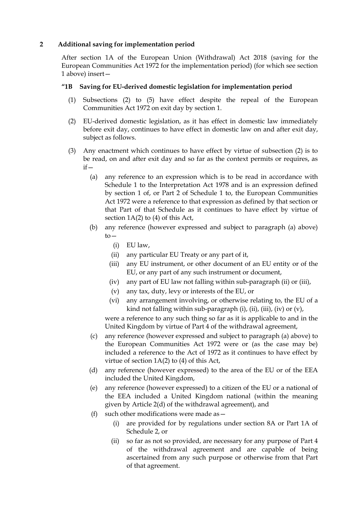# **2 Additional saving for implementation period**

After section 1A of the European Union (Withdrawal) Act 2018 (saving for the European Communities Act 1972 for the implementation period) (for which see section 1 above) insert—

# **"1B Saving for EU-derived domestic legislation for implementation period**

- (1) Subsections (2) to (5) have effect despite the repeal of the European Communities Act 1972 on exit day by section 1.
- (2) EU-derived domestic legislation, as it has effect in domestic law immediately before exit day, continues to have effect in domestic law on and after exit day, subject as follows.
- (3) Any enactment which continues to have effect by virtue of subsection (2) is to be read, on and after exit day and so far as the context permits or requires, as  $if -$ 
	- (a) any reference to an expression which is to be read in accordance with Schedule 1 to the Interpretation Act 1978 and is an expression defined by section 1 of, or Part 2 of Schedule 1 to, the European Communities Act 1972 were a reference to that expression as defined by that section or that Part of that Schedule as it continues to have effect by virtue of section 1A(2) to (4) of this Act,
	- (b) any reference (however expressed and subject to paragraph (a) above)  $to-$ 
		- (i) EU law,
		- (ii) any particular EU Treaty or any part of it,
		- (iii) any EU instrument, or other document of an EU entity or of the EU, or any part of any such instrument or document,
		- (iv) any part of EU law not falling within sub-paragraph (ii) or (iii),
		- (v) any tax, duty, levy or interests of the EU, or
		- (vi) any arrangement involving, or otherwise relating to, the EU of a kind not falling within sub-paragraph  $(i)$ ,  $(ii)$ ,  $(iii)$ ,  $(iv)$  or  $(v)$ ,

were a reference to any such thing so far as it is applicable to and in the United Kingdom by virtue of Part 4 of the withdrawal agreement,

- (c) any reference (however expressed and subject to paragraph (a) above) to the European Communities Act 1972 were or (as the case may be) included a reference to the Act of 1972 as it continues to have effect by virtue of section 1A(2) to (4) of this Act,
- (d) any reference (however expressed) to the area of the EU or of the EEA included the United Kingdom,
- (e) any reference (however expressed) to a citizen of the EU or a national of the EEA included a United Kingdom national (within the meaning given by Article 2(d) of the withdrawal agreement), and
- (f) such other modifications were made as  $-$ 
	- (i) are provided for by regulations under section 8A or Part 1A of Schedule 2, or
	- (ii) so far as not so provided, are necessary for any purpose of Part 4 of the withdrawal agreement and are capable of being ascertained from any such purpose or otherwise from that Part of that agreement.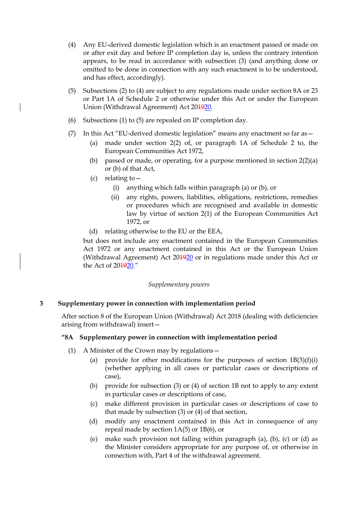- (4) Any EU-derived domestic legislation which is an enactment passed or made on or after exit day and before IP completion day is, unless the contrary intention appears, to be read in accordance with subsection (3) (and anything done or omitted to be done in connection with any such enactment is to be understood, and has effect, accordingly).
- (5) Subsections (2) to (4) are subject to any regulations made under section 8A or 23 or Part 1A of Schedule 2 or otherwise under this Act or under the European Union (Withdrawal Agreement) Act 201920.
- (6) Subsections (1) to (5) are repealed on IP completion day.
- (7) In this Act "EU-derived domestic legislation" means any enactment so far as—
	- (a) made under section 2(2) of, or paragraph 1A of Schedule 2 to, the European Communities Act 1972,
	- (b) passed or made, or operating, for a purpose mentioned in section 2(2)(a) or (b) of that Act,
	- (c) relating to—
		- (i) anything which falls within paragraph (a) or (b), or
		- (ii) any rights, powers, liabilities, obligations, restrictions, remedies or procedures which are recognised and available in domestic law by virtue of section 2(1) of the European Communities Act 1972, or
	- (d) relating otherwise to the EU or the EEA,

but does not include any enactment contained in the European Communities Act 1972 or any enactment contained in this Act or the European Union (Withdrawal Agreement) Act  $201920$  or in regulations made under this Act or the Act of 201920."

# *Supplementary powers*

# **3 Supplementary power in connection with implementation period**

After section 8 of the European Union (Withdrawal) Act 2018 (dealing with deficiencies arising from withdrawal) insert—

# **"8A Supplementary power in connection with implementation period**

- (1) A Minister of the Crown may by regulations—
	- (a) provide for other modifications for the purposes of section  $1B(3)(f)(i)$ (whether applying in all cases or particular cases or descriptions of case),
	- (b) provide for subsection (3) or (4) of section 1B not to apply to any extent in particular cases or descriptions of case,
	- (c) make different provision in particular cases or descriptions of case to that made by subsection (3) or (4) of that section,
	- (d) modify any enactment contained in this Act in consequence of any repeal made by section  $1A(5)$  or  $1B(6)$ , or
	- (e) make such provision not falling within paragraph (a), (b), (c) or (d) as the Minister considers appropriate for any purpose of, or otherwise in connection with, Part 4 of the withdrawal agreement.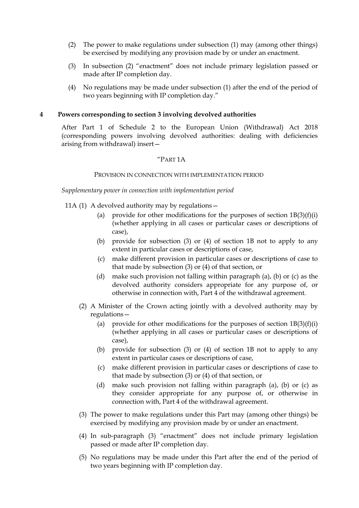- (2) The power to make regulations under subsection (1) may (among other things) be exercised by modifying any provision made by or under an enactment.
- (3) In subsection (2) "enactment" does not include primary legislation passed or made after IP completion day.
- (4) No regulations may be made under subsection (1) after the end of the period of two years beginning with IP completion day."

#### **4 Powers corresponding to section 3 involving devolved authorities**

After Part 1 of Schedule 2 to the European Union (Withdrawal) Act 2018 (corresponding powers involving devolved authorities: dealing with deficiencies arising from withdrawal) insert—

# "PART 1A

#### PROVISION IN CONNECTION WITH IMPLEMENTATION PERIOD

*Supplementary power in connection with implementation period*

- 11A (1) A devolved authority may by regulations—
	- (a) provide for other modifications for the purposes of section  $1B(3)(f)(i)$ (whether applying in all cases or particular cases or descriptions of case),
	- (b) provide for subsection (3) or (4) of section 1B not to apply to any extent in particular cases or descriptions of case,
	- (c) make different provision in particular cases or descriptions of case to that made by subsection (3) or (4) of that section, or
	- (d) make such provision not falling within paragraph (a), (b) or (c) as the devolved authority considers appropriate for any purpose of, or otherwise in connection with, Part 4 of the withdrawal agreement.
	- (2) A Minister of the Crown acting jointly with a devolved authority may by regulations—
		- (a) provide for other modifications for the purposes of section  $1B(3)(f)(i)$ (whether applying in all cases or particular cases or descriptions of case),
		- (b) provide for subsection (3) or (4) of section 1B not to apply to any extent in particular cases or descriptions of case,
		- (c) make different provision in particular cases or descriptions of case to that made by subsection (3) or (4) of that section, or
		- (d) make such provision not falling within paragraph (a), (b) or (c) as they consider appropriate for any purpose of, or otherwise in connection with, Part 4 of the withdrawal agreement.
	- (3) The power to make regulations under this Part may (among other things) be exercised by modifying any provision made by or under an enactment.
	- (4) In sub-paragraph (3) "enactment" does not include primary legislation passed or made after IP completion day.
	- (5) No regulations may be made under this Part after the end of the period of two years beginning with IP completion day.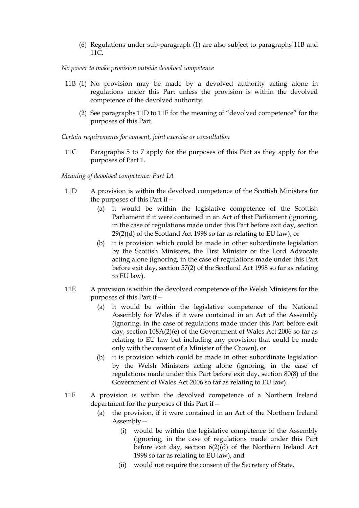- (6) Regulations under sub-paragraph (1) are also subject to paragraphs 11B and  $11C$ .
- *No power to make provision outside devolved competence*
	- 11B (1) No provision may be made by a devolved authority acting alone in regulations under this Part unless the provision is within the devolved competence of the devolved authority.
		- (2) See paragraphs 11D to 11F for the meaning of "devolved competence" for the purposes of this Part.

*Certain requirements for consent, joint exercise or consultation*

11C Paragraphs 5 to 7 apply for the purposes of this Part as they apply for the purposes of Part 1.

*Meaning of devolved competence: Part 1A*

- 11D A provision is within the devolved competence of the Scottish Ministers for the purposes of this Part if—
	- (a) it would be within the legislative competence of the Scottish Parliament if it were contained in an Act of that Parliament (ignoring, in the case of regulations made under this Part before exit day, section 29(2)(d) of the Scotland Act 1998 so far as relating to EU law), or
	- (b) it is provision which could be made in other subordinate legislation by the Scottish Ministers, the First Minister or the Lord Advocate acting alone (ignoring, in the case of regulations made under this Part before exit day, section 57(2) of the Scotland Act 1998 so far as relating to EU law).
- 11E A provision is within the devolved competence of the Welsh Ministers for the purposes of this Part if—
	- (a) it would be within the legislative competence of the National Assembly for Wales if it were contained in an Act of the Assembly (ignoring, in the case of regulations made under this Part before exit day, section 108A(2)(e) of the Government of Wales Act 2006 so far as relating to EU law but including any provision that could be made only with the consent of a Minister of the Crown), or
	- (b) it is provision which could be made in other subordinate legislation by the Welsh Ministers acting alone (ignoring, in the case of regulations made under this Part before exit day, section 80(8) of the Government of Wales Act 2006 so far as relating to EU law).
- 11F A provision is within the devolved competence of a Northern Ireland department for the purposes of this Part if—
	- (a) the provision, if it were contained in an Act of the Northern Ireland Assembly—
		- (i) would be within the legislative competence of the Assembly (ignoring, in the case of regulations made under this Part before exit day, section 6(2)(d) of the Northern Ireland Act 1998 so far as relating to EU law), and
		- (ii) would not require the consent of the Secretary of State,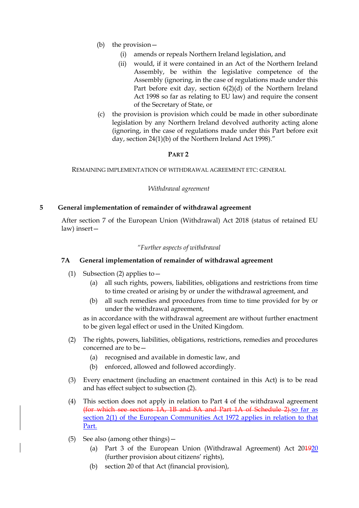- (b) the provision—
	- (i) amends or repeals Northern Ireland legislation, and
	- (ii) would, if it were contained in an Act of the Northern Ireland Assembly, be within the legislative competence of the Assembly (ignoring, in the case of regulations made under this Part before exit day, section 6(2)(d) of the Northern Ireland Act 1998 so far as relating to EU law) and require the consent of the Secretary of State, or
- (c) the provision is provision which could be made in other subordinate legislation by any Northern Ireland devolved authority acting alone (ignoring, in the case of regulations made under this Part before exit day, section 24(1)(b) of the Northern Ireland Act 1998)."

# **PART 2**

# REMAINING IMPLEMENTATION OF WITHDRAWAL AGREEMENT ETC: GENERAL

# *Withdrawal agreement*

# **5 General implementation of remainder of withdrawal agreement**

After section 7 of the European Union (Withdrawal) Act 2018 (status of retained EU law) insert—

#### *"Further aspects of withdrawal*

#### **7A General implementation of remainder of withdrawal agreement**

- (1) Subsection (2) applies to—
	- (a) all such rights, powers, liabilities, obligations and restrictions from time to time created or arising by or under the withdrawal agreement, and
	- (b) all such remedies and procedures from time to time provided for by or under the withdrawal agreement,

as in accordance with the withdrawal agreement are without further enactment to be given legal effect or used in the United Kingdom.

- (2) The rights, powers, liabilities, obligations, restrictions, remedies and procedures concerned are to be—
	- (a) recognised and available in domestic law, and
	- (b) enforced, allowed and followed accordingly.
- (3) Every enactment (including an enactment contained in this Act) is to be read and has effect subject to subsection (2).
- (4) This section does not apply in relation to Part 4 of the withdrawal agreement (for which see sections 1A, 1B and 8A and Part 1A of Schedule 2).so far as section 2(1) of the European Communities Act 1972 applies in relation to that Part.
- (5) See also (among other things)—
	- (a) Part 3 of the European Union (Withdrawal Agreement) Act 201920 (further provision about citizens' rights),
	- (b) section 20 of that Act (financial provision),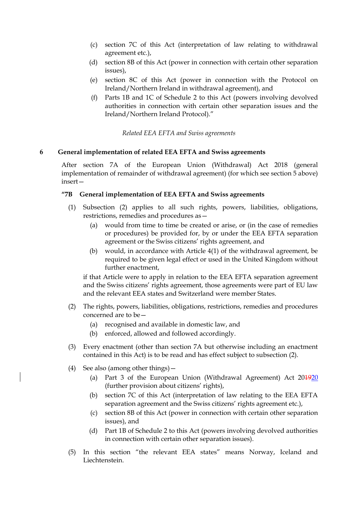- (c) section 7C of this Act (interpretation of law relating to withdrawal agreement etc.),
- (d) section 8B of this Act (power in connection with certain other separation issues),
- (e) section 8C of this Act (power in connection with the Protocol on Ireland/Northern Ireland in withdrawal agreement), and
- (f) Parts 1B and 1C of Schedule 2 to this Act (powers involving devolved authorities in connection with certain other separation issues and the Ireland/Northern Ireland Protocol)."

*Related EEA EFTA and Swiss agreements*

# **6 General implementation of related EEA EFTA and Swiss agreements**

After section 7A of the European Union (Withdrawal) Act 2018 (general implementation of remainder of withdrawal agreement) (for which see section 5 above) insert—

# **"7B General implementation of EEA EFTA and Swiss agreements**

- (1) Subsection (2) applies to all such rights, powers, liabilities, obligations, restrictions, remedies and procedures as—
	- (a) would from time to time be created or arise, or (in the case of remedies or procedures) be provided for, by or under the EEA EFTA separation agreement or the Swiss citizens' rights agreement, and
	- (b) would, in accordance with Article 4(1) of the withdrawal agreement, be required to be given legal effect or used in the United Kingdom without further enactment,

if that Article were to apply in relation to the EEA EFTA separation agreement and the Swiss citizens' rights agreement, those agreements were part of EU law and the relevant EEA states and Switzerland were member States.

- (2) The rights, powers, liabilities, obligations, restrictions, remedies and procedures concerned are to be—
	- (a) recognised and available in domestic law, and
	- (b) enforced, allowed and followed accordingly.
- (3) Every enactment (other than section 7A but otherwise including an enactment contained in this Act) is to be read and has effect subject to subsection (2).
- (4) See also (among other things)—
	- (a) Part 3 of the European Union (Withdrawal Agreement) Act 201920 (further provision about citizens' rights),
	- (b) section 7C of this Act (interpretation of law relating to the EEA EFTA separation agreement and the Swiss citizens' rights agreement etc.),
	- (c) section 8B of this Act (power in connection with certain other separation issues), and
	- (d) Part 1B of Schedule 2 to this Act (powers involving devolved authorities in connection with certain other separation issues).
- (5) In this section "the relevant EEA states" means Norway, Iceland and Liechtenstein.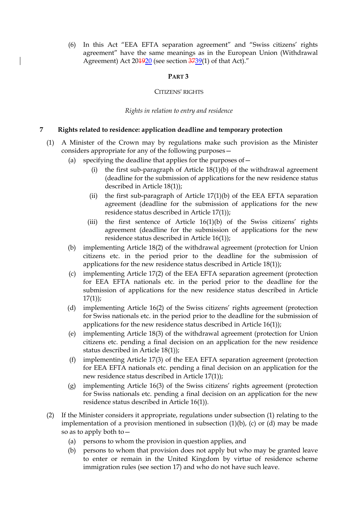(6) In this Act "EEA EFTA separation agreement" and "Swiss citizens' rights agreement" have the same meanings as in the European Union (Withdrawal Agreement) Act 20<del>1920</del> (see section 3739(1) of that Act)."

# **PART 3**

#### CITIZENS' RIGHTS

#### *Rights in relation to entry and residence*

#### **7 Rights related to residence: application deadline and temporary protection**

- (1) A Minister of the Crown may by regulations make such provision as the Minister considers appropriate for any of the following purposes—
	- (a) specifying the deadline that applies for the purposes of  $-$ 
		- (i) the first sub-paragraph of Article 18(1)(b) of the withdrawal agreement (deadline for the submission of applications for the new residence status described in Article 18(1));
		- (ii) the first sub-paragraph of Article 17(1)(b) of the EEA EFTA separation agreement (deadline for the submission of applications for the new residence status described in Article 17(1));
		- (iii) the first sentence of Article 16(1)(b) of the Swiss citizens' rights agreement (deadline for the submission of applications for the new residence status described in Article 16(1));
	- (b) implementing Article 18(2) of the withdrawal agreement (protection for Union citizens etc. in the period prior to the deadline for the submission of applications for the new residence status described in Article 18(1));
	- (c) implementing Article 17(2) of the EEA EFTA separation agreement (protection for EEA EFTA nationals etc. in the period prior to the deadline for the submission of applications for the new residence status described in Article  $17(1)$ ;
	- (d) implementing Article 16(2) of the Swiss citizens' rights agreement (protection for Swiss nationals etc. in the period prior to the deadline for the submission of applications for the new residence status described in Article 16(1));
	- (e) implementing Article 18(3) of the withdrawal agreement (protection for Union citizens etc. pending a final decision on an application for the new residence status described in Article 18(1));
	- (f) implementing Article 17(3) of the EEA EFTA separation agreement (protection for EEA EFTA nationals etc. pending a final decision on an application for the new residence status described in Article 17(1));
	- (g) implementing Article 16(3) of the Swiss citizens' rights agreement (protection for Swiss nationals etc. pending a final decision on an application for the new residence status described in Article 16(1)).
- (2) If the Minister considers it appropriate, regulations under subsection (1) relating to the implementation of a provision mentioned in subsection  $(1)(b)$ ,  $(c)$  or  $(d)$  may be made so as to apply both to—
	- (a) persons to whom the provision in question applies, and
	- (b) persons to whom that provision does not apply but who may be granted leave to enter or remain in the United Kingdom by virtue of residence scheme immigration rules (see section 17) and who do not have such leave.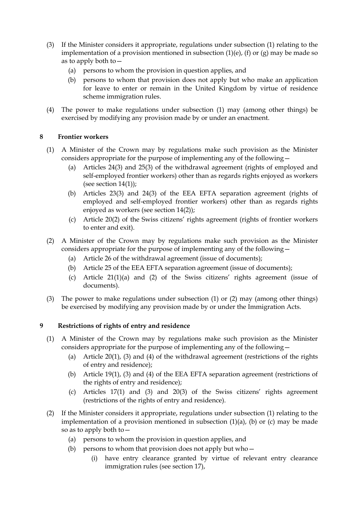- (3) If the Minister considers it appropriate, regulations under subsection (1) relating to the implementation of a provision mentioned in subsection  $(1)(e)$ ,  $(f)$  or  $(g)$  may be made so as to apply both to—
	- (a) persons to whom the provision in question applies, and
	- (b) persons to whom that provision does not apply but who make an application for leave to enter or remain in the United Kingdom by virtue of residence scheme immigration rules.
- (4) The power to make regulations under subsection (1) may (among other things) be exercised by modifying any provision made by or under an enactment.

# **8 Frontier workers**

- (1) A Minister of the Crown may by regulations make such provision as the Minister considers appropriate for the purpose of implementing any of the following—
	- (a) Articles 24(3) and 25(3) of the withdrawal agreement (rights of employed and self-employed frontier workers) other than as regards rights enjoyed as workers (see section 14(1));
	- (b) Articles 23(3) and 24(3) of the EEA EFTA separation agreement (rights of employed and self-employed frontier workers) other than as regards rights enjoyed as workers (see section 14(2));
	- (c) Article 20(2) of the Swiss citizens' rights agreement (rights of frontier workers to enter and exit).
- (2) A Minister of the Crown may by regulations make such provision as the Minister considers appropriate for the purpose of implementing any of the following—
	- (a) Article 26 of the withdrawal agreement (issue of documents);
	- (b) Article 25 of the EEA EFTA separation agreement (issue of documents);
	- (c) Article 21(1)(a) and (2) of the Swiss citizens' rights agreement (issue of documents).
- (3) The power to make regulations under subsection (1) or (2) may (among other things) be exercised by modifying any provision made by or under the Immigration Acts.

# **9 Restrictions of rights of entry and residence**

- (1) A Minister of the Crown may by regulations make such provision as the Minister considers appropriate for the purpose of implementing any of the following—
	- (a) Article 20(1), (3) and (4) of the withdrawal agreement (restrictions of the rights of entry and residence);
	- (b) Article 19(1), (3) and (4) of the EEA EFTA separation agreement (restrictions of the rights of entry and residence);
	- (c) Articles 17(1) and (3) and 20(3) of the Swiss citizens' rights agreement (restrictions of the rights of entry and residence).
- (2) If the Minister considers it appropriate, regulations under subsection (1) relating to the implementation of a provision mentioned in subsection  $(1)(a)$ ,  $(b)$  or  $(c)$  may be made so as to apply both to—
	- (a) persons to whom the provision in question applies, and
	- (b) persons to whom that provision does not apply but who—
		- (i) have entry clearance granted by virtue of relevant entry clearance immigration rules (see section 17),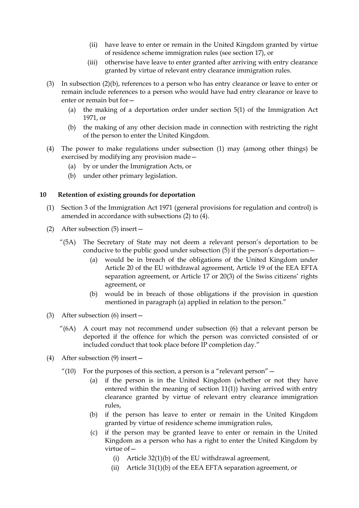- (ii) have leave to enter or remain in the United Kingdom granted by virtue of residence scheme immigration rules (see section 17), or
- (iii) otherwise have leave to enter granted after arriving with entry clearance granted by virtue of relevant entry clearance immigration rules.
- (3) In subsection (2)(b), references to a person who has entry clearance or leave to enter or remain include references to a person who would have had entry clearance or leave to enter or remain but for—
	- (a) the making of a deportation order under section 5(1) of the Immigration Act 1971, or
	- (b) the making of any other decision made in connection with restricting the right of the person to enter the United Kingdom.
- (4) The power to make regulations under subsection (1) may (among other things) be exercised by modifying any provision made—
	- (a) by or under the Immigration Acts, or
	- (b) under other primary legislation.

# **10 Retention of existing grounds for deportation**

- (1) Section 3 of the Immigration Act 1971 (general provisions for regulation and control) is amended in accordance with subsections (2) to (4).
- (2) After subsection (5) insert—
	- "(5A) The Secretary of State may not deem a relevant person's deportation to be conducive to the public good under subsection (5) if the person's deportation—
		- (a) would be in breach of the obligations of the United Kingdom under Article 20 of the EU withdrawal agreement, Article 19 of the EEA EFTA separation agreement, or Article 17 or 20(3) of the Swiss citizens' rights agreement, or
		- (b) would be in breach of those obligations if the provision in question mentioned in paragraph (a) applied in relation to the person."
- (3) After subsection (6) insert—
	- $^{\prime\prime}$ (6A) A court may not recommend under subsection (6) that a relevant person be deported if the offence for which the person was convicted consisted of or included conduct that took place before IP completion day."
- (4) After subsection (9) insert—
	- "(10) For the purposes of this section, a person is a "relevant person"  $-$ 
		- (a) if the person is in the United Kingdom (whether or not they have entered within the meaning of section 11(1)) having arrived with entry clearance granted by virtue of relevant entry clearance immigration rules,
		- (b) if the person has leave to enter or remain in the United Kingdom granted by virtue of residence scheme immigration rules,
		- (c) if the person may be granted leave to enter or remain in the United Kingdom as a person who has a right to enter the United Kingdom by virtue of—
			- (i) Article 32(1)(b) of the EU withdrawal agreement,
			- (ii) Article 31(1)(b) of the EEA EFTA separation agreement, or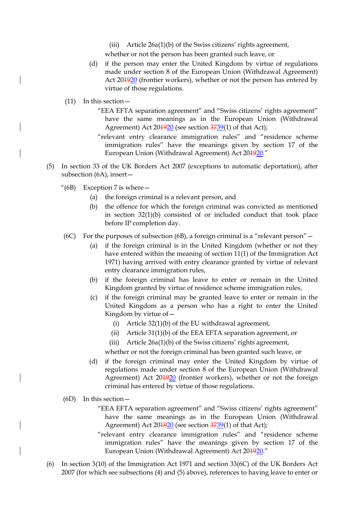(iii) Article 26a(1)(b) of the Swiss citizens' rights agreement,

whether or not the person has been granted such leave, or

- (d) if the person may enter the United Kingdom by virtue of regulations made under section 8 of the European Union (Withdrawal Agreement) Act 201920 (frontier workers), whether or not the person has entered by virtue of those regulations.
- (11) In this section—
	- "EEA EFTA separation agreement" and "Swiss citizens' rights agreement" have the same meanings as in the European Union (Withdrawal Agreement) Act 20<del>1920</del> (see section 3739(1) of that Act);
	- "relevant entry clearance immigration rules" and "residence scheme immigration rules" have the meanings given by section 17 of the European Union (Withdrawal Agreement) Act 201920."
- (5) In section 33 of the UK Borders Act 2007 (exceptions to automatic deportation), after subsection (6A), insert—
	- "(6B) Exception 7 is where  $-$ 
		- (a) the foreign criminal is a relevant person, and
		- (b) the offence for which the foreign criminal was convicted as mentioned in section 32(1)(b) consisted of or included conduct that took place before IP completion day.
	- (6C) For the purposes of subsection (6B), a foreign criminal is a "relevant person"  $-$ 
		- (a) if the foreign criminal is in the United Kingdom (whether or not they have entered within the meaning of section 11(1) of the Immigration Act 1971) having arrived with entry clearance granted by virtue of relevant entry clearance immigration rules,
		- (b) if the foreign criminal has leave to enter or remain in the United Kingdom granted by virtue of residence scheme immigration rules,
		- (c) if the foreign criminal may be granted leave to enter or remain in the United Kingdom as a person who has a right to enter the United Kingdom by virtue of—
			- (i) Article 32(1)(b) of the EU withdrawal agreement,
			- (ii) Article 31(1)(b) of the EEA EFTA separation agreement, or
			- (iii) Article 26a(1)(b) of the Swiss citizens' rights agreement,

whether or not the foreign criminal has been granted such leave, or

- (d) if the foreign criminal may enter the United Kingdom by virtue of regulations made under section 8 of the European Union (Withdrawal Agreement) Act 201920 (frontier workers), whether or not the foreign criminal has entered by virtue of those regulations.
- (6D) In this section—
	- "EEA EFTA separation agreement" and "Swiss citizens' rights agreement" have the same meanings as in the European Union (Withdrawal Agreement) Act 20<del>19</del>20 (see section 3739(1) of that Act);
	- "relevant entry clearance immigration rules" and "residence scheme immigration rules" have the meanings given by section 17 of the European Union (Withdrawal Agreement) Act 201920."
- (6) In section 3(10) of the Immigration Act 1971 and section 33(6C) of the UK Borders Act 2007 (for which see subsections (4) and (5) above), references to having leave to enter or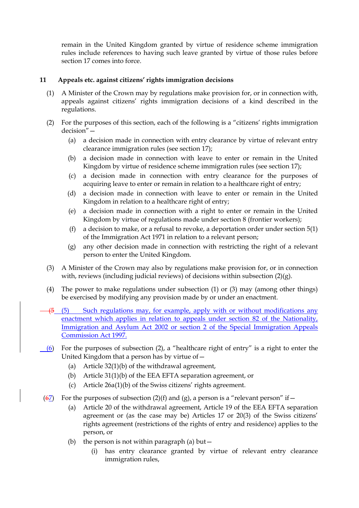remain in the United Kingdom granted by virtue of residence scheme immigration rules include references to having such leave granted by virtue of those rules before section 17 comes into force.

# **11 Appeals etc. against citizens' rights immigration decisions**

- (1) A Minister of the Crown may by regulations make provision for, or in connection with, appeals against citizens' rights immigration decisions of a kind described in the regulations.
- (2) For the purposes of this section, each of the following is a "citizens' rights immigration decision"—
	- (a) a decision made in connection with entry clearance by virtue of relevant entry clearance immigration rules (see section 17);
	- (b) a decision made in connection with leave to enter or remain in the United Kingdom by virtue of residence scheme immigration rules (see section 17);
	- (c) a decision made in connection with entry clearance for the purposes of acquiring leave to enter or remain in relation to a healthcare right of entry;
	- (d) a decision made in connection with leave to enter or remain in the United Kingdom in relation to a healthcare right of entry;
	- (e) a decision made in connection with a right to enter or remain in the United Kingdom by virtue of regulations made under section 8 (frontier workers);
	- (f) a decision to make, or a refusal to revoke, a deportation order under section 5(1) of the Immigration Act 1971 in relation to a relevant person;
	- (g) any other decision made in connection with restricting the right of a relevant person to enter the United Kingdom.
- (3) A Minister of the Crown may also by regulations make provision for, or in connection with, reviews (including judicial reviews) of decisions within subsection (2)(g).
- (4) The power to make regulations under subsection (1) or (3) may (among other things) be exercised by modifying any provision made by or under an enactment.
- (5 (5) Such regulations may, for example, apply with or without modifications any enactment which applies in relation to appeals under section 82 of the Nationality, Immigration and Asylum Act 2002 or section 2 of the Special Immigration Appeals Commission Act 1997.
- (6) For the purposes of subsection (2), a "healthcare right of entry" is a right to enter the United Kingdom that a person has by virtue of—
	- (a) Article 32(1)(b) of the withdrawal agreement,
	- (b) Article 31(1)(b) of the EEA EFTA separation agreement, or
	- (c) Article 26a(1)(b) of the Swiss citizens' rights agreement.
- ( $\frac{67}{2}$ ) For the purposes of subsection (2)(f) and (g), a person is a "relevant person" if
	- (a) Article 20 of the withdrawal agreement, Article 19 of the EEA EFTA separation agreement or (as the case may be) Articles 17 or 20(3) of the Swiss citizens' rights agreement (restrictions of the rights of entry and residence) applies to the person, or
	- (b) the person is not within paragraph (a) but  $-$ 
		- (i) has entry clearance granted by virtue of relevant entry clearance immigration rules,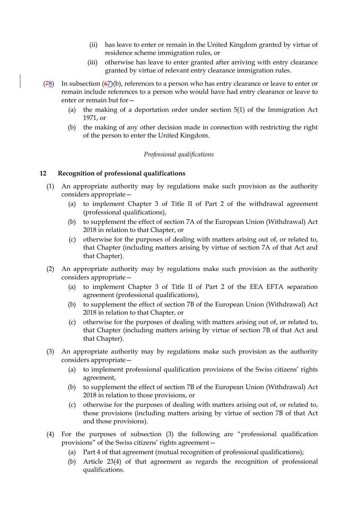- (ii) has leave to enter or remain in the United Kingdom granted by virtue of residence scheme immigration rules, or
- (iii) otherwise has leave to enter granted after arriving with entry clearance granted by virtue of relevant entry clearance immigration rules.
- ( $78$ ) In subsection ( $67$ )(b), references to a person who has entry clearance or leave to enter or remain include references to a person who would have had entry clearance or leave to enter or remain but for—
	- (a) the making of a deportation order under section 5(1) of the Immigration Act 1971, or
	- (b) the making of any other decision made in connection with restricting the right of the person to enter the United Kingdom.

# *Professional qualifications*

# **12 Recognition of professional qualifications**

- (1) An appropriate authority may by regulations make such provision as the authority considers appropriate—
	- (a) to implement Chapter 3 of Title II of Part 2 of the withdrawal agreement (professional qualifications),
	- (b) to supplement the effect of section 7A of the European Union (Withdrawal) Act 2018 in relation to that Chapter, or
	- (c) otherwise for the purposes of dealing with matters arising out of, or related to, that Chapter (including matters arising by virtue of section 7A of that Act and that Chapter).
- (2) An appropriate authority may by regulations make such provision as the authority considers appropriate—
	- (a) to implement Chapter 3 of Title II of Part 2 of the EEA EFTA separation agreement (professional qualifications),
	- (b) to supplement the effect of section 7B of the European Union (Withdrawal) Act 2018 in relation to that Chapter, or
	- (c) otherwise for the purposes of dealing with matters arising out of, or related to, that Chapter (including matters arising by virtue of section 7B of that Act and that Chapter).
- (3) An appropriate authority may by regulations make such provision as the authority considers appropriate—
	- (a) to implement professional qualification provisions of the Swiss citizens' rights agreement,
	- (b) to supplement the effect of section 7B of the European Union (Withdrawal) Act 2018 in relation to those provisions, or
	- (c) otherwise for the purposes of dealing with matters arising out of, or related to, those provisions (including matters arising by virtue of section 7B of that Act and those provisions).
- (4) For the purposes of subsection (3) the following are "professional qualification provisions" of the Swiss citizens' rights agreement—
	- (a) Part 4 of that agreement (mutual recognition of professional qualifications);
	- (b) Article 23(4) of that agreement as regards the recognition of professional qualifications.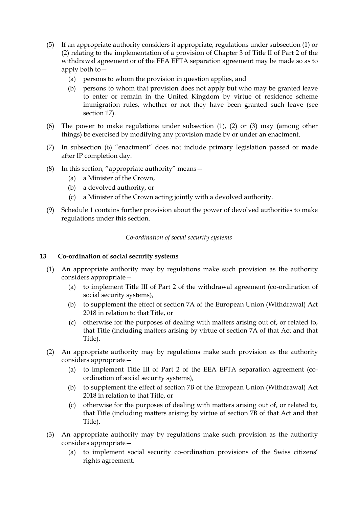- (5) If an appropriate authority considers it appropriate, regulations under subsection (1) or (2) relating to the implementation of a provision of Chapter 3 of Title II of Part 2 of the withdrawal agreement or of the EEA EFTA separation agreement may be made so as to apply both to—
	- (a) persons to whom the provision in question applies, and
	- (b) persons to whom that provision does not apply but who may be granted leave to enter or remain in the United Kingdom by virtue of residence scheme immigration rules, whether or not they have been granted such leave (see section 17).
- (6) The power to make regulations under subsection (1), (2) or (3) may (among other things) be exercised by modifying any provision made by or under an enactment.
- (7) In subsection (6) "enactment" does not include primary legislation passed or made after IP completion day.
- (8) In this section, "appropriate authority" means—
	- (a) a Minister of the Crown,
	- (b) a devolved authority, or
	- (c) a Minister of the Crown acting jointly with a devolved authority.
- (9) Schedule 1 contains further provision about the power of devolved authorities to make regulations under this section.

# *Co-ordination of social security systems*

# **13 Co-ordination of social security systems**

- (1) An appropriate authority may by regulations make such provision as the authority considers appropriate—
	- (a) to implement Title III of Part 2 of the withdrawal agreement (co-ordination of social security systems),
	- (b) to supplement the effect of section 7A of the European Union (Withdrawal) Act 2018 in relation to that Title, or
	- (c) otherwise for the purposes of dealing with matters arising out of, or related to, that Title (including matters arising by virtue of section 7A of that Act and that Title).
- (2) An appropriate authority may by regulations make such provision as the authority considers appropriate—
	- (a) to implement Title III of Part 2 of the EEA EFTA separation agreement (coordination of social security systems),
	- (b) to supplement the effect of section 7B of the European Union (Withdrawal) Act 2018 in relation to that Title, or
	- (c) otherwise for the purposes of dealing with matters arising out of, or related to, that Title (including matters arising by virtue of section 7B of that Act and that Title).
- (3) An appropriate authority may by regulations make such provision as the authority considers appropriate—
	- (a) to implement social security co-ordination provisions of the Swiss citizens' rights agreement,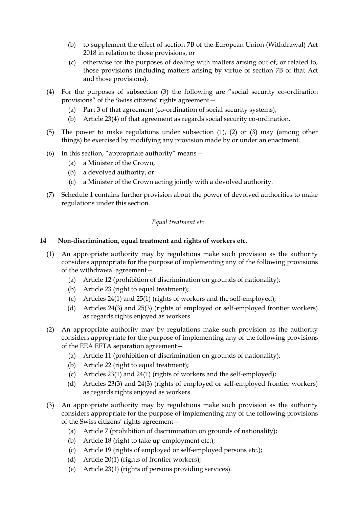- (b) to supplement the effect of section 7B of the European Union (Withdrawal) Act 2018 in relation to those provisions, or
- (c) otherwise for the purposes of dealing with matters arising out of, or related to, those provisions (including matters arising by virtue of section 7B of that Act and those provisions).
- (4) For the purposes of subsection (3) the following are "social security co-ordination provisions" of the Swiss citizens' rights agreement—
	- (a) Part 3 of that agreement (co-ordination of social security systems);
	- (b) Article 23(4) of that agreement as regards social security co-ordination.
- (5) The power to make regulations under subsection (1), (2) or (3) may (among other things) be exercised by modifying any provision made by or under an enactment.
- (6) In this section, "appropriate authority" means—
	- (a) a Minister of the Crown,
	- (b) a devolved authority, or
	- (c) a Minister of the Crown acting jointly with a devolved authority.
- (7) Schedule 1 contains further provision about the power of devolved authorities to make regulations under this section.

# *Equal treatment etc.*

# **14 Non-discrimination, equal treatment and rights of workers etc.**

- (1) An appropriate authority may by regulations make such provision as the authority considers appropriate for the purpose of implementing any of the following provisions of the withdrawal agreement—
	- (a) Article 12 (prohibition of discrimination on grounds of nationality);
	- (b) Article 23 (right to equal treatment);
	- (c) Articles 24(1) and 25(1) (rights of workers and the self-employed);
	- (d) Articles 24(3) and 25(3) (rights of employed or self-employed frontier workers) as regards rights enjoyed as workers.
- (2) An appropriate authority may by regulations make such provision as the authority considers appropriate for the purpose of implementing any of the following provisions of the EEA EFTA separation agreement—
	- (a) Article 11 (prohibition of discrimination on grounds of nationality);
	- (b) Article 22 (right to equal treatment);
	- (c) Articles 23(1) and 24(1) (rights of workers and the self-employed);
	- (d) Articles 23(3) and 24(3) (rights of employed or self-employed frontier workers) as regards rights enjoyed as workers.
- (3) An appropriate authority may by regulations make such provision as the authority considers appropriate for the purpose of implementing any of the following provisions of the Swiss citizens' rights agreement—
	- (a) Article 7 (prohibition of discrimination on grounds of nationality);
	- (b) Article 18 (right to take up employment etc.);
	- (c) Article 19 (rights of employed or self-employed persons etc.);
	- (d) Article 20(1) (rights of frontier workers);
	- (e) Article 23(1) (rights of persons providing services).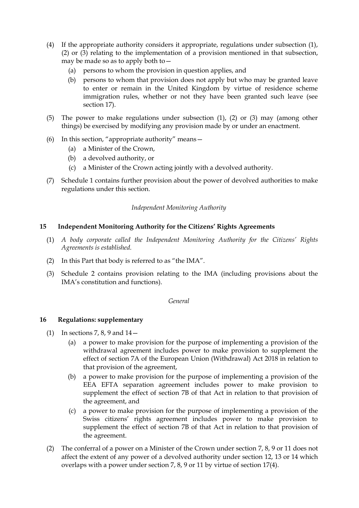- (4) If the appropriate authority considers it appropriate, regulations under subsection (1), (2) or (3) relating to the implementation of a provision mentioned in that subsection, may be made so as to apply both to—
	- (a) persons to whom the provision in question applies, and
	- (b) persons to whom that provision does not apply but who may be granted leave to enter or remain in the United Kingdom by virtue of residence scheme immigration rules, whether or not they have been granted such leave (see section 17).
- (5) The power to make regulations under subsection (1), (2) or (3) may (among other things) be exercised by modifying any provision made by or under an enactment.
- (6) In this section, "appropriate authority" means—
	- (a) a Minister of the Crown,
	- (b) a devolved authority, or
	- (c) a Minister of the Crown acting jointly with a devolved authority.
- (7) Schedule 1 contains further provision about the power of devolved authorities to make regulations under this section.

# *Independent Monitoring Authority*

# **15 Independent Monitoring Authority for the Citizens' Rights Agreements**

- (1) *A body corporate called the Independent Monitoring Authority for the Citizens' Rights Agreements is established.*
- (2) In this Part that body is referred to as "the IMA".
- (3) Schedule 2 contains provision relating to the IMA (including provisions about the IMA's constitution and functions).

#### *General*

# **16 Regulations: supplementary**

- (1) In sections 7, 8, 9 and 14—
	- (a) a power to make provision for the purpose of implementing a provision of the withdrawal agreement includes power to make provision to supplement the effect of section 7A of the European Union (Withdrawal) Act 2018 in relation to that provision of the agreement,
	- (b) a power to make provision for the purpose of implementing a provision of the EEA EFTA separation agreement includes power to make provision to supplement the effect of section 7B of that Act in relation to that provision of the agreement, and
	- (c) a power to make provision for the purpose of implementing a provision of the Swiss citizens' rights agreement includes power to make provision to supplement the effect of section 7B of that Act in relation to that provision of the agreement.
- (2) The conferral of a power on a Minister of the Crown under section 7, 8, 9 or 11 does not affect the extent of any power of a devolved authority under section 12, 13 or 14 which overlaps with a power under section 7, 8, 9 or 11 by virtue of section 17(4).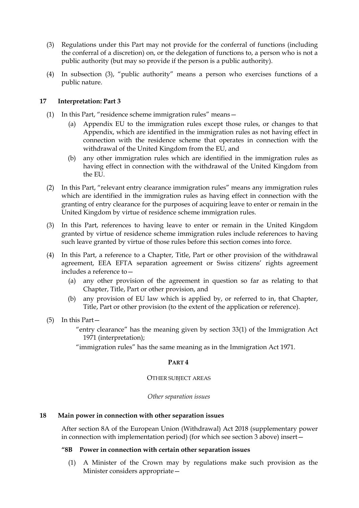- (3) Regulations under this Part may not provide for the conferral of functions (including the conferral of a discretion) on, or the delegation of functions to, a person who is not a public authority (but may so provide if the person is a public authority).
- (4) In subsection (3), "public authority" means a person who exercises functions of a public nature.

# **17 Interpretation: Part 3**

- (1) In this Part, "residence scheme immigration rules" means—
	- (a) Appendix EU to the immigration rules except those rules, or changes to that Appendix, which are identified in the immigration rules as not having effect in connection with the residence scheme that operates in connection with the withdrawal of the United Kingdom from the EU, and
	- (b) any other immigration rules which are identified in the immigration rules as having effect in connection with the withdrawal of the United Kingdom from the EU.
- (2) In this Part, "relevant entry clearance immigration rules" means any immigration rules which are identified in the immigration rules as having effect in connection with the granting of entry clearance for the purposes of acquiring leave to enter or remain in the United Kingdom by virtue of residence scheme immigration rules.
- (3) In this Part, references to having leave to enter or remain in the United Kingdom granted by virtue of residence scheme immigration rules include references to having such leave granted by virtue of those rules before this section comes into force.
- (4) In this Part, a reference to a Chapter, Title, Part or other provision of the withdrawal agreement, EEA EFTA separation agreement or Swiss citizens' rights agreement includes a reference to—
	- (a) any other provision of the agreement in question so far as relating to that Chapter, Title, Part or other provision, and
	- (b) any provision of EU law which is applied by, or referred to in, that Chapter, Title, Part or other provision (to the extent of the application or reference).
- (5) In this Part—
	- "entry clearance" has the meaning given by section 33(1) of the Immigration Act 1971 (interpretation);

"immigration rules" has the same meaning as in the Immigration Act 1971.

# **PART 4**

#### OTHER SUBJECT AREAS

#### *Other separation issues*

# **18 Main power in connection with other separation issues**

After section 8A of the European Union (Withdrawal) Act 2018 (supplementary power in connection with implementation period) (for which see section 3 above) insert—

# **"8B Power in connection with certain other separation issues**

(1) A Minister of the Crown may by regulations make such provision as the Minister considers appropriate—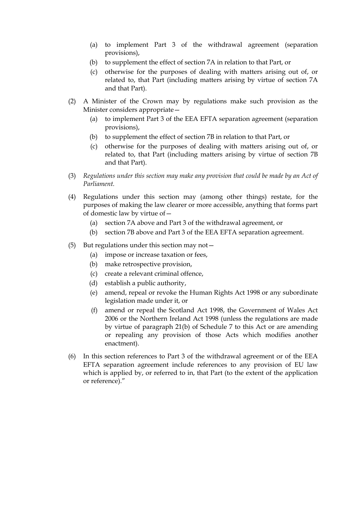- (a) to implement Part 3 of the withdrawal agreement (separation provisions),
- (b) to supplement the effect of section 7A in relation to that Part, or
- (c) otherwise for the purposes of dealing with matters arising out of, or related to, that Part (including matters arising by virtue of section 7A and that Part).
- (2) A Minister of the Crown may by regulations make such provision as the Minister considers appropriate—
	- (a) to implement Part 3 of the EEA EFTA separation agreement (separation provisions),
	- (b) to supplement the effect of section 7B in relation to that Part, or
	- (c) otherwise for the purposes of dealing with matters arising out of, or related to, that Part (including matters arising by virtue of section 7B and that Part).
- (3) *Regulations under this section may make any provision that could be made by an Act of Parliament.*
- (4) Regulations under this section may (among other things) restate, for the purposes of making the law clearer or more accessible, anything that forms part of domestic law by virtue of—
	- (a) section 7A above and Part 3 of the withdrawal agreement, or
	- (b) section 7B above and Part 3 of the EEA EFTA separation agreement.
- (5) But regulations under this section may not—
	- (a) impose or increase taxation or fees,
	- (b) make retrospective provision,
	- (c) create a relevant criminal offence,
	- (d) establish a public authority,
	- (e) amend, repeal or revoke the Human Rights Act 1998 or any subordinate legislation made under it, or
	- (f) amend or repeal the Scotland Act 1998, the Government of Wales Act 2006 or the Northern Ireland Act 1998 (unless the regulations are made by virtue of paragraph 21(b) of Schedule 7 to this Act or are amending or repealing any provision of those Acts which modifies another enactment).
- (6) In this section references to Part 3 of the withdrawal agreement or of the EEA EFTA separation agreement include references to any provision of EU law which is applied by, or referred to in, that Part (to the extent of the application or reference)."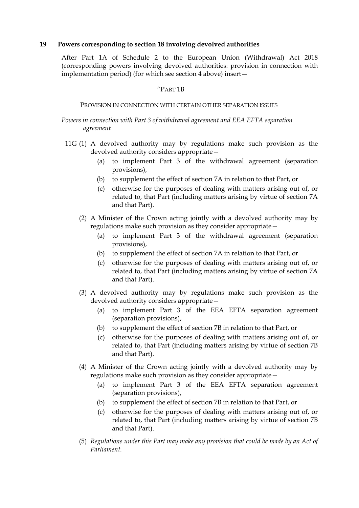# **19 Powers corresponding to section 18 involving devolved authorities**

After Part 1A of Schedule 2 to the European Union (Withdrawal) Act 2018 (corresponding powers involving devolved authorities: provision in connection with implementation period) (for which see section 4 above) insert—

#### "PART 1B

#### PROVISION IN CONNECTION WITH CERTAIN OTHER SEPARATION ISSUES

*Powers in connection with Part 3 of withdrawal agreement and EEA EFTA separation agreement*

- 11G (1) A devolved authority may by regulations make such provision as the devolved authority considers appropriate—
	- (a) to implement Part 3 of the withdrawal agreement (separation provisions),
	- (b) to supplement the effect of section 7A in relation to that Part, or
	- (c) otherwise for the purposes of dealing with matters arising out of, or related to, that Part (including matters arising by virtue of section 7A and that Part).
	- (2) A Minister of the Crown acting jointly with a devolved authority may by regulations make such provision as they consider appropriate—
		- (a) to implement Part 3 of the withdrawal agreement (separation provisions),
		- (b) to supplement the effect of section 7A in relation to that Part, or
		- (c) otherwise for the purposes of dealing with matters arising out of, or related to, that Part (including matters arising by virtue of section 7A and that Part).
	- (3) A devolved authority may by regulations make such provision as the devolved authority considers appropriate—
		- (a) to implement Part 3 of the EEA EFTA separation agreement (separation provisions),
		- (b) to supplement the effect of section 7B in relation to that Part, or
		- (c) otherwise for the purposes of dealing with matters arising out of, or related to, that Part (including matters arising by virtue of section 7B and that Part).
	- (4) A Minister of the Crown acting jointly with a devolved authority may by regulations make such provision as they consider appropriate—
		- (a) to implement Part 3 of the EEA EFTA separation agreement (separation provisions),
		- (b) to supplement the effect of section 7B in relation to that Part, or
		- (c) otherwise for the purposes of dealing with matters arising out of, or related to, that Part (including matters arising by virtue of section 7B and that Part).
	- (5) *Regulations under this Part may make any provision that could be made by an Act of Parliament.*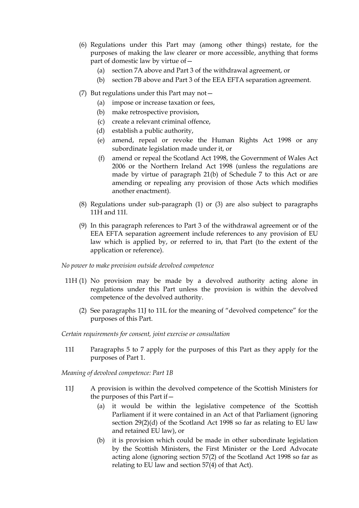- (6) Regulations under this Part may (among other things) restate, for the purposes of making the law clearer or more accessible, anything that forms part of domestic law by virtue of—
	- (a) section 7A above and Part 3 of the withdrawal agreement, or
	- (b) section 7B above and Part 3 of the EEA EFTA separation agreement.
- (7) But regulations under this Part may not  $-$ 
	- (a) impose or increase taxation or fees,
	- (b) make retrospective provision,
	- (c) create a relevant criminal offence,
	- (d) establish a public authority,
	- (e) amend, repeal or revoke the Human Rights Act 1998 or any subordinate legislation made under it, or
	- (f) amend or repeal the Scotland Act 1998, the Government of Wales Act 2006 or the Northern Ireland Act 1998 (unless the regulations are made by virtue of paragraph 21(b) of Schedule 7 to this Act or are amending or repealing any provision of those Acts which modifies another enactment).
- (8) Regulations under sub-paragraph (1) or (3) are also subject to paragraphs 11H and 11I.
- (9) In this paragraph references to Part 3 of the withdrawal agreement or of the EEA EFTA separation agreement include references to any provision of EU law which is applied by, or referred to in, that Part (to the extent of the application or reference).

*No power to make provision outside devolved competence*

- 11H (1) No provision may be made by a devolved authority acting alone in regulations under this Part unless the provision is within the devolved competence of the devolved authority.
	- (2) See paragraphs 11J to 11L for the meaning of "devolved competence" for the purposes of this Part.

*Certain requirements for consent, joint exercise or consultation*

11I Paragraphs 5 to 7 apply for the purposes of this Part as they apply for the purposes of Part 1.

*Meaning of devolved competence: Part 1B*

- 11J A provision is within the devolved competence of the Scottish Ministers for the purposes of this Part if—
	- (a) it would be within the legislative competence of the Scottish Parliament if it were contained in an Act of that Parliament (ignoring section 29(2)(d) of the Scotland Act 1998 so far as relating to EU law and retained EU law), or
	- (b) it is provision which could be made in other subordinate legislation by the Scottish Ministers, the First Minister or the Lord Advocate acting alone (ignoring section 57(2) of the Scotland Act 1998 so far as relating to EU law and section 57(4) of that Act).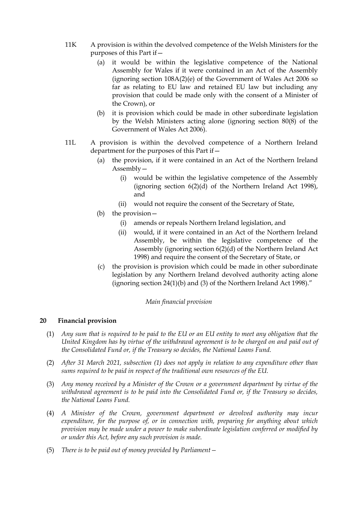- 11K A provision is within the devolved competence of the Welsh Ministers for the purposes of this Part if—
	- (a) it would be within the legislative competence of the National Assembly for Wales if it were contained in an Act of the Assembly (ignoring section 108A(2)(e) of the Government of Wales Act 2006 so far as relating to EU law and retained EU law but including any provision that could be made only with the consent of a Minister of the Crown), or
	- (b) it is provision which could be made in other subordinate legislation by the Welsh Ministers acting alone (ignoring section 80(8) of the Government of Wales Act 2006).
- 11L A provision is within the devolved competence of a Northern Ireland department for the purposes of this Part if—
	- (a) the provision, if it were contained in an Act of the Northern Ireland Assembly—
		- (i) would be within the legislative competence of the Assembly (ignoring section  $6(2)(d)$  of the Northern Ireland Act 1998), and
		- (ii) would not require the consent of the Secretary of State,
	- (b) the provision—
		- (i) amends or repeals Northern Ireland legislation, and
		- (ii) would, if it were contained in an Act of the Northern Ireland Assembly, be within the legislative competence of the Assembly (ignoring section 6(2)(d) of the Northern Ireland Act 1998) and require the consent of the Secretary of State, or
	- (c) the provision is provision which could be made in other subordinate legislation by any Northern Ireland devolved authority acting alone (ignoring section 24(1)(b) and (3) of the Northern Ireland Act 1998)."

#### *Main financial provision*

# **20 Financial provision**

- (1) *Any sum that is required to be paid to the EU or an EU entity to meet any obligation that the United Kingdom has by virtue of the withdrawal agreement is to be charged on and paid out of the Consolidated Fund or, if the Treasury so decides, the National Loans Fund.*
- (2) *After 31 March 2021, subsection (1) does not apply in relation to any expenditure other than sums required to be paid in respect of the traditional own resources of the EU.*
- (3) *Any money received by a Minister of the Crown or a government department by virtue of the withdrawal agreement is to be paid into the Consolidated Fund or, if the Treasury so decides, the National Loans Fund.*
- (4) *A Minister of the Crown, government department or devolved authority may incur expenditure, for the purpose of, or in connection with, preparing for anything about which provision may be made under a power to make subordinate legislation conferred or modified by or under this Act, before any such provision is made.*
- (5) *There is to be paid out of money provided by Parliament—*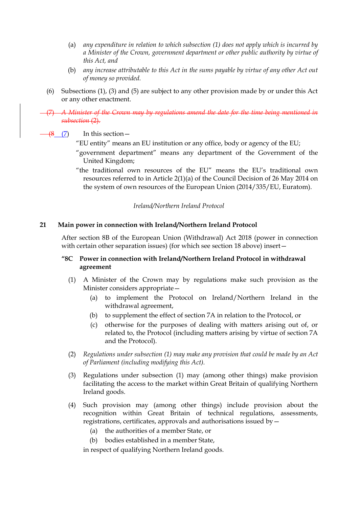- (a) *any expenditure in relation to which subsection (1) does not apply which is incurred by a Minister of the Crown, government department or other public authority by virtue of this Act, and*
- (b) *any increase attributable to this Act in the sums payable by virtue of any other Act out of money so provided.*
- (6) Subsections (1), (3) and (5) are subject to any other provision made by or under this Act or any other enactment.

(7) *A Minister of the Crown may by regulations amend the date for the time being mentioned in subsection* (2).

 $(8 \t(7)$  In this section —

- "EU entity" means an EU institution or any office, body or agency of the EU;
- "government department" means any department of the Government of the United Kingdom;
- "the traditional own resources of the EU" means the EU's traditional own resources referred to in Article 2(1)(a) of the Council Decision of 26 May 2014 on the system of own resources of the European Union (2014/335/EU, Euratom).

# *Ireland/Northern Ireland Protocol*

# **21 Main power in connection with Ireland/Northern Ireland Protocol**

After section 8B of the European Union (Withdrawal) Act 2018 (power in connection with certain other separation issues) (for which see section 18 above) insert—

# **"8C Power in connection with Ireland/Northern Ireland Protocol in withdrawal agreement**

- (1) A Minister of the Crown may by regulations make such provision as the Minister considers appropriate—
	- (a) to implement the Protocol on Ireland/Northern Ireland in the withdrawal agreement,
	- (b) to supplement the effect of section 7A in relation to the Protocol, or
	- (c) otherwise for the purposes of dealing with matters arising out of, or related to, the Protocol (including matters arising by virtue of section 7A and the Protocol).
- (2) *Regulations under subsection (1) may make any provision that could be made by an Act of Parliament (including modifying this Act).*
- (3) Regulations under subsection (1) may (among other things) make provision facilitating the access to the market within Great Britain of qualifying Northern Ireland goods.
- (4) Such provision may (among other things) include provision about the recognition within Great Britain of technical regulations, assessments, registrations, certificates, approvals and authorisations issued by—
	- (a) the authorities of a member State, or
	- (b) bodies established in a member State,

in respect of qualifying Northern Ireland goods.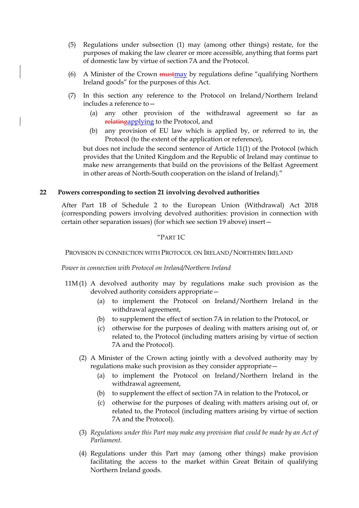- (5) Regulations under subsection (1) may (among other things) restate, for the purposes of making the law clearer or more accessible, anything that forms part of domestic law by virtue of section 7A and the Protocol.
- (6) A Minister of the Crown  $\frac{m}{m}$  by regulations define "qualifying Northern Ireland goods" for the purposes of this Act.
- (7) In this section any reference to the Protocol on Ireland/Northern Ireland includes a reference to—
	- (a) any other provision of the withdrawal agreement so far as relatingapplying to the Protocol, and
	- (b) any provision of EU law which is applied by, or referred to in, the Protocol (to the extent of the application or reference),

but does not include the second sentence of Article 11(1) of the Protocol (which provides that the United Kingdom and the Republic of Ireland may continue to make new arrangements that build on the provisions of the Belfast Agreement in other areas of North-South cooperation on the island of Ireland)."

#### **22 Powers corresponding to section 21 involving devolved authorities**

After Part 1B of Schedule 2 to the European Union (Withdrawal) Act 2018 (corresponding powers involving devolved authorities: provision in connection with certain other separation issues) (for which see section 19 above) insert—

# "PART 1C

#### PROVISION IN CONNECTION WITH PROTOCOL ON IRELAND/NORTHERN IRELAND

*Power in connection with Protocol on Ireland/Northern Ireland*

- 11M (1) A devolved authority may by regulations make such provision as the devolved authority considers appropriate—
	- (a) to implement the Protocol on Ireland/Northern Ireland in the withdrawal agreement,
	- (b) to supplement the effect of section 7A in relation to the Protocol, or
	- (c) otherwise for the purposes of dealing with matters arising out of, or related to, the Protocol (including matters arising by virtue of section 7A and the Protocol).
	- (2) A Minister of the Crown acting jointly with a devolved authority may by regulations make such provision as they consider appropriate—
		- (a) to implement the Protocol on Ireland/Northern Ireland in the withdrawal agreement,
		- (b) to supplement the effect of section 7A in relation to the Protocol, or
		- (c) otherwise for the purposes of dealing with matters arising out of, or related to, the Protocol (including matters arising by virtue of section 7A and the Protocol).
	- (3) *Regulations under this Part may make any provision that could be made by an Act of Parliament.*
	- (4) Regulations under this Part may (among other things) make provision facilitating the access to the market within Great Britain of qualifying Northern Ireland goods.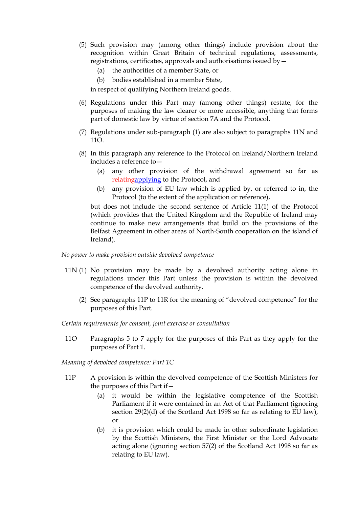- (5) Such provision may (among other things) include provision about the recognition within Great Britain of technical regulations, assessments, registrations, certificates, approvals and authorisations issued by—
	- (a) the authorities of a member State, or
	- (b) bodies established in a member State,

in respect of qualifying Northern Ireland goods.

- (6) Regulations under this Part may (among other things) restate, for the purposes of making the law clearer or more accessible, anything that forms part of domestic law by virtue of section 7A and the Protocol.
- (7) Regulations under sub-paragraph (1) are also subject to paragraphs 11N and 11O.
- (8) In this paragraph any reference to the Protocol on Ireland/Northern Ireland includes a reference to—
	- (a) any other provision of the withdrawal agreement so far as relatingapplying to the Protocol, and
	- (b) any provision of EU law which is applied by, or referred to in, the Protocol (to the extent of the application or reference),

but does not include the second sentence of Article 11(1) of the Protocol (which provides that the United Kingdom and the Republic of Ireland may continue to make new arrangements that build on the provisions of the Belfast Agreement in other areas of North-South cooperation on the island of Ireland).

*No power to make provision outside devolved competence*

- 11N (1) No provision may be made by a devolved authority acting alone in regulations under this Part unless the provision is within the devolved competence of the devolved authority.
	- (2) See paragraphs 11P to 11R for the meaning of "devolved competence" for the purposes of this Part.

*Certain requirements for consent, joint exercise or consultation*

11O Paragraphs 5 to 7 apply for the purposes of this Part as they apply for the purposes of Part 1.

*Meaning of devolved competence: Part 1C*

- 11P A provision is within the devolved competence of the Scottish Ministers for the purposes of this Part if—
	- (a) it would be within the legislative competence of the Scottish Parliament if it were contained in an Act of that Parliament (ignoring section 29(2)(d) of the Scotland Act 1998 so far as relating to EU law), or
	- (b) it is provision which could be made in other subordinate legislation by the Scottish Ministers, the First Minister or the Lord Advocate acting alone (ignoring section 57(2) of the Scotland Act 1998 so far as relating to EU law).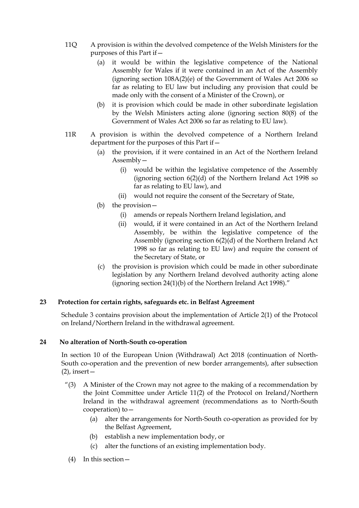- 11Q A provision is within the devolved competence of the Welsh Ministers for the purposes of this Part if—
	- (a) it would be within the legislative competence of the National Assembly for Wales if it were contained in an Act of the Assembly (ignoring section 108A(2)(e) of the Government of Wales Act 2006 so far as relating to EU law but including any provision that could be made only with the consent of a Minister of the Crown), or
	- (b) it is provision which could be made in other subordinate legislation by the Welsh Ministers acting alone (ignoring section 80(8) of the Government of Wales Act 2006 so far as relating to EU law).
- 11R A provision is within the devolved competence of a Northern Ireland department for the purposes of this Part if—
	- (a) the provision, if it were contained in an Act of the Northern Ireland Assembly—
		- (i) would be within the legislative competence of the Assembly (ignoring section  $6(2)(d)$  of the Northern Ireland Act 1998 so far as relating to EU law), and
		- (ii) would not require the consent of the Secretary of State,
	- (b) the provision—
		- (i) amends or repeals Northern Ireland legislation, and
		- (ii) would, if it were contained in an Act of the Northern Ireland Assembly, be within the legislative competence of the Assembly (ignoring section 6(2)(d) of the Northern Ireland Act 1998 so far as relating to EU law) and require the consent of the Secretary of State, or
	- (c) the provision is provision which could be made in other subordinate legislation by any Northern Ireland devolved authority acting alone (ignoring section 24(1)(b) of the Northern Ireland Act 1998)."

#### **23 Protection for certain rights, safeguards etc. in Belfast Agreement**

Schedule 3 contains provision about the implementation of Article 2(1) of the Protocol on Ireland/Northern Ireland in the withdrawal agreement.

#### **24 No alteration of North-South co-operation**

In section 10 of the European Union (Withdrawal) Act 2018 (continuation of North-South co-operation and the prevention of new border arrangements), after subsection (2), insert—

- "(3) A Minister of the Crown may not agree to the making of a recommendation by the Joint Committee under Article 11(2) of the Protocol on Ireland/Northern Ireland in the withdrawal agreement (recommendations as to North-South cooperation) to—
	- (a) alter the arrangements for North-South co-operation as provided for by the Belfast Agreement,
	- (b) establish a new implementation body, or
	- (c) alter the functions of an existing implementation body.
- (4) In this section—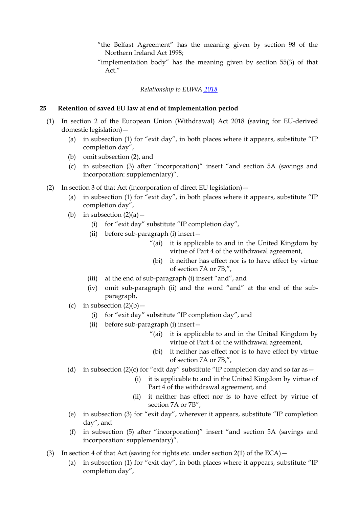- "the Belfast Agreement" has the meaning given by section 98 of the Northern Ireland Act 1998;
- "implementation body" has the meaning given by section 55(3) of that Act."

*Relationship to EUWA 2018*

# **25 Retention of saved EU law at end of implementation period**

- (1) In section 2 of the European Union (Withdrawal) Act 2018 (saving for EU-derived domestic legislation)—
	- (a) in subsection (1) for "exit day", in both places where it appears, substitute "IP completion day",
	- (b) omit subsection (2), and
	- (c) in subsection (3) after "incorporation)" insert "and section 5A (savings and incorporation: supplementary)".
- (2) In section 3 of that Act (incorporation of direct EU legislation)—
	- (a) in subsection (1) for "exit day", in both places where it appears, substitute "IP completion day",
	- (b) in subsection  $(2)(a)$ 
		- (i) for "exit day" substitute "IP completion day",
		- (ii) before sub-paragraph (i) insert—
			- "(ai) it is applicable to and in the United Kingdom by virtue of Part 4 of the withdrawal agreement,
			- (bi) it neither has effect nor is to have effect by virtue of section 7A or 7B,",
		- (iii) at the end of sub-paragraph (i) insert "and", and
		- (iv) omit sub-paragraph (ii) and the word "and" at the end of the subparagraph,
	- (c) in subsection  $(2)(b)$ 
		- (i) for "exit day" substitute "IP completion day", and
		- (ii) before sub-paragraph (i) insert—
			- "(ai) it is applicable to and in the United Kingdom by virtue of Part 4 of the withdrawal agreement,
			- (bi) it neither has effect nor is to have effect by virtue of section 7A or 7B,",
	- (d) in subsection (2)(c) for "exit day" substitute "IP completion day and so far as  $-$ 
		- (i) it is applicable to and in the United Kingdom by virtue of Part 4 of the withdrawal agreement, and
		- (ii) it neither has effect nor is to have effect by virtue of section 7A or 7B",
	- (e) in subsection (3) for "exit day", wherever it appears, substitute "IP completion day", and
	- (f) in subsection (5) after "incorporation)" insert "and section 5A (savings and incorporation: supplementary)".
- (3) In section 4 of that Act (saving for rights etc. under section 2(1) of the ECA)  $-$ 
	- (a) in subsection (1) for "exit day", in both places where it appears, substitute "IP completion day",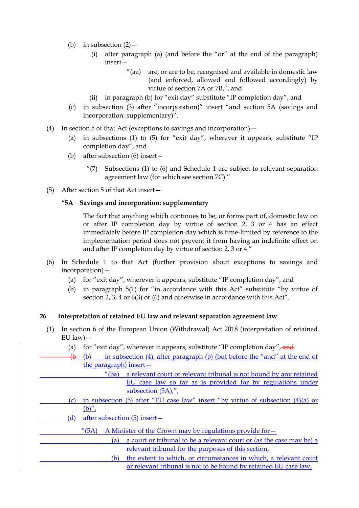- (b) in subsection  $(2)$ 
	- (i) after paragraph (a) (and before the "or" at the end of the paragraph) insert—
		- "(aa) are, or are to be, recognised and available in domestic law (and enforced, allowed and followed accordingly) by virtue of section 7A or 7B,", and
	- (ii) in paragraph (b) for "exit day" substitute "IP completion day", and
- (c) in subsection (3) after "incorporation)" insert "and section 5A (savings and incorporation: supplementary)".
- (4) In section 5 of that Act (exceptions to savings and incorporation)—
	- (a) in subsections (1) to (5) for "exit day", wherever it appears, substitute "IP completion day", and
	- (b) after subsection (6) insert—
		- " $(7)$  Subsections  $(1)$  to  $(6)$  and Schedule 1 are subject to relevant separation agreement law (for which see section 7C)."
- (5) After section 5 of that Act insert—

# **"5A Savings and incorporation: supplementary**

The fact that anything which continues to be, or forms part of, domestic law on or after IP completion day by virtue of section 2, 3 or 4 has an effect immediately before IP completion day which is time-limited by reference to the implementation period does not prevent it from having an indefinite effect on and after IP completion day by virtue of section 2, 3 or 4."

- (6) In Schedule 1 to that Act (further provision about exceptions to savings and incorporation)—
	- (a) for "exit day", wherever it appears, substitute "IP completion day", and
	- (b) in paragraph 5(1) for "in accordance with this Act" substitute "by virtue of section 2, 3, 4 or 6(3) or (6) and otherwise in accordance with this Act".

#### **26 Interpretation of retained EU law and relevant separation agreement law**

- (1) In section 6 of the European Union (Withdrawal) Act 2018 (interpretation of retained EU law $)-$ 
	- (a) for "exit day", wherever it appears, substitute "IP completion day", and
	- $(b)$  in subsection (4), after paragraph (b) (but before the "and" at the end of the paragraph) insert—
		- "(ba) a relevant court or relevant tribunal is not bound by any retained EU case law so far as is provided for by regulations under subsection (5A),",
	- (c) in subsection (5) after "EU case law" insert "by virtue of subsection (4)(a) or (b)",
	- (d) after subsection (5) insert—
		- "(5A) A Minister of the Crown may by regulations provide for  $-$ 
			- (a) a court or tribunal to be a relevant court or (as the case may be) a relevant tribunal for the purposes of this section,
			- (b) the extent to which, or circumstances in which, a relevant court or relevant tribunal is not to be bound by retained EU case law,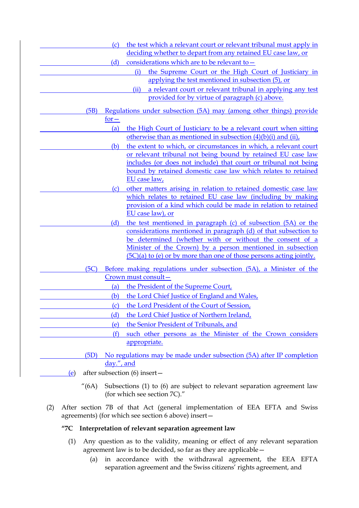| (c)                                            | the test which a relevant court or relevant tribunal must apply in                                                            |
|------------------------------------------------|-------------------------------------------------------------------------------------------------------------------------------|
|                                                | deciding whether to depart from any retained EU case law, or                                                                  |
| (d)                                            | considerations which are to be relevant to -                                                                                  |
|                                                | the Supreme Court or the High Court of Justiciary in<br>(i)                                                                   |
|                                                | applying the test mentioned in subsection (5), or                                                                             |
|                                                | a relevant court or relevant tribunal in applying any test<br>(ii)                                                            |
| provided for by virtue of paragraph (c) above. |                                                                                                                               |
| (5B)                                           | Regulations under subsection (5A) may (among other things) provide                                                            |
| $for -$                                        |                                                                                                                               |
| (a)                                            | the High Court of Justiciary to be a relevant court when sitting                                                              |
|                                                | otherwise than as mentioned in subsection $(4)(b)(i)$ and $(ii)$ ,                                                            |
| (b)                                            | the extent to which, or circumstances in which, a relevant court                                                              |
|                                                | or relevant tribunal not being bound by retained EU case law                                                                  |
|                                                | includes (or does not include) that court or tribunal not being                                                               |
|                                                | bound by retained domestic case law which relates to retained<br>EU case law,                                                 |
|                                                |                                                                                                                               |
| (c)                                            | other matters arising in relation to retained domestic case law<br>which relates to retained EU case law (including by making |
|                                                | provision of a kind which could be made in relation to retained                                                               |
|                                                | EU case law), or                                                                                                              |
| (d)                                            | the test mentioned in paragraph (c) of subsection (5A) or the                                                                 |
|                                                | considerations mentioned in paragraph (d) of that subsection to                                                               |
|                                                | be determined (whether with or without the consent of a                                                                       |
|                                                | Minister of the Crown) by a person mentioned in subsection                                                                    |
|                                                | (5C)(a) to (e) or by more than one of those persons acting jointly.                                                           |
| (5C)                                           | Before making regulations under subsection (5A), a Minister of the                                                            |
|                                                | Crown must consult-                                                                                                           |
| (a)                                            | the President of the Supreme Court,                                                                                           |
| (b)                                            | the Lord Chief Justice of England and Wales,                                                                                  |
| (c)                                            | the Lord President of the Court of Session,                                                                                   |
| (d)                                            | the Lord Chief Justice of Northern Ireland,                                                                                   |
| (e)                                            | the Senior President of Tribunals, and                                                                                        |
| (f)                                            | such other persons as the Minister of the Crown considers                                                                     |
|                                                | appropriate.                                                                                                                  |
| (5D)                                           | No regulations may be made under subsection (5A) after IP completion                                                          |
| day.", and                                     |                                                                                                                               |
|                                                |                                                                                                                               |

- (e) after subsection  $(6)$  insert -
	- " $(6A)$  Subsections  $(1)$  to  $(6)$  are subject to relevant separation agreement law (for which see section 7C)."
- (2) After section 7B of that Act (general implementation of EEA EFTA and Swiss agreements) (for which see section 6 above) insert—

# **"7C Interpretation of relevant separation agreement law**

- (1) Any question as to the validity, meaning or effect of any relevant separation agreement law is to be decided, so far as they are applicable—
	- (a) in accordance with the withdrawal agreement, the EEA EFTA separation agreement and the Swiss citizens' rights agreement, and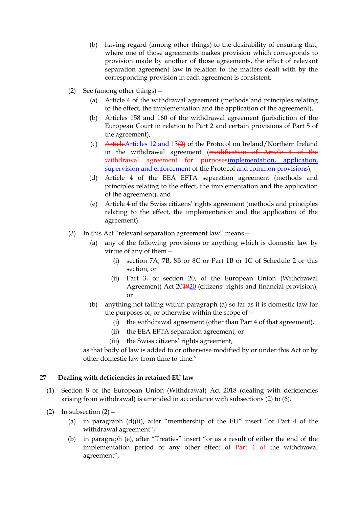- (b) having regard (among other things) to the desirability of ensuring that, where one of those agreements makes provision which corresponds to provision made by another of those agreements, the effect of relevant separation agreement law in relation to the matters dealt with by the corresponding provision in each agreement is consistent.
- (2) See (among other things)—
	- (a) Article 4 of the withdrawal agreement (methods and principles relating to the effect, the implementation and the application of the agreement),
	- (b) Articles 158 and 160 of the withdrawal agreement (jurisdiction of the European Court in relation to Part 2 and certain provisions of Part 5 of the agreement),
	- (c) ArticleArticles 12 and  $13(2)$  of the Protocol on Ireland/Northern Ireland in the withdrawal agreement (modification of Article 4 of the withdrawal agreement for purposesimplementation, application, supervision and enforcement of the Protocol and common provisions),
	- (d) Article 4 of the EEA EFTA separation agreement (methods and principles relating to the effect, the implementation and the application of the agreement), and
	- (e) Article 4 of the Swiss citizens' rights agreement (methods and principles relating to the effect, the implementation and the application of the agreement).
- (3) In this Act "relevant separation agreement law" means—
	- (a) any of the following provisions or anything which is domestic law by virtue of any of them—
		- (i) section 7A, 7B, 8B or 8C or Part 1B or 1C of Schedule 2 or this section, or
		- (ii) Part 3, or section 20, of the European Union (Withdrawal Agreement) Act 201920 (citizens' rights and financial provision), or
	- (b) anything not falling within paragraph (a) so far as it is domestic law for the purposes of, or otherwise within the scope of—
		- (i) the withdrawal agreement (other than Part 4 of that agreement),
		- (ii) the EEA EFTA separation agreement, or
		- (iii) the Swiss citizens' rights agreement,

as that body of law is added to or otherwise modified by or under this Act or by other domestic law from time to time."

#### **27 Dealing with deficiencies in retained EU law**

- (1) Section 8 of the European Union (Withdrawal) Act 2018 (dealing with deficiencies arising from withdrawal) is amended in accordance with subsections (2) to (6).
- (2) In subsection  $(2)$  -
	- (a) in paragraph (d)(ii), after "membership of the EU" insert "or Part 4 of the withdrawal agreement",
	- (b) in paragraph (e), after "Treaties" insert "or as a result of either the end of the implementation period or any other effect of Part 4 of the withdrawal agreement",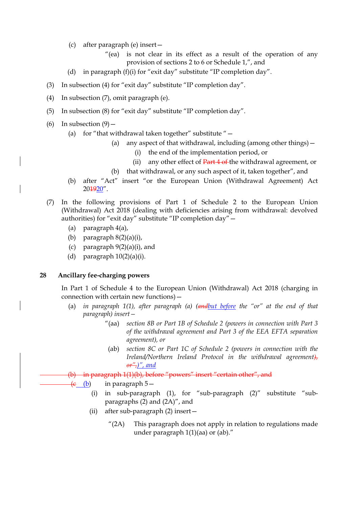- (c) after paragraph (e) insert—
	- "(ea) is not clear in its effect as a result of the operation of any provision of sections 2 to 6 or Schedule 1,", and
- (d) in paragraph (f)(i) for "exit day" substitute "IP completion day".
- (3) In subsection (4) for "exit day" substitute "IP completion day".
- (4) In subsection (7), omit paragraph (e).
- (5) In subsection (8) for "exit day" substitute "IP completion day".
- (6) In subsection  $(9)$ 
	- (a) for "that withdrawal taken together" substitute " $-$ 
		- (a) any aspect of that withdrawal, including (among other things)—
			- (i) the end of the implementation period, or
			- (ii) any other effect of  $Part 4 of$  the withdrawal agreement, or
		- (b) that withdrawal, or any such aspect of it, taken together", and
	- (b) after "Act" insert "or the European Union (Withdrawal Agreement) Act 201920".
- (7) In the following provisions of Part 1 of Schedule 2 to the European Union (Withdrawal) Act 2018 (dealing with deficiencies arising from withdrawal: devolved authorities) for "exit day" substitute "IP completion day"—
	- (a) paragraph 4(a),
	- (b) paragraph  $8(2)(a)(i)$ ,
	- (c) paragraph  $9(2)(a)(i)$ , and
	- (d) paragraph  $10(2)(a)(i)$ .

# **28 Ancillary fee-charging powers**

In Part 1 of Schedule 4 to the European Union (Withdrawal) Act 2018 (charging in connection with certain new functions)—

- (a) *in paragraph 1(1), after paragraph (a) (andbut before the "or" at the end of that paragraph) insert—*
	- "(aa) *section 8B or Part 1B of Schedule 2 (powers in connection with Part 3 of the withdrawal agreement and Part 3 of the EEA EFTA separation agreement), or*
	- (ab) *section 8C or Part 1C of Schedule 2 (powers in connection with the Ireland/Northern Ireland Protocol in the withdrawal agreement), or",)", and*

in paragraph 1(1)(b), before "powers" insert "certain other", and

 $(e (b)$  in paragraph 5

- (i) in sub-paragraph (1), for "sub-paragraph (2)" substitute "subparagraphs (2) and (2A)", and
- (ii) after sub-paragraph (2) insert—
	- "(2A) This paragraph does not apply in relation to regulations made under paragraph 1(1)(aa) or (ab)."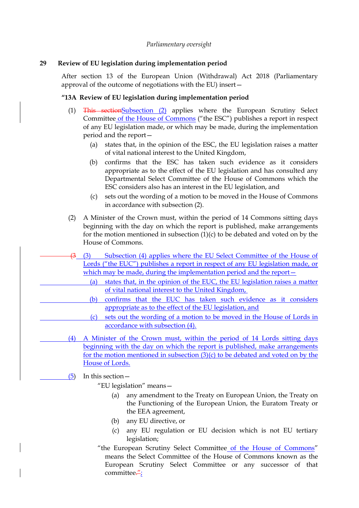# **29 Review of EU legislation during implementation period**

After section 13 of the European Union (Withdrawal) Act 2018 (Parliamentary approval of the outcome of negotiations with the EU) insert—

# **"13A Review of EU legislation during implementation period**

- (1) This sectionSubsection (2) applies where the European Scrutiny Select Committee of the House of Commons ("the ESC") publishes a report in respect of any EU legislation made, or which may be made, during the implementation period and the report—
	- (a) states that, in the opinion of the ESC, the EU legislation raises a matter of vital national interest to the United Kingdom,
	- (b) confirms that the ESC has taken such evidence as it considers appropriate as to the effect of the EU legislation and has consulted any Departmental Select Committee of the House of Commons which the ESC considers also has an interest in the EU legislation, and
	- (c) sets out the wording of a motion to be moved in the House of Commons in accordance with subsection (2).
- (2) A Minister of the Crown must, within the period of 14 Commons sitting days beginning with the day on which the report is published, make arrangements for the motion mentioned in subsection (1)(c) to be debated and voted on by the House of Commons.
- (3) Subsection (4) applies where the EU Select Committee of the House of Lords ("the EUC") publishes a report in respect of any EU legislation made, or which may be made, during the implementation period and the report-
	- (a) states that, in the opinion of the EUC, the EU legislation raises a matter of vital national interest to the United Kingdom,
	- (b) confirms that the EUC has taken such evidence as it considers appropriate as to the effect of the EU legislation, and
	- (c) sets out the wording of a motion to be moved in the House of Lords in accordance with subsection (4).
- (4) A Minister of the Crown must, within the period of 14 Lords sitting days beginning with the day on which the report is published, make arrangements for the motion mentioned in subsection  $(3)(c)$  to be debated and voted on by the House of Lords.

# (5) In this section—

- "EU legislation" means—
	- (a) any amendment to the Treaty on European Union, the Treaty on the Functioning of the European Union, the Euratom Treaty or the EEA agreement,
	- (b) any EU directive, or
	- (c) any EU regulation or EU decision which is not EU tertiary legislation;
- "the European Scrutiny Select Committee of the House of Commons" means the Select Committee of the House of Commons known as the European Scrutiny Select Committee or any successor of that committee.";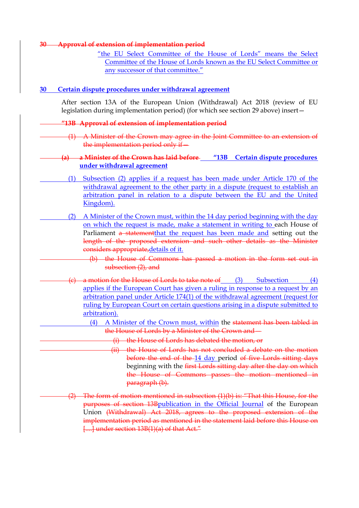#### **30 Approval of extension of implementation period**

"the EU Select Committee of the House of Lords" means the Select Committee of the House of Lords known as the EU Select Committee or any successor of that committee."

# **30 Certain dispute procedures under withdrawal agreement**

After section 13A of the European Union (Withdrawal) Act 2018 (review of EU legislation during implementation period) (for which see section 29 above) insert—

## **"13B Approval of extension of implementation period**

- (1) A Minister of the Crown may agree in the Joint Committee to an extension of the implementation period only if—
- **(a) a Minister of the Crown has laid before "13B Certain dispute procedures under withdrawal agreement**
- (1) Subsection (2) applies if a request has been made under Article 170 of the withdrawal agreement to the other party in a dispute (request to establish an arbitration panel in relation to a dispute between the EU and the United Kingdom).
- (2) A Minister of the Crown must, within the 14 day period beginning with the day on which the request is made, make a statement in writing to each House of Parliament a statement that the request has been made and setting out the length of the proposed extension and such other details as the Minister considers appropriate,details of it.
	- (b) the House of Commons has passed a motion in the form set out in subsection (2), and
	- a motion for the House of Lords to take note of (3) Subsection (4) applies if the European Court has given a ruling in response to a request by an arbitration panel under Article 174(1) of the withdrawal agreement (request for ruling by European Court on certain questions arising in a dispute submitted to arbitration).
		- (4) A Minister of the Crown must, within the statement has been tabled in the House of Lords by a Minister of the Crown and—
			- (i) the House of Lords has debated the motion, or
			- (ii) the House of Lords has not concluded a debate on the motion before the end of the 14 day period of five Lords sitting days beginning with the first Lords sitting day after the day on which the House of Commons passes the motion mentioned in paragraph (b).
- (2) The form of motion mentioned in subsection (1)(b) is: "That this House, for the purposes of section 13Bpublication in the Official Journal of the European Union (Withdrawal) Act 2018, agrees to the proposed extension of the implementation period as mentioned in the statement laid before this House on [....] under section 13B(1)(a) of that Act."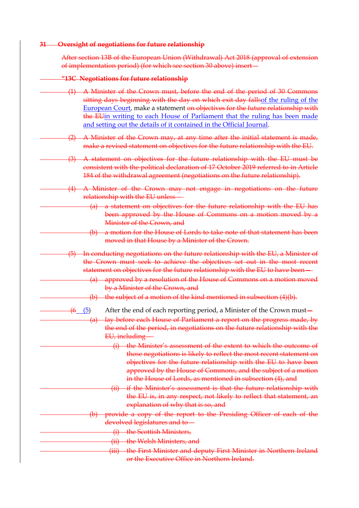#### **31 Oversight of negotiations for future relationship**

After section 13B of the European Union (Withdrawal) Act 2018 (approval of extension of implementation period) (for which see section 30 above) insert—

#### **"13C Negotiations for future relationship**

- (1) A Minister of the Crown must, before the end of the period of 30 Commons sitting days beginning with the day on which exit day fallsof the ruling of the European Court, make a statement on objectives for the future relationship with the EU in writing to each House of Parliament that the ruling has been made and setting out the details of it contained in the Official Journal.
- (2) A Minister of the Crown may, at any time after the initial statement is made, make a revised statement on objectives for the future relationship with the EU.
- (3) A statement on objectives for the future relationship with the EU must be consistent with the political declaration of 17 October 2019 referred to in Article 184 of the withdrawal agreement (negotiations on the future relationship).
- A Minister of the Crown may not engage in negotiations on the future relationship with the EU unless—
	- (a) a statement on objectives for the future relationship with the EU has been approved by the House of Commons on a motion moved by a Minister of the Crown, and
	- (b) a motion for the House of Lords to take note of that statement has been moved in that House by a Minister of the Crown.
- (5) In conducting negotiations on the future relationship with the EU, a Minister of the Crown must seek to achieve the objectives set out in the most recent statement on objectives for the future relationship with the EU to have been-
	- (a) approved by a resolution of the House of Commons on a motion moved by a Minister of the Crown, and
	- $(b)$  the subject of a motion of the kind mentioned in subsection  $(4)(b)$ .

 $(6)(5)$  After the end of each reporting period, a Minister of the Crown must—

- (a) lay before each House of Parliament a report on the progress made, by the end of the period, in negotiations on the future relationship with the EU, including—
	- (i) the Minister's assessment of the extent to which the outcome of those negotiations is likely to reflect the most recent statement on objectives for the future relationship with the EU to have been approved by the House of Commons, and the subject of a motion in the House of Lords, as mentioned in subsection (4), and
	- (ii) if the Minister's assessment is that the future relationship with the EU is, in any respect, not likely to reflect that statement, an explanation of why that is so, and
- provide a copy of the report to the Presiding Officer of each of the devolved legislatures and to—
	- (i) the Scottish Ministers,
	- (ii) the Welsh Ministers, and
	- (iii) the First Minister and deputy First Minister in Northern Ireland or the Executive Office in Northern Ireland.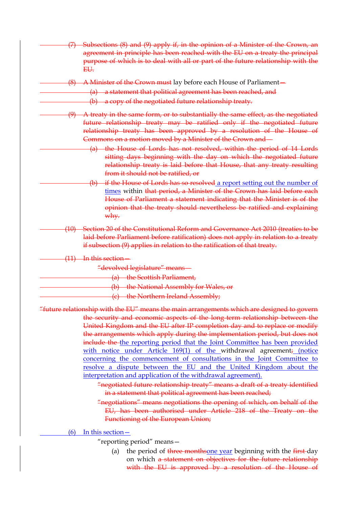- Subsections (8) and (9) apply if, in the opinion of a Minister of the Crown, an agreement in principle has been reached with the EU on a treaty the principal purpose of which is to deal with all or part of the future relationship with the EU.
	- A Minister of the Crown must lay before each House of Parliament—
		- (a) a statement that political agreement has been reached, and
			- (b) a copy of the negotiated future relationship treaty.
- A treaty in the same form, or to substantially the same effect, as the negotiated future relationship treaty may be ratified only if the negotiated future relationship treaty has been approved by a resolution of the House of Commons on a motion moved by a Minister of the Crown and—
	- (a) the House of Lords has not resolved, within the period of 14 Lords sitting days beginning with the day on which the negotiated future relationship treaty is laid before that House, that any treaty resulting from it should not be ratified, or
		- if the House of Lords has so resolved a report setting out the number of times within that period, a Minister of the Crown has laid before each House of Parliament a statement indicating that the Minister is of the opinion that the treaty should nevertheless be ratified and explaining why.
- Section 20 of the Constitutional Reform and Governance Act 2010 (treaties to be laid before Parliament before ratification) does not apply in relation to a treaty if subsection (9) applies in relation to the ratification of that treaty.

(11) In this section—

"devolved legislature" means—

- (a) the Scottish Parliament,
- (b) the National Assembly for Wales, or
- (c) the Northern Ireland Assembly;
- "future relationship with the  $EU''$  means the main arrangements which are designed to govern the security and economic aspects of the long-term relationship between the United Kingdom and the EU after IP completion day and to replace or modify the arrangements which apply during the implementation period, but does not include the the reporting period that the Joint Committee has been provided with notice under Article 169(1) of the withdrawal agreement; (notice concerning the commencement of consultations in the Joint Committee to resolve a dispute between the EU and the United Kingdom about the interpretation and application of the withdrawal agreement).

"negotiated future relationship treaty" means a draft of a treaty identified in a statement that political agreement has been reached;

"negotiations" means negotiations the opening of which, on behalf of the EU, has been authorised under Article 218 of the Treaty on the Functioning of the European Union;

(6) In this section—

"reporting period" means—

(a) the period of  $t$  three monthsone year beginning with the  $f$  first day on which a statement on objectives for the future relationship with the EU is approved by a resolution of the House of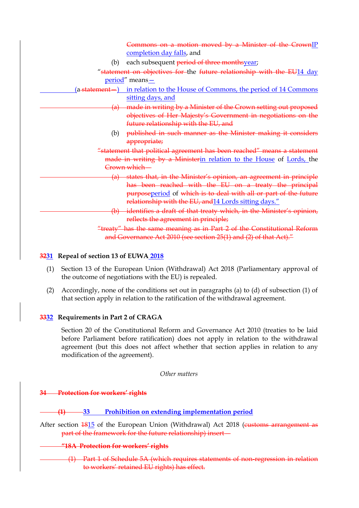|                                                                         | Commons on a motion moved by a Minister of the Crown $IP$               |  |
|-------------------------------------------------------------------------|-------------------------------------------------------------------------|--|
|                                                                         | completion day falls, and                                               |  |
| (b)                                                                     | each subsequent period of three monthsyear;                             |  |
|                                                                         | "statement on objectives for the future relationship with the EU14 day  |  |
|                                                                         | period" means-                                                          |  |
| (a <del>-statement —</del> )                                            | in relation to the House of Commons, the period of 14 Commons           |  |
|                                                                         | sitting days, and                                                       |  |
|                                                                         | (a) made in writing by a Minister of the Crown setting out proposed     |  |
|                                                                         | objectives of Her Majesty's Government in negotiations on the           |  |
|                                                                         | future relationship with the EU, and                                    |  |
|                                                                         |                                                                         |  |
| (b)                                                                     | published in such manner as the Minister making it considers            |  |
|                                                                         | appropriate;                                                            |  |
| "statement that political agreement has been reached" means a statement |                                                                         |  |
|                                                                         | made in writing by a Ministerin relation to the House of Lords, the     |  |
|                                                                         | Crown which-                                                            |  |
|                                                                         | (a) states that, in the Minister's opinion, an agreement in principle   |  |
|                                                                         | has been reached with the EU on a treaty the principal                  |  |
|                                                                         | purposeperiod of which is to deal with all or part of the future        |  |
|                                                                         | relationship with the EU, and 14 Lords sitting days."                   |  |
|                                                                         |                                                                         |  |
|                                                                         | (b) identifies a draft of that treaty which, in the Minister's opinion, |  |
|                                                                         | reflects the agreement in principle;                                    |  |
|                                                                         | "treaty" has the same meaning as in Part 2 of the Constitutional Reform |  |
|                                                                         | and Governance Act 2010 (see section 25(1) and (2) of that Act)."       |  |
|                                                                         |                                                                         |  |

## **3231 Repeal of section 13 of EUWA 2018**

- (1) Section 13 of the European Union (Withdrawal) Act 2018 (Parliamentary approval of the outcome of negotiations with the EU) is repealed.
- (2) Accordingly, none of the conditions set out in paragraphs (a) to (d) of subsection (1) of that section apply in relation to the ratification of the withdrawal agreement.

## **3332 Requirements in Part 2 of CRAGA**

Section 20 of the Constitutional Reform and Governance Act 2010 (treaties to be laid before Parliament before ratification) does not apply in relation to the withdrawal agreement (but this does not affect whether that section applies in relation to any modification of the agreement).

*Other matters*

#### **34 Protection for workers' rights**

## **(1) 33 Prohibition on extending implementation period**

After section  $\frac{1815}{180}$  of the European Union (Withdrawal) Act 2018 (customs arrangement as part of the framework for the future relationship) insert—

#### **"18A Protection for workers' rights**

(1) Part 1 of Schedule 5A (which requires statements of non-regression in relation to workers' retained EU rights) has effect.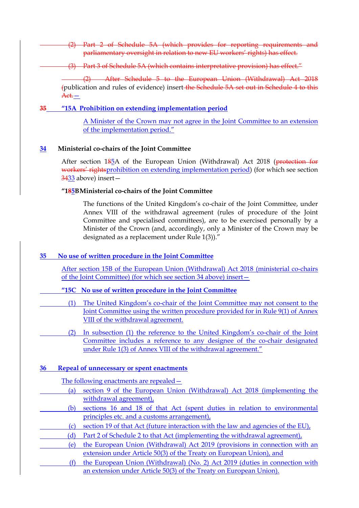- Part 2 of Schedule 5A (which provides for reporting requirements and parliamentary oversight in relation to new EU workers' rights) has effect.
- (3) Part 3 of Schedule 5A (which contains interpretative provision) has effect."

(2) After Schedule 5 to the European Union (Withdrawal) Act 2018 (publication and rules of evidence) insert the Schedule 5A set out in Schedule 4 to this Act.—

# **35 "15A Prohibition on extending implementation period**

A Minister of the Crown may not agree in the Joint Committee to an extension of the implementation period."

# **34 Ministerial co-chairs of the Joint Committee**

After section 185A of the European Union (Withdrawal) Act 2018 (protection for workers' rightsprohibition on extending implementation period) (for which see section 3433 above) insert—

## **"185BMinisterial co-chairs of the Joint Committee**

The functions of the United Kingdom's co-chair of the Joint Committee, under Annex VIII of the withdrawal agreement (rules of procedure of the Joint Committee and specialised committees), are to be exercised personally by a Minister of the Crown (and, accordingly, only a Minister of the Crown may be designated as a replacement under Rule 1(3))."

# **35 No use of written procedure in the Joint Committee**

After section 15B of the European Union (Withdrawal) Act 2018 (ministerial co-chairs of the Joint Committee) (for which see section 34 above) insert—

**"15C No use of written procedure in the Joint Committee**

- (1) The United Kingdom's co-chair of the Joint Committee may not consent to the Joint Committee using the written procedure provided for in Rule 9(1) of Annex VIII of the withdrawal agreement.
- (2) In subsection (1) the reference to the United Kingdom's co-chair of the Joint Committee includes a reference to any designee of the co-chair designated under Rule 1(3) of Annex VIII of the withdrawal agreement."

## **36 Repeal of unnecessary or spent enactments**

The following enactments are repealed—

- (a) section 9 of the European Union (Withdrawal) Act 2018 (implementing the withdrawal agreement),
- (b) sections 16 and 18 of that Act (spent duties in relation to environmental principles etc. and a customs arrangement),
- (c) section 19 of that Act (future interaction with the law and agencies of the EU),
- (d) Part 2 of Schedule 2 to that Act (implementing the withdrawal agreement),
- (e) the European Union (Withdrawal) Act 2019 (provisions in connection with an extension under Article 50(3) of the Treaty on European Union), and
- (f) the European Union (Withdrawal) (No. 2) Act 2019 (duties in connection with an extension under Article 50(3) of the Treaty on European Union).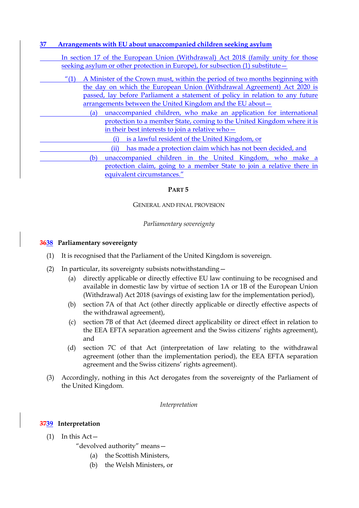**37 Arrangements with EU about unaccompanied children seeking asylum**

| In section 17 of the European Union (Withdrawal) Act 2018 (family unity for those                    |  |  |
|------------------------------------------------------------------------------------------------------|--|--|
| seeking asylum or other protection in Europe), for subsection (1) substitute –                       |  |  |
| A Minister of the Crown must, within the period of two months beginning with<br>$^{\prime\prime}(1)$ |  |  |
| the day on which the European Union (Withdrawal Agreement) Act 2020 is                               |  |  |
| passed, lay before Parliament a statement of policy in relation to any future                        |  |  |
| arrangements between the United Kingdom and the EU about-                                            |  |  |
| unaccompanied children, who make an application for international<br>(a)                             |  |  |
| protection to a member State, coming to the United Kingdom where it is                               |  |  |
| in their best interests to join a relative who $-$                                                   |  |  |
| is a lawful resident of the United Kingdom, or<br>(i)                                                |  |  |
| has made a protection claim which has not been decided, and<br>(ii)                                  |  |  |
| unaccompanied children in the United Kingdom, who make a<br>(b                                       |  |  |
| protection claim, going to a member State to join a relative there in                                |  |  |

**PART 5**

#### GENERAL AND FINAL PROVISION

#### *Parliamentary sovereignty*

## **3638 Parliamentary sovereignty**

- (1) It is recognised that the Parliament of the United Kingdom is sovereign.
- (2) In particular, its sovereignty subsists notwithstanding—

equivalent circumstances."

- (a) directly applicable or directly effective EU law continuing to be recognised and available in domestic law by virtue of section 1A or 1B of the European Union (Withdrawal) Act 2018 (savings of existing law for the implementation period),
- (b) section 7A of that Act (other directly applicable or directly effective aspects of the withdrawal agreement),
- (c) section 7B of that Act (deemed direct applicability or direct effect in relation to the EEA EFTA separation agreement and the Swiss citizens' rights agreement), and
- (d) section 7C of that Act (interpretation of law relating to the withdrawal agreement (other than the implementation period), the EEA EFTA separation agreement and the Swiss citizens' rights agreement).
- (3) Accordingly, nothing in this Act derogates from the sovereignty of the Parliament of the United Kingdom.

#### *Interpretation*

# **3739 Interpretation**

(1) In this Act—

"devolved authority" means—

- (a) the Scottish Ministers,
- (b) the Welsh Ministers, or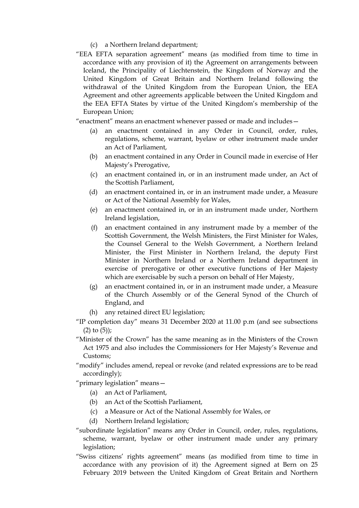- (c) a Northern Ireland department;
- "EEA EFTA separation agreement" means (as modified from time to time in accordance with any provision of it) the Agreement on arrangements between Iceland, the Principality of Liechtenstein, the Kingdom of Norway and the United Kingdom of Great Britain and Northern Ireland following the withdrawal of the United Kingdom from the European Union, the EEA Agreement and other agreements applicable between the United Kingdom and the EEA EFTA States by virtue of the United Kingdom's membership of the European Union;

"enactment" means an enactment whenever passed or made and includes—

- (a) an enactment contained in any Order in Council, order, rules, regulations, scheme, warrant, byelaw or other instrument made under an Act of Parliament,
- (b) an enactment contained in any Order in Council made in exercise of Her Majesty's Prerogative,
- (c) an enactment contained in, or in an instrument made under, an Act of the Scottish Parliament,
- (d) an enactment contained in, or in an instrument made under, a Measure or Act of the National Assembly for Wales,
- (e) an enactment contained in, or in an instrument made under, Northern Ireland legislation,
- (f) an enactment contained in any instrument made by a member of the Scottish Government, the Welsh Ministers, the First Minister for Wales, the Counsel General to the Welsh Government, a Northern Ireland Minister, the First Minister in Northern Ireland, the deputy First Minister in Northern Ireland or a Northern Ireland department in exercise of prerogative or other executive functions of Her Majesty which are exercisable by such a person on behalf of Her Majesty,
- (g) an enactment contained in, or in an instrument made under, a Measure of the Church Assembly or of the General Synod of the Church of England, and
- (h) any retained direct EU legislation;
- "IP completion day" means 31 December 2020 at 11.00 p.m (and see subsections  $(2)$  to  $(5)$ ;
- "Minister of the Crown" has the same meaning as in the Ministers of the Crown Act 1975 and also includes the Commissioners for Her Majesty's Revenue and Customs;
- "modify" includes amend, repeal or revoke (and related expressions are to be read accordingly);

"primary legislation" means—

- (a) an Act of Parliament,
- (b) an Act of the Scottish Parliament,
- (c) a Measure or Act of the National Assembly for Wales, or
- (d) Northern Ireland legislation;
- "subordinate legislation" means any Order in Council, order, rules, regulations, scheme, warrant, byelaw or other instrument made under any primary legislation;
- "Swiss citizens' rights agreement" means (as modified from time to time in accordance with any provision of it) the Agreement signed at Bern on 25 February 2019 between the United Kingdom of Great Britain and Northern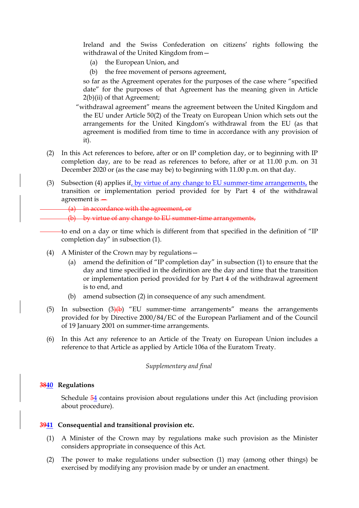Ireland and the Swiss Confederation on citizens' rights following the withdrawal of the United Kingdom from—

- (a) the European Union, and
- (b) the free movement of persons agreement,

so far as the Agreement operates for the purposes of the case where "specified date" for the purposes of that Agreement has the meaning given in Article 2(b)(ii) of that Agreement;

- "withdrawal agreement" means the agreement between the United Kingdom and the EU under Article 50(2) of the Treaty on European Union which sets out the arrangements for the United Kingdom's withdrawal from the EU (as that agreement is modified from time to time in accordance with any provision of it).
- (2) In this Act references to before, after or on IP completion day, or to beginning with IP completion day, are to be read as references to before, after or at 11.00 p.m. on 31 December 2020 or (as the case may be) to beginning with 11.00 p.m. on that day.
- (3) Subsection (4) applies if, by virtue of any change to EU summer-time arrangements, the transition or implementation period provided for by Part 4 of the withdrawal agreement is —

(a) in accordance with the agreement, or

(b) by virtue of any change to EU summer-time arrangements,

to end on a day or time which is different from that specified in the definition of "IP completion day" in subsection (1).

- (4) A Minister of the Crown may by regulations—
	- (a) amend the definition of "IP completion day" in subsection (1) to ensure that the day and time specified in the definition are the day and time that the transition or implementation period provided for by Part 4 of the withdrawal agreement is to end, and
	- (b) amend subsection (2) in consequence of any such amendment.
- (5) In subsection  $(3)(b)$  "EU summer-time arrangements" means the arrangements provided for by Directive 2000/84/EC of the European Parliament and of the Council of 19 January 2001 on summer-time arrangements.
- (6) In this Act any reference to an Article of the Treaty on European Union includes a reference to that Article as applied by Article 106a of the Euratom Treaty.

## *Supplementary and final*

## **3840 Regulations**

Schedule  $\frac{54}{4}$  contains provision about regulations under this Act (including provision about procedure).

#### **3941 Consequential and transitional provision etc.**

- (1) A Minister of the Crown may by regulations make such provision as the Minister considers appropriate in consequence of this Act.
- (2) The power to make regulations under subsection (1) may (among other things) be exercised by modifying any provision made by or under an enactment.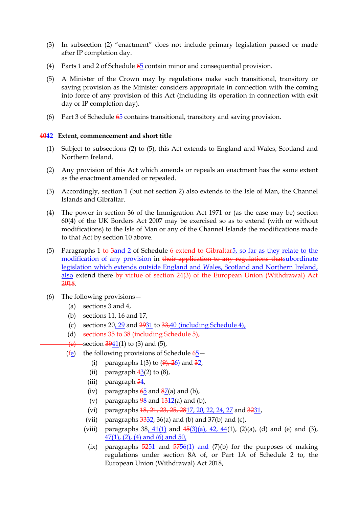- (3) In subsection (2) "enactment" does not include primary legislation passed or made after IP completion day.
- (4) Parts 1 and 2 of Schedule 65 contain minor and consequential provision.
- (5) A Minister of the Crown may by regulations make such transitional, transitory or saving provision as the Minister considers appropriate in connection with the coming into force of any provision of this Act (including its operation in connection with exit day or IP completion day).
- (6) Part 3 of Schedule 65 contains transitional, transitory and saving provision.

# **4042 Extent, commencement and short title**

- (1) Subject to subsections (2) to (5), this Act extends to England and Wales, Scotland and Northern Ireland.
- (2) Any provision of this Act which amends or repeals an enactment has the same extent as the enactment amended or repealed.
- (3) Accordingly, section 1 (but not section 2) also extends to the Isle of Man, the Channel Islands and Gibraltar.
- (4) The power in section 36 of the Immigration Act 1971 or (as the case may be) section 60(4) of the UK Borders Act 2007 may be exercised so as to extend (with or without modifications) to the Isle of Man or any of the Channel Islands the modifications made to that Act by section 10 above.
- (5) Paragraphs 1 to  $3$  and 2 of Schedule 6 extend to Gibraltar<sup>5</sup>, so far as they relate to the modification of any provision in their application to any regulations thatsubordinate legislation which extends outside England and Wales, Scotland and Northern Ireland, also extend there by virtue of section 24(3) of the European Union (Withdrawal) Act 2018.
- (6) The following provisions—
	- (a) sections 3 and 4,
	- (b) sections 11, 16 and 17,
	- (c) sections  $20, 29$  and  $2931$  to  $33, 40$  (including Schedule 4),
	- (d) sections 35 to 38 (including Schedule 5),
	- $(e)$  -section  $3941(1)$  to (3) and (5),
	- ( $\text{fe}$ ) the following provisions of Schedule  $\text{65}-$ 
		- (i) paragraphs 1(3) to  $\left(\frac{9}{2}, \frac{26}{2}\right)$  and  $\frac{32}{2}$
		- (ii) paragraph  $43(2)$  to (8),
		- (iii) paragraph  $\frac{54}{3}$
		- (iv) paragraphs  $65$  and  $87$ (a) and (b),
		- (v) paragraphs  $98$  and  $1312(a)$  and (b),
		- (vi) paragraphs  $18, 21, 23, 25, 2817, 20, 22, 24, 27$  and  $3231$ ,
		- (vii) paragraphs  $\frac{3332}{36}$  and (b) and  $\frac{37}{b}$  and (c),
		- (viii) paragraphs  $38, 41(1)$  and  $45(3)(a), 42, 44(1), (2)(a), (d)$  and (e) and (3),  $47(1)$ , (2), (4) and (6) and  $50<sub>l</sub>$ 
			- (ix) paragraphs  $\frac{5251}{2}$  and  $\frac{5756}{1}$  and  $(7)(b)$  for the purposes of making regulations under section 8A of, or Part 1A of Schedule 2 to, the European Union (Withdrawal) Act 2018,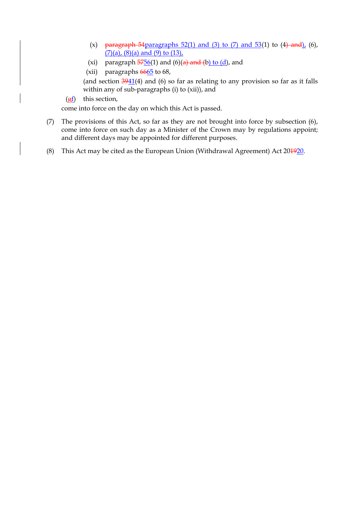- (x) paragraph 54paragraphs 52(1) and (3) to (7) and 53(1) to  $(4)$  and), (6),  $(7)(a)$ ,  $(8)(a)$  and  $(9)$  to  $(13)$ ,
- (xi) paragraph  $\frac{5756}{1}$  and  $\frac{6}{a}$  and  $\frac{4}{b}$  to  $\frac{d}{d}$ , and
- (xii) paragraphs  $6665$  to 68,

(and section  $\frac{3941}{4}$ ) and (6) so far as relating to any provision so far as it falls within any of sub-paragraphs (i) to (xii)), and

 $(gf)$  this section,

come into force on the day on which this Act is passed.

- (7) The provisions of this Act, so far as they are not brought into force by subsection (6), come into force on such day as a Minister of the Crown may by regulations appoint; and different days may be appointed for different purposes.
- (8) This Act may be cited as the European Union (Withdrawal Agreement) Act 201920.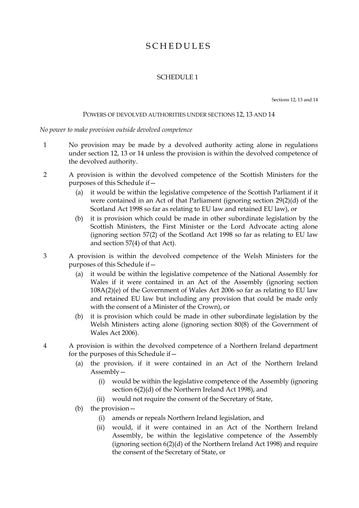# S C H E D U L E S

## SCHEDULE 1

Sections 12, 13 and 14

#### POWERS OF DEVOLVED AUTHORITIES UNDER SECTIONS 12, 13 AND 14

*No power to make provision outside devolved competence*

- 1 No provision may be made by a devolved authority acting alone in regulations under section 12, 13 or 14 unless the provision is within the devolved competence of the devolved authority.
- 2 A provision is within the devolved competence of the Scottish Ministers for the purposes of this Schedule if—
	- (a) it would be within the legislative competence of the Scottish Parliament if it were contained in an Act of that Parliament (ignoring section 29(2)(d) of the Scotland Act 1998 so far as relating to EU law and retained EU law), or
	- (b) it is provision which could be made in other subordinate legislation by the Scottish Ministers, the First Minister or the Lord Advocate acting alone (ignoring section 57(2) of the Scotland Act 1998 so far as relating to EU law and section 57(4) of that Act).
- 3 A provision is within the devolved competence of the Welsh Ministers for the purposes of this Schedule if—
	- (a) it would be within the legislative competence of the National Assembly for Wales if it were contained in an Act of the Assembly (ignoring section 108A(2)(e) of the Government of Wales Act 2006 so far as relating to EU law and retained EU law but including any provision that could be made only with the consent of a Minister of the Crown), or
	- (b) it is provision which could be made in other subordinate legislation by the Welsh Ministers acting alone (ignoring section 80(8) of the Government of Wales Act 2006).
- 4 A provision is within the devolved competence of a Northern Ireland department for the purposes of this Schedule if—
	- (a) the provision, if it were contained in an Act of the Northern Ireland Assembly—
		- (i) would be within the legislative competence of the Assembly (ignoring section 6(2)(d) of the Northern Ireland Act 1998), and
		- (ii) would not require the consent of the Secretary of State,
	- (b) the provision—
		- (i) amends or repeals Northern Ireland legislation, and
		- (ii) would, if it were contained in an Act of the Northern Ireland Assembly, be within the legislative competence of the Assembly (ignoring section 6(2)(d) of the Northern Ireland Act 1998) and require the consent of the Secretary of State, or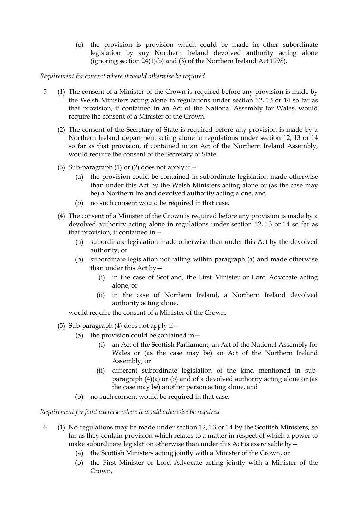(c) the provision is provision which could be made in other subordinate legislation by any Northern Ireland devolved authority acting alone (ignoring section 24(1)(b) and (3) of the Northern Ireland Act 1998).

# *Requirement for consent where it would otherwise be required*

- 5 (1) The consent of a Minister of the Crown is required before any provision is made by the Welsh Ministers acting alone in regulations under section 12, 13 or 14 so far as that provision, if contained in an Act of the National Assembly for Wales, would require the consent of a Minister of the Crown.
	- (2) The consent of the Secretary of State is required before any provision is made by a Northern Ireland department acting alone in regulations under section 12, 13 or 14 so far as that provision, if contained in an Act of the Northern Ireland Assembly, would require the consent of the Secretary of State.
	- (3) Sub-paragraph (1) or (2) does not apply if  $-$ 
		- (a) the provision could be contained in subordinate legislation made otherwise than under this Act by the Welsh Ministers acting alone or (as the case may be) a Northern Ireland devolved authority acting alone, and
		- (b) no such consent would be required in that case.
	- (4) The consent of a Minister of the Crown is required before any provision is made by a devolved authority acting alone in regulations under section 12, 13 or 14 so far as that provision, if contained in—
		- (a) subordinate legislation made otherwise than under this Act by the devolved authority, or
		- (b) subordinate legislation not falling within paragraph (a) and made otherwise than under this Act by—
			- (i) in the case of Scotland, the First Minister or Lord Advocate acting alone, or
			- (ii) in the case of Northern Ireland, a Northern Ireland devolved authority acting alone,

would require the consent of a Minister of the Crown.

- (5) Sub-paragraph (4) does not apply if  $-$ 
	- (a) the provision could be contained in  $-$ 
		- (i) an Act of the Scottish Parliament, an Act of the National Assembly for Wales or (as the case may be) an Act of the Northern Ireland Assembly, or
		- (ii) different subordinate legislation of the kind mentioned in subparagraph (4)(a) or (b) and of a devolved authority acting alone or (as the case may be) another person acting alone, and
	- (b) no such consent would be required in that case.

*Requirement for joint exercise where it would otherwise be required*

- 6 (1) No regulations may be made under section 12, 13 or 14 by the Scottish Ministers, so far as they contain provision which relates to a matter in respect of which a power to make subordinate legislation otherwise than under this Act is exercisable by—
	- (a) the Scottish Ministers acting jointly with a Minister of the Crown, or
	- (b) the First Minister or Lord Advocate acting jointly with a Minister of the Crown,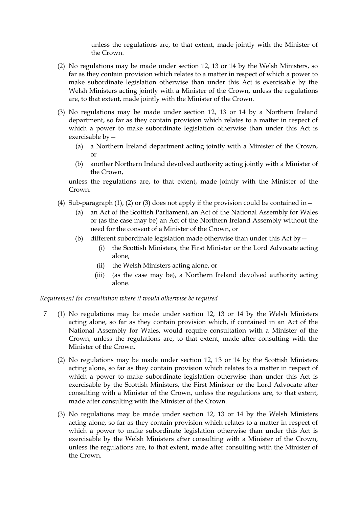unless the regulations are, to that extent, made jointly with the Minister of the Crown.

- (2) No regulations may be made under section 12, 13 or 14 by the Welsh Ministers, so far as they contain provision which relates to a matter in respect of which a power to make subordinate legislation otherwise than under this Act is exercisable by the Welsh Ministers acting jointly with a Minister of the Crown, unless the regulations are, to that extent, made jointly with the Minister of the Crown.
- (3) No regulations may be made under section 12, 13 or 14 by a Northern Ireland department, so far as they contain provision which relates to a matter in respect of which a power to make subordinate legislation otherwise than under this Act is exercisable by—
	- (a) a Northern Ireland department acting jointly with a Minister of the Crown, or
	- (b) another Northern Ireland devolved authority acting jointly with a Minister of the Crown,

unless the regulations are, to that extent, made jointly with the Minister of the Crown.

- (4) Sub-paragraph (1), (2) or (3) does not apply if the provision could be contained in  $-$ 
	- (a) an Act of the Scottish Parliament, an Act of the National Assembly for Wales or (as the case may be) an Act of the Northern Ireland Assembly without the need for the consent of a Minister of the Crown, or
	- (b) different subordinate legislation made otherwise than under this Act by  $-$ 
		- (i) the Scottish Ministers, the First Minister or the Lord Advocate acting alone,
		- (ii) the Welsh Ministers acting alone, or
		- (iii) (as the case may be), a Northern Ireland devolved authority acting alone.

## *Requirement for consultation where it would otherwise be required*

- 7 (1) No regulations may be made under section 12, 13 or 14 by the Welsh Ministers acting alone, so far as they contain provision which, if contained in an Act of the National Assembly for Wales, would require consultation with a Minister of the Crown, unless the regulations are, to that extent, made after consulting with the Minister of the Crown.
	- (2) No regulations may be made under section 12, 13 or 14 by the Scottish Ministers acting alone, so far as they contain provision which relates to a matter in respect of which a power to make subordinate legislation otherwise than under this Act is exercisable by the Scottish Ministers, the First Minister or the Lord Advocate after consulting with a Minister of the Crown, unless the regulations are, to that extent, made after consulting with the Minister of the Crown.
	- (3) No regulations may be made under section 12, 13 or 14 by the Welsh Ministers acting alone, so far as they contain provision which relates to a matter in respect of which a power to make subordinate legislation otherwise than under this Act is exercisable by the Welsh Ministers after consulting with a Minister of the Crown, unless the regulations are, to that extent, made after consulting with the Minister of the Crown.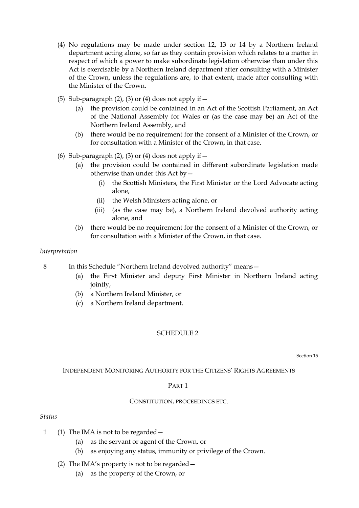- (4) No regulations may be made under section 12, 13 or 14 by a Northern Ireland department acting alone, so far as they contain provision which relates to a matter in respect of which a power to make subordinate legislation otherwise than under this Act is exercisable by a Northern Ireland department after consulting with a Minister of the Crown, unless the regulations are, to that extent, made after consulting with the Minister of the Crown.
- (5) Sub-paragraph  $(2)$ ,  $(3)$  or  $(4)$  does not apply if  $-$ 
	- (a) the provision could be contained in an Act of the Scottish Parliament, an Act of the National Assembly for Wales or (as the case may be) an Act of the Northern Ireland Assembly, and
	- (b) there would be no requirement for the consent of a Minister of the Crown, or for consultation with a Minister of the Crown, in that case.
- (6) Sub-paragraph  $(2)$ ,  $(3)$  or  $(4)$  does not apply if  $-$ 
	- (a) the provision could be contained in different subordinate legislation made otherwise than under this Act by—
		- (i) the Scottish Ministers, the First Minister or the Lord Advocate acting alone,
		- (ii) the Welsh Ministers acting alone, or
		- (iii) (as the case may be), a Northern Ireland devolved authority acting alone, and
	- (b) there would be no requirement for the consent of a Minister of the Crown, or for consultation with a Minister of the Crown, in that case.

#### *Interpretation*

- 8 In this Schedule "Northern Ireland devolved authority" means—
	- (a) the First Minister and deputy First Minister in Northern Ireland acting jointly,
	- (b) a Northern Ireland Minister, or
	- (c) a Northern Ireland department.

## SCHEDULE 2

Section 15

## INDEPENDENT MONITORING AUTHORITY FOR THE CITIZENS' RIGHTS AGREEMENTS

## PART 1

## CONSTITUTION, PROCEEDINGS ETC.

## *Status*

- 1 (1) The IMA is not to be regarded—
	- (a) as the servant or agent of the Crown, or
	- (b) as enjoying any status, immunity or privilege of the Crown.
	- (2) The IMA's property is not to be regarded—
		- (a) as the property of the Crown, or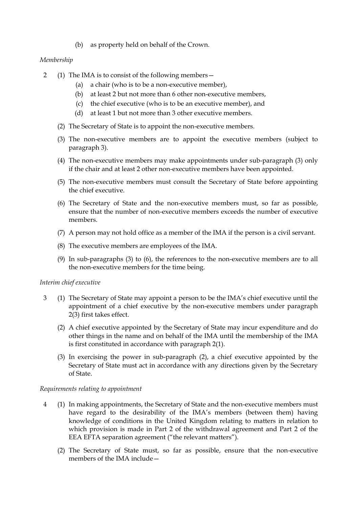(b) as property held on behalf of the Crown.

# *Membership*

- 2 (1) The IMA is to consist of the following members—
	- (a) a chair (who is to be a non-executive member),
	- (b) at least 2 but not more than 6 other non-executive members,
	- (c) the chief executive (who is to be an executive member), and
	- (d) at least 1 but not more than 3 other executive members.
	- (2) The Secretary of State is to appoint the non-executive members.
	- (3) The non-executive members are to appoint the executive members (subject to paragraph 3).
	- (4) The non-executive members may make appointments under sub-paragraph (3) only if the chair and at least 2 other non-executive members have been appointed.
	- (5) The non-executive members must consult the Secretary of State before appointing the chief executive.
	- (6) The Secretary of State and the non-executive members must, so far as possible, ensure that the number of non-executive members exceeds the number of executive members.
	- (7) A person may not hold office as a member of the IMA if the person is a civil servant.
	- (8) The executive members are employees of the IMA.
	- (9) In sub-paragraphs (3) to (6), the references to the non-executive members are to all the non-executive members for the time being.

## *Interim chief executive*

- 3 (1) The Secretary of State may appoint a person to be the IMA's chief executive until the appointment of a chief executive by the non-executive members under paragraph 2(3) first takes effect.
	- (2) A chief executive appointed by the Secretary of State may incur expenditure and do other things in the name and on behalf of the IMA until the membership of the IMA is first constituted in accordance with paragraph 2(1).
	- (3) In exercising the power in sub-paragraph (2), a chief executive appointed by the Secretary of State must act in accordance with any directions given by the Secretary of State.

## *Requirements relating to appointment*

- 4 (1) In making appointments, the Secretary of State and the non-executive members must have regard to the desirability of the IMA's members (between them) having knowledge of conditions in the United Kingdom relating to matters in relation to which provision is made in Part 2 of the withdrawal agreement and Part 2 of the EEA EFTA separation agreement ("the relevant matters").
	- (2) The Secretary of State must, so far as possible, ensure that the non-executive members of the IMA include—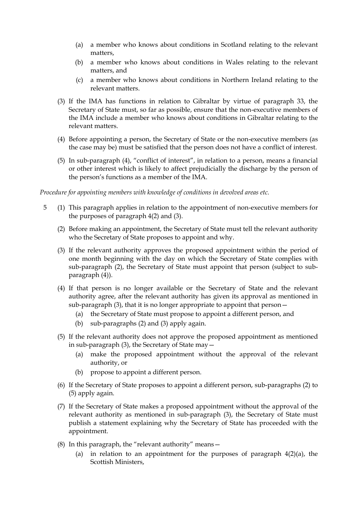- (a) a member who knows about conditions in Scotland relating to the relevant matters,
- (b) a member who knows about conditions in Wales relating to the relevant matters, and
- (c) a member who knows about conditions in Northern Ireland relating to the relevant matters.
- (3) If the IMA has functions in relation to Gibraltar by virtue of paragraph 33, the Secretary of State must, so far as possible, ensure that the non-executive members of the IMA include a member who knows about conditions in Gibraltar relating to the relevant matters.
- (4) Before appointing a person, the Secretary of State or the non-executive members (as the case may be) must be satisfied that the person does not have a conflict of interest.
- (5) In sub-paragraph (4), "conflict of interest", in relation to a person, means a financial or other interest which is likely to affect prejudicially the discharge by the person of the person's functions as a member of the IMA.

*Procedure for appointing members with knowledge of conditions in devolved areas etc.*

- 5 (1) This paragraph applies in relation to the appointment of non-executive members for the purposes of paragraph 4(2) and (3).
	- (2) Before making an appointment, the Secretary of State must tell the relevant authority who the Secretary of State proposes to appoint and why.
	- (3) If the relevant authority approves the proposed appointment within the period of one month beginning with the day on which the Secretary of State complies with sub-paragraph (2), the Secretary of State must appoint that person (subject to subparagraph (4)).
	- (4) If that person is no longer available or the Secretary of State and the relevant authority agree, after the relevant authority has given its approval as mentioned in sub-paragraph (3), that it is no longer appropriate to appoint that person—
		- (a) the Secretary of State must propose to appoint a different person, and
		- (b) sub-paragraphs (2) and (3) apply again.
	- (5) If the relevant authority does not approve the proposed appointment as mentioned in sub-paragraph (3), the Secretary of State may—
		- (a) make the proposed appointment without the approval of the relevant authority, or
		- (b) propose to appoint a different person.
	- (6) If the Secretary of State proposes to appoint a different person, sub-paragraphs (2) to (5) apply again.
	- (7) If the Secretary of State makes a proposed appointment without the approval of the relevant authority as mentioned in sub-paragraph (3), the Secretary of State must publish a statement explaining why the Secretary of State has proceeded with the appointment.
	- (8) In this paragraph, the "relevant authority" means—
		- (a) in relation to an appointment for the purposes of paragraph  $4(2)(a)$ , the Scottish Ministers,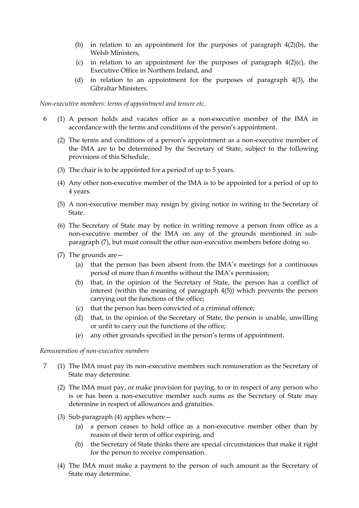- (b) in relation to an appointment for the purposes of paragraph 4(2)(b), the Welsh Ministers,
- (c) in relation to an appointment for the purposes of paragraph  $4(2)(c)$ , the Executive Office in Northern Ireland, and
- (d) in relation to an appointment for the purposes of paragraph 4(3), the Gibraltar Ministers.

*Non-executive members: terms of appointment and tenure etc.*

- 6 (1) A person holds and vacates office as a non-executive member of the IMA in accordance with the terms and conditions of the person's appointment.
	- (2) The terms and conditions of a person's appointment as a non-executive member of the IMA are to be determined by the Secretary of State, subject to the following provisions of this Schedule.
	- (3) The chair is to be appointed for a period of up to 5 years.
	- (4) Any other non-executive member of the IMA is to be appointed for a period of up to 4 years.
	- (5) A non-executive member may resign by giving notice in writing to the Secretary of State.
	- (6) The Secretary of State may by notice in writing remove a person from office as a non-executive member of the IMA on any of the grounds mentioned in subparagraph (7), but must consult the other non-executive members before doing so.
	- (7) The grounds are—
		- (a) that the person has been absent from the IMA's meetings for a continuous period of more than 6 months without the IMA's permission;
		- (b) that, in the opinion of the Secretary of State, the person has a conflict of interest (within the meaning of paragraph 4(5)) which prevents the person carrying out the functions of the office;
		- (c) that the person has been convicted of a criminal offence;
		- (d) that, in the opinion of the Secretary of State, the person is unable, unwilling or unfit to carry out the functions of the office;
		- (e) any other grounds specified in the person's terms of appointment.

#### *Remuneration of non-executive members*

- 7 (1) The IMA must pay its non-executive members such remuneration as the Secretary of State may determine.
	- (2) The IMA must pay, or make provision for paying, to or in respect of any person who is or has been a non-executive member such sums as the Secretary of State may determine in respect of allowances and gratuities.
	- (3) Sub-paragraph (4) applies where—
		- (a) a person ceases to hold office as a non-executive member other than by reason of their term of office expiring, and
		- (b) the Secretary of State thinks there are special circumstances that make it right for the person to receive compensation.
	- (4) The IMA must make a payment to the person of such amount as the Secretary of State may determine.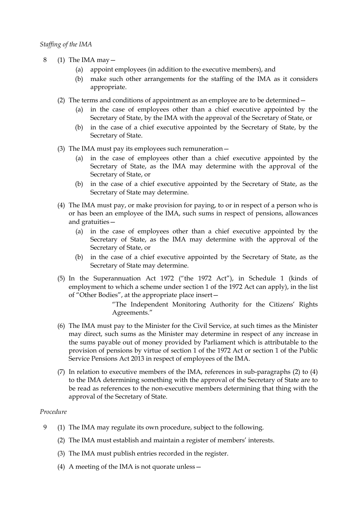- 8 (1) The IMA may  $-$ 
	- (a) appoint employees (in addition to the executive members), and
	- (b) make such other arrangements for the staffing of the IMA as it considers appropriate.
	- (2) The terms and conditions of appointment as an employee are to be determined—
		- (a) in the case of employees other than a chief executive appointed by the Secretary of State, by the IMA with the approval of the Secretary of State, or
		- (b) in the case of a chief executive appointed by the Secretary of State, by the Secretary of State.
	- (3) The IMA must pay its employees such remuneration—
		- (a) in the case of employees other than a chief executive appointed by the Secretary of State, as the IMA may determine with the approval of the Secretary of State, or
		- (b) in the case of a chief executive appointed by the Secretary of State, as the Secretary of State may determine.
	- (4) The IMA must pay, or make provision for paying, to or in respect of a person who is or has been an employee of the IMA, such sums in respect of pensions, allowances and gratuities—
		- (a) in the case of employees other than a chief executive appointed by the Secretary of State, as the IMA may determine with the approval of the Secretary of State, or
		- (b) in the case of a chief executive appointed by the Secretary of State, as the Secretary of State may determine.
	- (5) In the Superannuation Act 1972 ("the 1972 Act"), in Schedule 1 (kinds of employment to which a scheme under section 1 of the 1972 Act can apply), in the list of "Other Bodies", at the appropriate place insert—

 "The Independent Monitoring Authority for the Citizens' Rights Agreements."

- (6) The IMA must pay to the Minister for the Civil Service, at such times as the Minister may direct, such sums as the Minister may determine in respect of any increase in the sums payable out of money provided by Parliament which is attributable to the provision of pensions by virtue of section 1 of the 1972 Act or section 1 of the Public Service Pensions Act 2013 in respect of employees of the IMA.
- (7) In relation to executive members of the IMA, references in sub-paragraphs (2) to (4) to the IMA determining something with the approval of the Secretary of State are to be read as references to the non-executive members determining that thing with the approval of the Secretary of State.

## *Procedure*

- 9 (1) The IMA may regulate its own procedure, subject to the following.
	- (2) The IMA must establish and maintain a register of members' interests.
	- (3) The IMA must publish entries recorded in the register.
	- (4) A meeting of the IMA is not quorate unless—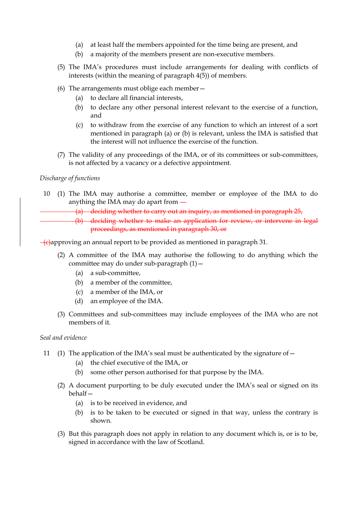- (a) at least half the members appointed for the time being are present, and
- (b) a majority of the members present are non-executive members.
- (5) The IMA's procedures must include arrangements for dealing with conflicts of interests (within the meaning of paragraph 4(5)) of members.
- (6) The arrangements must oblige each member—
	- (a) to declare all financial interests,
	- (b) to declare any other personal interest relevant to the exercise of a function, and
	- (c) to withdraw from the exercise of any function to which an interest of a sort mentioned in paragraph (a) or (b) is relevant, unless the IMA is satisfied that the interest will not influence the exercise of the function.
- (7) The validity of any proceedings of the IMA, or of its committees or sub-committees, is not affected by a vacancy or a defective appointment.

## *Discharge of functions*

- 10 (1) The IMA may authorise a committee, member or employee of the IMA to do anything the IMA may do apart from —
	- (a) deciding whether to carry out an inquiry, as mentioned in paragraph 25,

(b) deciding whether to make an application for review, or intervene in legal proceedings, as mentioned in paragraph 30, or

 $\left(-\theta$  (e) approving an annual report to be provided as mentioned in paragraph 31.

- (2) A committee of the IMA may authorise the following to do anything which the committee may do under sub-paragraph (1)—
	- (a) a sub-committee,
	- (b) a member of the committee,
	- (c) a member of the IMA, or
	- (d) an employee of the IMA.
- (3) Committees and sub-committees may include employees of the IMA who are not members of it.

*Seal and evidence*

- 11 (1) The application of the IMA's seal must be authenticated by the signature of  $-$ 
	- (a) the chief executive of the IMA, or
	- (b) some other person authorised for that purpose by the IMA.
	- (2) A document purporting to be duly executed under the IMA's seal or signed on its behalf—
		- (a) is to be received in evidence, and
		- (b) is to be taken to be executed or signed in that way, unless the contrary is shown.
	- (3) But this paragraph does not apply in relation to any document which is, or is to be, signed in accordance with the law of Scotland.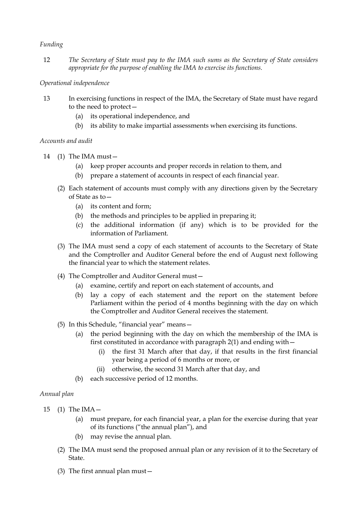# *Funding*

12 *The Secretary of State must pay to the IMA such sums as the Secretary of State considers appropriate for the purpose of enabling the IMA to exercise its functions.*

## *Operational independence*

- 13 In exercising functions in respect of the IMA, the Secretary of State must have regard to the need to protect—
	- (a) its operational independence, and
	- (b) its ability to make impartial assessments when exercising its functions.

# *Accounts and audit*

- 14 (1) The IMA must—
	- (a) keep proper accounts and proper records in relation to them, and
	- (b) prepare a statement of accounts in respect of each financial year.
	- (2) Each statement of accounts must comply with any directions given by the Secretary of State as to—
		- (a) its content and form;
		- (b) the methods and principles to be applied in preparing it;
		- (c) the additional information (if any) which is to be provided for the information of Parliament.
	- (3) The IMA must send a copy of each statement of accounts to the Secretary of State and the Comptroller and Auditor General before the end of August next following the financial year to which the statement relates.
	- (4) The Comptroller and Auditor General must—
		- (a) examine, certify and report on each statement of accounts, and
		- (b) lay a copy of each statement and the report on the statement before Parliament within the period of 4 months beginning with the day on which the Comptroller and Auditor General receives the statement.
	- (5) In this Schedule, "financial year" means—
		- (a) the period beginning with the day on which the membership of the IMA is first constituted in accordance with paragraph 2(1) and ending with—
			- (i) the first 31 March after that day, if that results in the first financial year being a period of 6 months or more, or
			- (ii) otherwise, the second 31 March after that day, and
		- (b) each successive period of 12 months.

## *Annual plan*

- 15 (1) The IMA—
	- (a) must prepare, for each financial year, a plan for the exercise during that year of its functions ("the annual plan"), and
	- (b) may revise the annual plan.
	- (2) The IMA must send the proposed annual plan or any revision of it to the Secretary of State.
	- (3) The first annual plan must—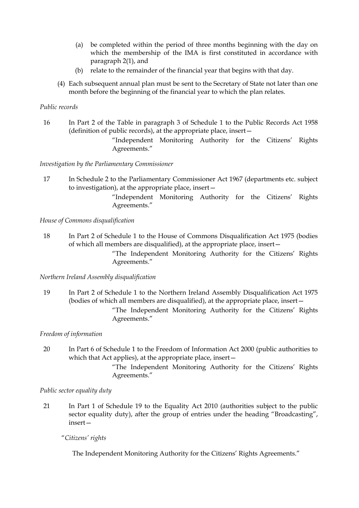- (a) be completed within the period of three months beginning with the day on which the membership of the IMA is first constituted in accordance with paragraph 2(1), and
- (b) relate to the remainder of the financial year that begins with that day.
- (4) Each subsequent annual plan must be sent to the Secretary of State not later than one month before the beginning of the financial year to which the plan relates.

# *Public records*

16 In Part 2 of the Table in paragraph 3 of Schedule 1 to the Public Records Act 1958 (definition of public records), at the appropriate place, insert—

> "Independent Monitoring Authority for the Citizens' Rights Agreements."

*Investigation by the Parliamentary Commissioner*

17 In Schedule 2 to the Parliamentary Commissioner Act 1967 (departments etc. subject to investigation), at the appropriate place, insert—

> "Independent Monitoring Authority for the Citizens' Rights Agreements."

*House of Commons disqualification*

18 In Part 2 of Schedule 1 to the House of Commons Disqualification Act 1975 (bodies of which all members are disqualified), at the appropriate place, insert—

> "The Independent Monitoring Authority for the Citizens' Rights Agreements."

*Northern Ireland Assembly disqualification*

19 In Part 2 of Schedule 1 to the Northern Ireland Assembly Disqualification Act 1975 (bodies of which all members are disqualified), at the appropriate place, insert—

> "The Independent Monitoring Authority for the Citizens' Rights Agreements."

*Freedom of information*

20 In Part 6 of Schedule 1 to the Freedom of Information Act 2000 (public authorities to which that Act applies), at the appropriate place, insert—

 "The Independent Monitoring Authority for the Citizens' Rights Agreements."

## *Public sector equality duty*

21 In Part 1 of Schedule 19 to the Equality Act 2010 (authorities subject to the public sector equality duty), after the group of entries under the heading "Broadcasting", insert—

"*Citizens' rights*

The Independent Monitoring Authority for the Citizens' Rights Agreements."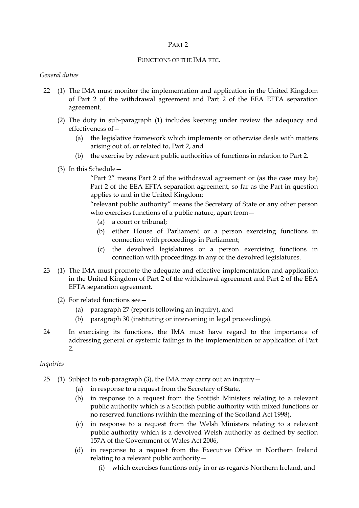#### PART 2

#### FUNCTIONS OF THE IMA ETC.

## *General duties*

- 22 (1) The IMA must monitor the implementation and application in the United Kingdom of Part 2 of the withdrawal agreement and Part 2 of the EEA EFTA separation agreement.
	- (2) The duty in sub-paragraph (1) includes keeping under review the adequacy and effectiveness of—
		- (a) the legislative framework which implements or otherwise deals with matters arising out of, or related to, Part 2, and
		- (b) the exercise by relevant public authorities of functions in relation to Part 2.
	- (3) In this Schedule—

"Part 2" means Part 2 of the withdrawal agreement or (as the case may be) Part 2 of the EEA EFTA separation agreement, so far as the Part in question applies to and in the United Kingdom;

"relevant public authority" means the Secretary of State or any other person who exercises functions of a public nature, apart from -

- (a) a court or tribunal;
- (b) either House of Parliament or a person exercising functions in connection with proceedings in Parliament;
- (c) the devolved legislatures or a person exercising functions in connection with proceedings in any of the devolved legislatures.
- 23 (1) The IMA must promote the adequate and effective implementation and application in the United Kingdom of Part 2 of the withdrawal agreement and Part 2 of the EEA EFTA separation agreement.
	- (2) For related functions see—
		- (a) paragraph 27 (reports following an inquiry), and
		- (b) paragraph 30 (instituting or intervening in legal proceedings).
- 24 In exercising its functions, the IMA must have regard to the importance of addressing general or systemic failings in the implementation or application of Part  $\mathcal{L}$

## *Inquiries*

- 25 (1) Subject to sub-paragraph (3), the IMA may carry out an inquiry—
	- (a) in response to a request from the Secretary of State,
	- (b) in response to a request from the Scottish Ministers relating to a relevant public authority which is a Scottish public authority with mixed functions or no reserved functions (within the meaning of the Scotland Act 1998),
	- (c) in response to a request from the Welsh Ministers relating to a relevant public authority which is a devolved Welsh authority as defined by section 157A of the Government of Wales Act 2006,
	- (d) in response to a request from the Executive Office in Northern Ireland relating to a relevant public authority—
		- (i) which exercises functions only in or as regards Northern Ireland, and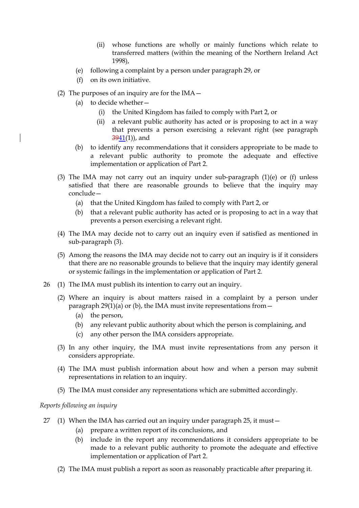- (ii) whose functions are wholly or mainly functions which relate to transferred matters (within the meaning of the Northern Ireland Act 1998),
- (e) following a complaint by a person under paragraph 29, or
- (f) on its own initiative.
- (2) The purposes of an inquiry are for the IMA—
	- (a) to decide whether—
		- (i) the United Kingdom has failed to comply with Part 2, or
		- (ii) a relevant public authority has acted or is proposing to act in a way that prevents a person exercising a relevant right (see paragraph  $3941(1)$ , and
	- (b) to identify any recommendations that it considers appropriate to be made to a relevant public authority to promote the adequate and effective implementation or application of Part 2.
- (3) The IMA may not carry out an inquiry under sub-paragraph  $(1)(e)$  or  $(f)$  unless satisfied that there are reasonable grounds to believe that the inquiry may conclude—
	- (a) that the United Kingdom has failed to comply with Part 2, or
	- (b) that a relevant public authority has acted or is proposing to act in a way that prevents a person exercising a relevant right.
- (4) The IMA may decide not to carry out an inquiry even if satisfied as mentioned in sub-paragraph (3).
- (5) Among the reasons the IMA may decide not to carry out an inquiry is if it considers that there are no reasonable grounds to believe that the inquiry may identify general or systemic failings in the implementation or application of Part 2.
- 26 (1) The IMA must publish its intention to carry out an inquiry.
	- (2) Where an inquiry is about matters raised in a complaint by a person under paragraph  $29(1)(a)$  or (b), the IMA must invite representations from  $-$ 
		- (a) the person,
		- (b) any relevant public authority about which the person is complaining, and
		- (c) any other person the IMA considers appropriate.
	- (3) In any other inquiry, the IMA must invite representations from any person it considers appropriate.
	- (4) The IMA must publish information about how and when a person may submit representations in relation to an inquiry.
	- (5) The IMA must consider any representations which are submitted accordingly.

## *Reports following an inquiry*

- 27 (1) When the IMA has carried out an inquiry under paragraph 25, it must—
	- (a) prepare a written report of its conclusions, and
	- (b) include in the report any recommendations it considers appropriate to be made to a relevant public authority to promote the adequate and effective implementation or application of Part 2.
	- (2) The IMA must publish a report as soon as reasonably practicable after preparing it.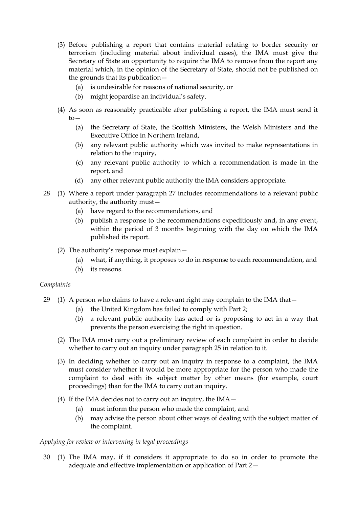- (3) Before publishing a report that contains material relating to border security or terrorism (including material about individual cases), the IMA must give the Secretary of State an opportunity to require the IMA to remove from the report any material which, in the opinion of the Secretary of State, should not be published on the grounds that its publication—
	- (a) is undesirable for reasons of national security, or
	- (b) might jeopardise an individual's safety.
- (4) As soon as reasonably practicable after publishing a report, the IMA must send it  $to-$ 
	- (a) the Secretary of State, the Scottish Ministers, the Welsh Ministers and the Executive Office in Northern Ireland,
	- (b) any relevant public authority which was invited to make representations in relation to the inquiry,
	- (c) any relevant public authority to which a recommendation is made in the report, and
	- (d) any other relevant public authority the IMA considers appropriate.
- 28 (1) Where a report under paragraph 27 includes recommendations to a relevant public authority, the authority must—
	- (a) have regard to the recommendations, and
	- (b) publish a response to the recommendations expeditiously and, in any event, within the period of 3 months beginning with the day on which the IMA published its report.
	- (2) The authority's response must explain—
		- (a) what, if anything, it proposes to do in response to each recommendation, and
		- (b) its reasons.

## *Complaints*

- 29 (1) A person who claims to have a relevant right may complain to the IMA that—
	- (a) the United Kingdom has failed to comply with Part 2;
	- (b) a relevant public authority has acted or is proposing to act in a way that prevents the person exercising the right in question.
	- (2) The IMA must carry out a preliminary review of each complaint in order to decide whether to carry out an inquiry under paragraph 25 in relation to it.
	- (3) In deciding whether to carry out an inquiry in response to a complaint, the IMA must consider whether it would be more appropriate for the person who made the complaint to deal with its subject matter by other means (for example, court proceedings) than for the IMA to carry out an inquiry.
	- (4) If the IMA decides not to carry out an inquiry, the IMA—
		- (a) must inform the person who made the complaint, and
		- (b) may advise the person about other ways of dealing with the subject matter of the complaint.

## *Applying for review or intervening in legal proceedings*

30 (1) The IMA may, if it considers it appropriate to do so in order to promote the adequate and effective implementation or application of Part 2—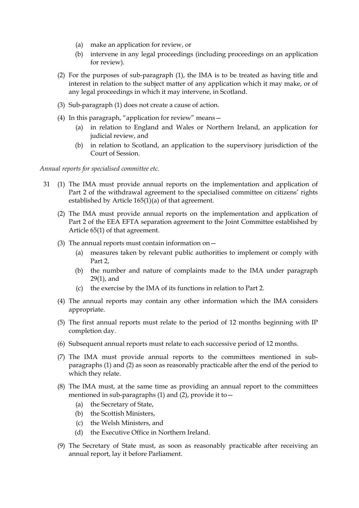- (a) make an application for review, or
- (b) intervene in any legal proceedings (including proceedings on an application for review).
- (2) For the purposes of sub-paragraph (1), the IMA is to be treated as having title and interest in relation to the subject matter of any application which it may make, or of any legal proceedings in which it may intervene, in Scotland.
- (3) Sub-paragraph (1) does not create a cause of action.
- (4) In this paragraph, "application for review" means—
	- (a) in relation to England and Wales or Northern Ireland, an application for judicial review, and
	- (b) in relation to Scotland, an application to the supervisory jurisdiction of the Court of Session.

*Annual reports for specialised committee etc.*

- 31 (1) The IMA must provide annual reports on the implementation and application of Part 2 of the withdrawal agreement to the specialised committee on citizens' rights established by Article 165(1)(a) of that agreement.
	- (2) The IMA must provide annual reports on the implementation and application of Part 2 of the EEA EFTA separation agreement to the Joint Committee established by Article 65(1) of that agreement.
	- (3) The annual reports must contain information on—
		- (a) measures taken by relevant public authorities to implement or comply with Part 2,
		- (b) the number and nature of complaints made to the IMA under paragraph 29(1), and
		- (c) the exercise by the IMA of its functions in relation to Part 2.
	- (4) The annual reports may contain any other information which the IMA considers appropriate.
	- (5) The first annual reports must relate to the period of 12 months beginning with IP completion day.
	- (6) Subsequent annual reports must relate to each successive period of 12 months.
	- (7) The IMA must provide annual reports to the committees mentioned in subparagraphs (1) and (2) as soon as reasonably practicable after the end of the period to which they relate.
	- (8) The IMA must, at the same time as providing an annual report to the committees mentioned in sub-paragraphs  $(1)$  and  $(2)$ , provide it to  $-$ 
		- (a) the Secretary of State,
		- (b) the Scottish Ministers,
		- (c) the Welsh Ministers, and
		- (d) the Executive Office in Northern Ireland.
	- (9) The Secretary of State must, as soon as reasonably practicable after receiving an annual report, lay it before Parliament.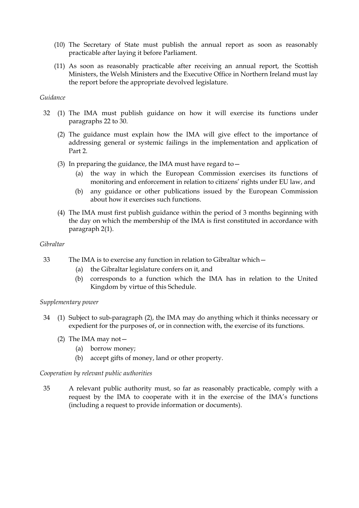- (10) The Secretary of State must publish the annual report as soon as reasonably practicable after laying it before Parliament.
- (11) As soon as reasonably practicable after receiving an annual report, the Scottish Ministers, the Welsh Ministers and the Executive Office in Northern Ireland must lay the report before the appropriate devolved legislature.

#### *Guidance*

- 32 (1) The IMA must publish guidance on how it will exercise its functions under paragraphs 22 to 30.
	- (2) The guidance must explain how the IMA will give effect to the importance of addressing general or systemic failings in the implementation and application of Part 2.
	- (3) In preparing the guidance, the IMA must have regard to  $-$ 
		- (a) the way in which the European Commission exercises its functions of monitoring and enforcement in relation to citizens' rights under EU law, and
		- (b) any guidance or other publications issued by the European Commission about how it exercises such functions.
	- (4) The IMA must first publish guidance within the period of 3 months beginning with the day on which the membership of the IMA is first constituted in accordance with paragraph 2(1).

#### *Gibraltar*

- 33 The IMA is to exercise any function in relation to Gibraltar which—
	- (a) the Gibraltar legislature confers on it, and
	- (b) corresponds to a function which the IMA has in relation to the United Kingdom by virtue of this Schedule.

## *Supplementary power*

- 34 (1) Subject to sub-paragraph (2), the IMA may do anything which it thinks necessary or expedient for the purposes of, or in connection with, the exercise of its functions.
	- (2) The IMA may not—
		- (a) borrow money;
		- (b) accept gifts of money, land or other property.

## *Cooperation by relevant public authorities*

35 A relevant public authority must, so far as reasonably practicable, comply with a request by the IMA to cooperate with it in the exercise of the IMA's functions (including a request to provide information or documents).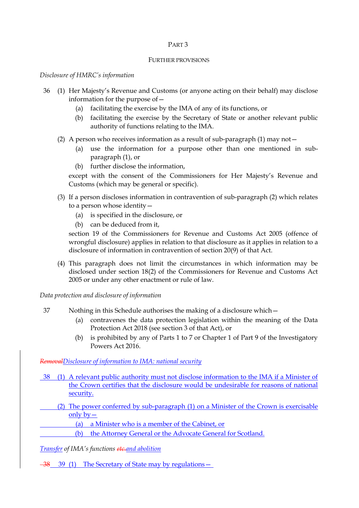# PART 3

## FURTHER PROVISIONS

#### *Disclosure of HMRC's information*

- 36 (1) Her Majesty's Revenue and Customs (or anyone acting on their behalf) may disclose information for the purpose of—
	- (a) facilitating the exercise by the IMA of any of its functions, or
	- (b) facilitating the exercise by the Secretary of State or another relevant public authority of functions relating to the IMA.
	- (2) A person who receives information as a result of sub-paragraph (1) may not $-$ 
		- (a) use the information for a purpose other than one mentioned in subparagraph (1), or
		- (b) further disclose the information,

except with the consent of the Commissioners for Her Majesty's Revenue and Customs (which may be general or specific).

- (3) If a person discloses information in contravention of sub-paragraph (2) which relates to a person whose identity—
	- (a) is specified in the disclosure, or
	- (b) can be deduced from it,

section 19 of the Commissioners for Revenue and Customs Act 2005 (offence of wrongful disclosure) applies in relation to that disclosure as it applies in relation to a disclosure of information in contravention of section 20(9) of that Act.

(4) This paragraph does not limit the circumstances in which information may be disclosed under section 18(2) of the Commissioners for Revenue and Customs Act 2005 or under any other enactment or rule of law.

*Data protection and disclosure of information*

- 37 Nothing in this Schedule authorises the making of a disclosure which—
	- (a) contravenes the data protection legislation within the meaning of the Data Protection Act 2018 (see section 3 of that Act), or
	- (b) is prohibited by any of Parts 1 to 7 or Chapter 1 of Part 9 of the Investigatory Powers Act 2016.

*RemovalDisclosure of information to IMA: national security*

- 38 (1) A relevant public authority must not disclose information to the IMA if a Minister of the Crown certifies that the disclosure would be undesirable for reasons of national security.
	- (2) The power conferred by sub-paragraph (1) on a Minister of the Crown is exercisable only by  $-$ 
		- (a) a Minister who is a member of the Cabinet, or
		- (b) the Attorney General or the Advocate General for Scotland.

*Transfer of IMA's functions etc.and abolition*

38 39 (1) The Secretary of State may by regulations -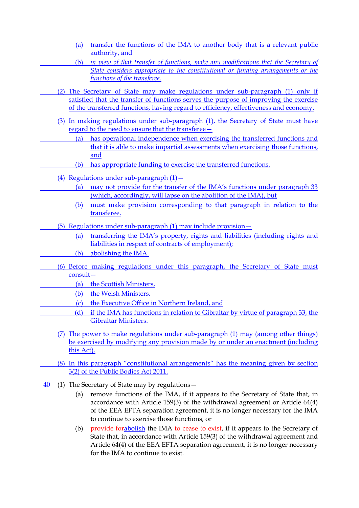- (a) transfer the functions of the IMA to another body that is a relevant public authority, and (b) *in view of that transfer of functions, make any modifications that the Secretary of State considers appropriate to the constitutional or funding arrangements or the functions of the transferee.* (2) The Secretary of State may make regulations under sub-paragraph (1) only if satisfied that the transfer of functions serves the purpose of improving the exercise of the transferred functions, having regard to efficiency, effectiveness and economy. (3) In making regulations under sub-paragraph (1), the Secretary of State must have regard to the need to ensure that the transferee— (a) has operational independence when exercising the transferred functions and that it is able to make impartial assessments when exercising those functions, and (b) has appropriate funding to exercise the transferred functions. (4) Regulations under sub-paragraph  $(1)$  -(a) may not provide for the transfer of the IMA's functions under paragraph 33 (which, accordingly, will lapse on the abolition of the IMA), but (b) must make provision corresponding to that paragraph in relation to the transferee. (5) Regulations under sub-paragraph (1) may include provision— (a) transferring the IMA's property, rights and liabilities (including rights and liabilities in respect of contracts of employment); (b) abolishing the IMA. (6) Before making regulations under this paragraph, the Secretary of State must consult— (a) the Scottish Ministers, (b) the Welsh Ministers, (c) the Executive Office in Northern Ireland, and (d) if the IMA has functions in relation to Gibraltar by virtue of paragraph 33, the Gibraltar Ministers.
	- (7) The power to make regulations under sub-paragraph (1) may (among other things) be exercised by modifying any provision made by or under an enactment (including this Act).
	- (8) In this paragraph "constitutional arrangements" has the meaning given by section 3(2) of the Public Bodies Act 2011.
	- $\frac{40}{1}$  (1) The Secretary of State may by regulations -
		- (a) remove functions of the IMA, if it appears to the Secretary of State that, in accordance with Article 159(3) of the withdrawal agreement or Article 64(4) of the EEA EFTA separation agreement, it is no longer necessary for the IMA to continue to exercise those functions, or
		- (b) provide forabolish the IMA-to cease to exist, if it appears to the Secretary of State that, in accordance with Article 159(3) of the withdrawal agreement and Article 64(4) of the EEA EFTA separation agreement, it is no longer necessary for the IMA to continue to exist.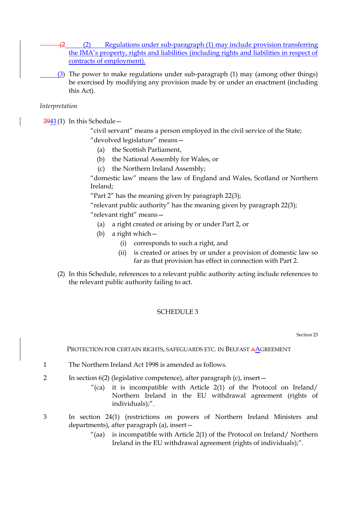(2 (2) Regulations under sub-paragraph (1) may include provision transferring the IMA's property, rights and liabilities (including rights and liabilities in respect of contracts of employment).

 $(3)$  The power to make regulations under sub-paragraph  $(1)$  may (among other things) be exercised by modifying any provision made by or under an enactment (including this Act).

*Interpretation*

 $3941(1)$  In this Schedule –

"civil servant" means a person employed in the civil service of the State; "devolved legislature" means—

- (a) the Scottish Parliament,
- (b) the National Assembly for Wales, or
- (c) the Northern Ireland Assembly;

"domestic law" means the law of England and Wales, Scotland or Northern Ireland;

"Part 2" has the meaning given by paragraph 22(3);

"relevant public authority" has the meaning given by paragraph 22(3);

"relevant right" means—

- (a) a right created or arising by or under Part 2, or
- (b) a right which—
	- (i) corresponds to such a right, and
	- (ii) is created or arises by or under a provision of domestic law so far as that provision has effect in connection with Part 2.
- (2) In this Schedule, references to a relevant public authority acting include references to the relevant public authority failing to act.

# SCHEDULE 3

Section 23

PROTECTION FOR CERTAIN RIGHTS, SAFEGUARDS ETC. IN BELFAST AAGREEMENT

- 1 The Northern Ireland Act 1998 is amended as follows.
- 2 In section 6(2) (legislative competence), after paragraph (c), insert -
	- "(ca) it is incompatible with Article 2(1) of the Protocol on Ireland/ Northern Ireland in the EU withdrawal agreement (rights of individuals);".
- 3 In section 24(1) (restrictions on powers of Northern Ireland Ministers and departments), after paragraph (a), insert—
	- $''(aa)$  is incompatible with Article 2(1) of the Protocol on Ireland/Northern Ireland in the EU withdrawal agreement (rights of individuals);".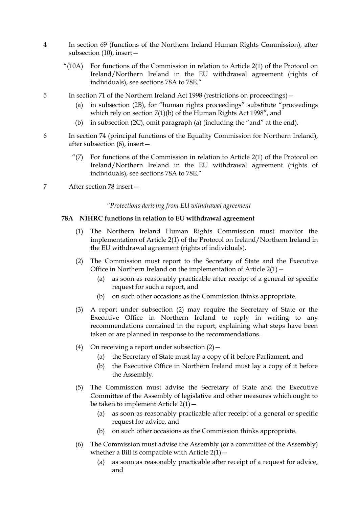- 4 In section 69 (functions of the Northern Ireland Human Rights Commission), after subsection (10), insert—
	- "(10A) For functions of the Commission in relation to Article 2(1) of the Protocol on Ireland/Northern Ireland in the EU withdrawal agreement (rights of individuals), see sections 78A to 78E."
- 5 In section 71 of the Northern Ireland Act 1998 (restrictions on proceedings)—
	- (a) in subsection (2B), for "human rights proceedings" substitute "proceedings which rely on section 7(1)(b) of the Human Rights Act 1998", and
	- (b) in subsection (2C), omit paragraph (a) (including the "and" at the end).
- 6 In section 74 (principal functions of the Equality Commission for Northern Ireland), after subsection (6), insert—
	- $''(7)$  For functions of the Commission in relation to Article 2(1) of the Protocol on Ireland/Northern Ireland in the EU withdrawal agreement (rights of individuals), see sections 78A to 78E."
- 7 After section 78 insert—

*"Protections deriving from EU withdrawal agreement*

#### **78A NIHRC functions in relation to EU withdrawal agreement**

- (1) The Northern Ireland Human Rights Commission must monitor the implementation of Article 2(1) of the Protocol on Ireland/Northern Ireland in the EU withdrawal agreement (rights of individuals).
- (2) The Commission must report to the Secretary of State and the Executive Office in Northern Ireland on the implementation of Article 2(1)—
	- (a) as soon as reasonably practicable after receipt of a general or specific request for such a report, and
	- (b) on such other occasions as the Commission thinks appropriate.
- (3) A report under subsection (2) may require the Secretary of State or the Executive Office in Northern Ireland to reply in writing to any recommendations contained in the report, explaining what steps have been taken or are planned in response to the recommendations.
- (4) On receiving a report under subsection  $(2)$ 
	- (a) the Secretary of State must lay a copy of it before Parliament, and
	- (b) the Executive Office in Northern Ireland must lay a copy of it before the Assembly.
- (5) The Commission must advise the Secretary of State and the Executive Committee of the Assembly of legislative and other measures which ought to be taken to implement Article  $2(1)$  –
	- (a) as soon as reasonably practicable after receipt of a general or specific request for advice, and
	- (b) on such other occasions as the Commission thinks appropriate.
- (6) The Commission must advise the Assembly (or a committee of the Assembly) whether a Bill is compatible with Article  $2(1)$  –
	- (a) as soon as reasonably practicable after receipt of a request for advice, and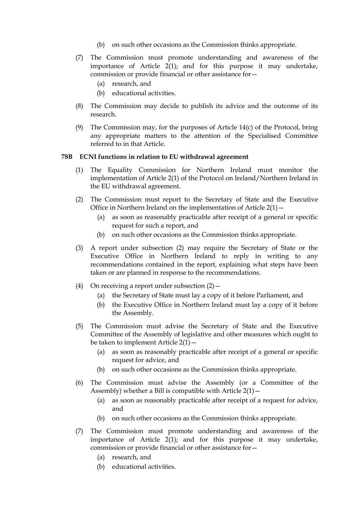- (b) on such other occasions as the Commission thinks appropriate.
- (7) The Commission must promote understanding and awareness of the importance of Article 2(1); and for this purpose it may undertake, commission or provide financial or other assistance for—
	- (a) research, and
	- (b) educational activities.
- (8) The Commission may decide to publish its advice and the outcome of its research.
- (9) The Commission may, for the purposes of Article 14(c) of the Protocol, bring any appropriate matters to the attention of the Specialised Committee referred to in that Article.

# **78B ECNI functions in relation to EU withdrawal agreement**

- (1) The Equality Commission for Northern Ireland must monitor the implementation of Article 2(1) of the Protocol on Ireland/Northern Ireland in the EU withdrawal agreement.
- (2) The Commission must report to the Secretary of State and the Executive Office in Northern Ireland on the implementation of Article 2(1)—
	- (a) as soon as reasonably practicable after receipt of a general or specific request for such a report, and
	- (b) on such other occasions as the Commission thinks appropriate.
- (3) A report under subsection (2) may require the Secretary of State or the Executive Office in Northern Ireland to reply in writing to any recommendations contained in the report, explaining what steps have been taken or are planned in response to the recommendations.
- (4) On receiving a report under subsection  $(2)$  -
	- (a) the Secretary of State must lay a copy of it before Parliament, and
	- (b) the Executive Office in Northern Ireland must lay a copy of it before the Assembly.
- (5) The Commission must advise the Secretary of State and the Executive Committee of the Assembly of legislative and other measures which ought to be taken to implement Article  $2(1)$  –
	- (a) as soon as reasonably practicable after receipt of a general or specific request for advice, and
	- (b) on such other occasions as the Commission thinks appropriate.
- (6) The Commission must advise the Assembly (or a Committee of the Assembly) whether a Bill is compatible with Article  $2(1)$  -
	- (a) as soon as reasonably practicable after receipt of a request for advice, and
	- (b) on such other occasions as the Commission thinks appropriate.
- (7) The Commission must promote understanding and awareness of the importance of Article 2(1); and for this purpose it may undertake, commission or provide financial or other assistance for—
	- (a) research, and
	- (b) educational activities.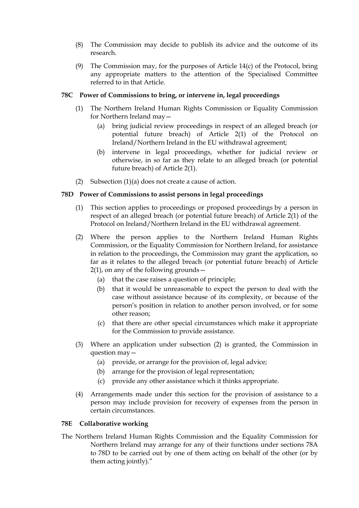- (8) The Commission may decide to publish its advice and the outcome of its research.
- (9) The Commission may, for the purposes of Article 14(c) of the Protocol, bring any appropriate matters to the attention of the Specialised Committee referred to in that Article.

## **78C Power of Commissions to bring, or intervene in, legal proceedings**

- (1) The Northern Ireland Human Rights Commission or Equality Commission for Northern Ireland may—
	- (a) bring judicial review proceedings in respect of an alleged breach (or potential future breach) of Article 2(1) of the Protocol on Ireland/Northern Ireland in the EU withdrawal agreement;
	- (b) intervene in legal proceedings, whether for judicial review or otherwise, in so far as they relate to an alleged breach (or potential future breach) of Article 2(1).
- (2) Subsection (1)(a) does not create a cause of action.

# **78D Power of Commissions to assist persons in legal proceedings**

- (1) This section applies to proceedings or proposed proceedings by a person in respect of an alleged breach (or potential future breach) of Article 2(1) of the Protocol on Ireland/Northern Ireland in the EU withdrawal agreement.
- (2) Where the person applies to the Northern Ireland Human Rights Commission, or the Equality Commission for Northern Ireland, for assistance in relation to the proceedings, the Commission may grant the application, so far as it relates to the alleged breach (or potential future breach) of Article 2(1), on any of the following grounds—
	- (a) that the case raises a question of principle;
	- (b) that it would be unreasonable to expect the person to deal with the case without assistance because of its complexity, or because of the person's position in relation to another person involved, or for some other reason;
	- (c) that there are other special circumstances which make it appropriate for the Commission to provide assistance.
- (3) Where an application under subsection (2) is granted, the Commission in question may—
	- (a) provide, or arrange for the provision of, legal advice;
	- (b) arrange for the provision of legal representation;
	- (c) provide any other assistance which it thinks appropriate.
- (4) Arrangements made under this section for the provision of assistance to a person may include provision for recovery of expenses from the person in certain circumstances.

## **78E Collaborative working**

The Northern Ireland Human Rights Commission and the Equality Commission for Northern Ireland may arrange for any of their functions under sections 78A to 78D to be carried out by one of them acting on behalf of the other (or by them acting jointly)."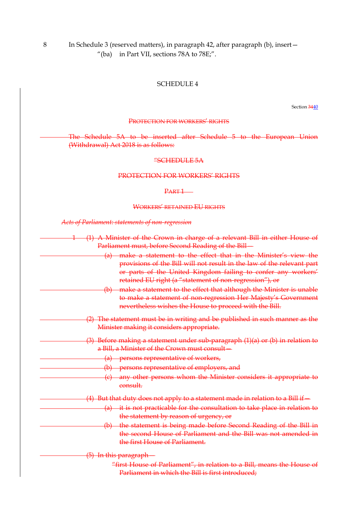# SCHEDULE 4

Section 3440

#### PROTECTION FOR WORKERS' RIGHTS

The Schedule 5A to be inserted after Schedule 5 to the European Union (Withdrawal) Act 2018 is as follows:

#### "SCHEDULE 5A

#### PROTECTION FOR WORKERS' RIGHTS

PART<sub>1</sub>

#### WORKERS' RETAINED EU RIGHTS

*Acts of Parliament: statements of non-regression*

| (1) A Minister of the Crown in charge of a relevant Bill in either House of<br>Parliament must, before Second Reading of the Bill-                                                                                                                                       |
|--------------------------------------------------------------------------------------------------------------------------------------------------------------------------------------------------------------------------------------------------------------------------|
| (a) make a statement to the effect that in the Minister's view the<br>provisions of the Bill will not result in the law of the relevant part<br>or parts of the United Kingdom failing to confer any workers'<br>retained EU right (a "statement of non-regression"), or |
| (b) make a statement to the effect that although the Minister is unable<br>to make a statement of non-regression Her Majesty's Government<br>nevertheless wishes the House to proceed with the Bill.                                                                     |
| (2) The statement must be in writing and be published in such manner as the<br>Minister making it considers appropriate.                                                                                                                                                 |
| (3) Before making a statement under sub-paragraph (1)(a) or (b) in relation to<br>a Bill, a Minister of the Crown must consult-                                                                                                                                          |
| (a) persons representative of workers,                                                                                                                                                                                                                                   |
| (b) persons representative of employers, and                                                                                                                                                                                                                             |
| (c) any other persons whom the Minister considers it appropriate to<br>consult.                                                                                                                                                                                          |
| (4) But that duty does not apply to a statement made in relation to a Bill if -                                                                                                                                                                                          |
| $(a)$ it is not practicable for the consultation to take place in relation to<br>the statement by reason of urgency, or                                                                                                                                                  |
| (b) the statement is being made before Second Reading of the Bill in                                                                                                                                                                                                     |
| the second House of Parliament and the Bill was not amended in                                                                                                                                                                                                           |
| the first House of Parliament.                                                                                                                                                                                                                                           |
| (5) In this paragraph -                                                                                                                                                                                                                                                  |
| "first House of Parliament", in relation to a Bill, means the House of                                                                                                                                                                                                   |
| Parliament in which the Bill is first introduced;                                                                                                                                                                                                                        |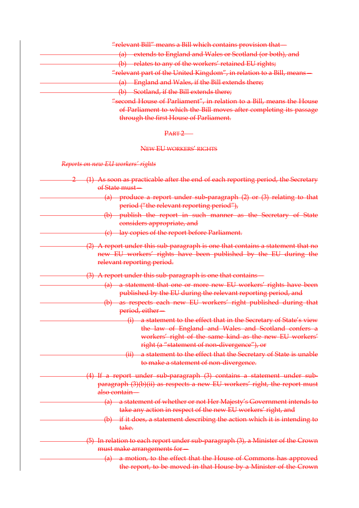| "relevant Bill" means a Bill which contains provision that-                                                                        |  |  |
|------------------------------------------------------------------------------------------------------------------------------------|--|--|
| (a) extends to England and Wales or Scotland (or both), and                                                                        |  |  |
| (b) relates to any of the workers' retained EU rights;                                                                             |  |  |
| "relevant part of the United Kingdom", in relation to a Bill, means-                                                               |  |  |
| (a) England and Wales, if the Bill extends there;                                                                                  |  |  |
| (b) Scotland, if the Bill extends there;                                                                                           |  |  |
| "second House of Parliament", in relation to a Bill, means the House                                                               |  |  |
| of Parliament to which the Bill moves after completing its passage                                                                 |  |  |
| through the first House of Parliament.                                                                                             |  |  |
| PART <sub>2</sub>                                                                                                                  |  |  |
| <b>NEW EU WORKERS' RIGHTS</b>                                                                                                      |  |  |
| Reports on new EU workers' rights                                                                                                  |  |  |
| 2 (1) As soon as practicable after the end of each reporting period, the Secretary<br>of State must-                               |  |  |
| (a) produce a report under sub-paragraph (2) or (3) relating to that                                                               |  |  |
| period ("the relevant reporting period"),                                                                                          |  |  |
| (b) publish the report in such manner as the Secretary of State                                                                    |  |  |
| considers appropriate, and                                                                                                         |  |  |
| (c) lay copies of the report before Parliament.                                                                                    |  |  |
| (2) A report under this sub-paragraph is one that contains a statement that no                                                     |  |  |
| new EU workers' rights have been published by the EU during the                                                                    |  |  |
| relevant reporting period.                                                                                                         |  |  |
| (3) A report under this sub-paragraph is one that contains—                                                                        |  |  |
| (a) a statement that one or more new EU workers' rights have been<br>published by the EU during the relevant reporting period, and |  |  |
| (b) as respects each new EU workers' right published during that<br>period, either-                                                |  |  |
| (i) a statement to the effect that in the Secretary of State's view                                                                |  |  |
| the law of England and Wales and Scotland confers a                                                                                |  |  |
| workers' right of the same kind as the new EU workers'                                                                             |  |  |
| right (a "statement of non-divergence"), or                                                                                        |  |  |
| (ii) a statement to the effect that the Secretary of State is unable<br>to make a statement of non-divergence.                     |  |  |
| (4) If a report under sub-paragraph (3) contains a statement under sub-                                                            |  |  |
| paragraph (3)(b)(ii) as respects a new EU workers' right, the report must<br><del>also contain-</del>                              |  |  |
| (a) a statement of whether or not Her Majesty's Government intends to                                                              |  |  |
| take any action in respect of the new EU workers' right, and                                                                       |  |  |
| (b) if it does, a statement describing the action which it is intending to                                                         |  |  |
| take.                                                                                                                              |  |  |
| (5) In relation to each report under sub-paragraph (3), a Minister of the Crown                                                    |  |  |
| must make arrangements for-                                                                                                        |  |  |
| a motion, to the effect that the House of Commons has approved<br>$\Theta$                                                         |  |  |
| the report, to be moved in that House by a Minister of the Crown                                                                   |  |  |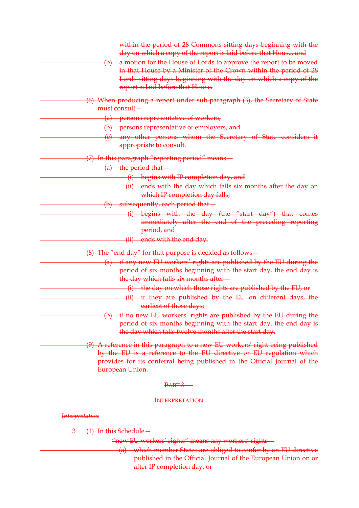|                       | within the period of 28 Commons sitting days beginning with the                                                                                     |
|-----------------------|-----------------------------------------------------------------------------------------------------------------------------------------------------|
|                       | day on which a copy of the report is laid before that House, and                                                                                    |
|                       | (b) a motion for the House of Lords to approve the report to be moved                                                                               |
|                       | in that House by a Minister of the Crown within the period of 28<br>Lords sitting days beginning with the day on which a copy of the                |
|                       | report is laid before that House.                                                                                                                   |
|                       |                                                                                                                                                     |
|                       | (6) When producing a report under sub-paragraph (3), the Secretary of State                                                                         |
| must consult-         |                                                                                                                                                     |
|                       | (a) persons representative of workers,                                                                                                              |
|                       | (b) persons representative of employers, and                                                                                                        |
|                       | (c) any other persons whom the Secretary of State considers it<br>appropriate to consult.                                                           |
|                       |                                                                                                                                                     |
|                       | (7) In this paragraph "reporting period" means—                                                                                                     |
|                       | $(a)$ the period that —                                                                                                                             |
|                       | (i) begins with IP completion day, and                                                                                                              |
|                       | (ii) ends with the day which falls six months after the day on                                                                                      |
|                       | which IP completion day falls;                                                                                                                      |
|                       | (b) subsequently, each period that-                                                                                                                 |
|                       | (i) begins with the day (the "start day") that comes                                                                                                |
|                       | immediately after the end of the preceding reporting                                                                                                |
|                       | period, and<br>(ii) ends with the end day.                                                                                                          |
|                       |                                                                                                                                                     |
|                       | (8) The "end day" for that purpose is decided as follows -                                                                                          |
|                       | (a) if any new EU workers' rights are published by the EU during the                                                                                |
|                       | period of six months beginning with the start day, the end day is<br>the day which falls six months after-                                          |
|                       |                                                                                                                                                     |
|                       | (i) the day on which those rights are published by the EU, or                                                                                       |
|                       | (ii) if they are published by the EU on different days, the<br>earliest of those days;                                                              |
|                       | (b) if no new EU workers' rights are published by the EU during the                                                                                 |
|                       | period of six months beginning with the start day, the end day is                                                                                   |
|                       | the day which falls twelve months after the start day.                                                                                              |
|                       |                                                                                                                                                     |
|                       | (9) A reference in this paragraph to a new EU workers' right being published<br>by the EU is a reference to the EU directive or EU regulation which |
|                       | provides for its conferral being published in the Official Journal of the                                                                           |
|                       | European Union.                                                                                                                                     |
|                       |                                                                                                                                                     |
|                       | PART 3                                                                                                                                              |
|                       | <b>INTERPRETATION</b>                                                                                                                               |
| <b>Interpretation</b> |                                                                                                                                                     |
| (1) In this Schedule- |                                                                                                                                                     |
|                       |                                                                                                                                                     |
|                       | "new EU workers' rights" means any workers' rights -<br>$(a)$ which member States are obliged to confer by an EU directive                          |
|                       |                                                                                                                                                     |

(a) which member States are obliged to confer by an EU directive published in the Official Journal of the European Union on or after IP completion day, or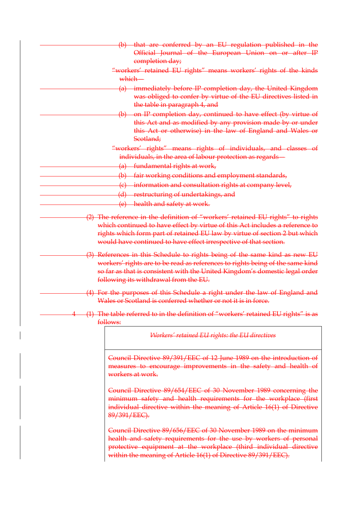that are conferred by an EU regulation published in the Official Journal of the European Union on or after IP completion day; "workers' retained EU rights" means workers' rights of the kinds which— (a) immediately before IP completion day, the United Kingdom was obliged to confer by virtue of the EU directives listed in the table in paragraph 4, and on IP completion day, continued to have effect (by virtue of this Act and as modified by any provision made by or under this Act or otherwise) in the law of England and Wales or Scotland; "workers' rights" means rights of individuals, and classes of individuals, in the area of labour protection as regards— (a) fundamental rights at work, (b) fair working conditions and employment standards, (c) information and consultation rights at company level, (d) restructuring of undertakings, and (e) health and safety at work. (2) The reference in the definition of "workers' retained EU rights" to rights which continued to have effect by virtue of this Act includes a reference to rights which form part of retained EU law by virtue of section 2 but which would have continued to have effect irrespective of that section. (3) References in this Schedule to rights being of the same kind as new EU workers' rights are to be read as references to rights being of the same kind so far as that is consistent with the United Kingdom's domestic legal order following its withdrawal from the EU. (4) For the purposes of this Schedule a right under the law of England and Wales or Scotland is conferred whether or not it is in force. (1) The table referred to in the definition of "workers' retained EU rights" is as follows: *Workers' retained EU rights: the EU directives* Council Directive 89/391/EEC of 12 June 1989 on the introduction of measures to encourage improvements in the safety and health of workers at work. Council Directive 89/654/EEC of 30 November 1989 concerning the minimum safety and health requirements for the workplace (first individual directive within the meaning of Article 16(1) of Directive 89/391/EEC). Council Directive 89/656/EEC of 30 November 1989 on the minimum health and safety requirements for the use by workers of personal protective equipment at the workplace (third individual directive within the meaning of Article 16(1) of Directive 89/391/EEC).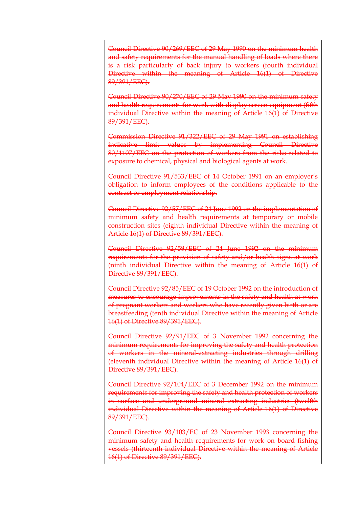Council Directive 90/269/EEC of 29 May 1990 on the minimum health and safety requirements for the manual handling of loads where there is a risk particularly of back injury to workers (fourth individual Directive within the meaning of Article 16(1) of Directive 89/391/EEC).

Council Directive 90/270/EEC of 29 May 1990 on the minimum safety and health requirements for work with display screen equipment (fifth individual Directive within the meaning of Article 16(1) of Directive 89/391/EEC).

Commission Directive 91/322/EEC of 29 May 1991 on establishing indicative limit values by implementing Council Directive 80/1107/EEC on the protection of workers from the risks related to exposure to chemical, physical and biological agents at work.

Council Directive 91/533/EEC of 14 October 1991 on an employer's obligation to inform employees of the conditions applicable to the contract or employment relationship.

Council Directive 92/57/EEC of 24 June 1992 on the implementation of minimum safety and health requirements at temporary or mobile construction sites (eighth individual Directive within the meaning of Article 16(1) of Directive 89/391/EEC).

Council Directive 92/58/EEC of 24 June 1992 on the minimum requirements for the provision of safety and/or health signs at work (ninth individual Directive within the meaning of Article 16(1) of Directive 89/391/EEC).

Council Directive 92/85/EEC of 19 October 1992 on the introduction of measures to encourage improvements in the safety and health at work of pregnant workers and workers who have recently given birth or are breastfeeding (tenth individual Directive within the meaning of Article 16(1) of Directive 89/391/EEC).

Council Directive 92/91/EEC of 3 November 1992 concerning the minimum requirements for improving the safety and health protection of workers in the mineral-extracting industries through drilling (eleventh individual Directive within the meaning of Article 16(1) of Directive 89/391/EEC).

Council Directive 92/104/EEC of 3 December 1992 on the minimum requirements for improving the safety and health protection of workers in surface and underground mineral extracting industries (twelfth individual Directive within the meaning of Article 16(1) of Directive 89/391/EEC).

Council Directive 93/103/EC of 23 November 1993 concerning the minimum safety and health requirements for work on board fishing vessels (thirteenth individual Directive within the meaning of Article 16(1) of Directive 89/391/EEC).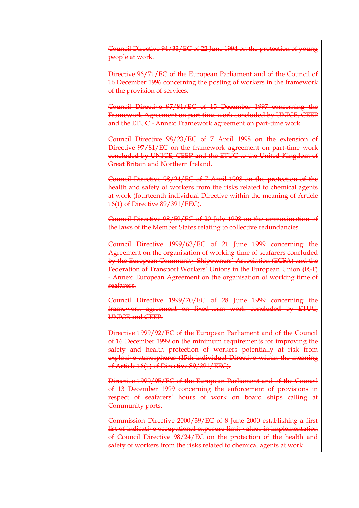Council Directive 94/33/EC of 22 June 1994 on the protection of young people at work.

Directive 96/71/EC of the European Parliament and of the Council of 16 December 1996 concerning the posting of workers in the framework of the provision of services.

Council Directive 97/81/EC of 15 December 1997 concerning the Framework Agreement on part-time work concluded by UNICE, CEEP and the ETUC - Annex: Framework agreement on part-time work.

Council Directive 98/23/EC of 7 April 1998 on the extension of Directive 97/81/EC on the framework agreement on part-time work concluded by UNICE, CEEP and the ETUC to the United Kingdom of Great Britain and Northern Ireland.

Council Directive 98/24/EC of 7 April 1998 on the protection of the health and safety of workers from the risks related to chemical agents at work (fourteenth individual Directive within the meaning of Article 16(1) of Directive 89/391/EEC).

Council Directive 98/59/EC of 20 July 1998 on the approximation of the laws of the Member States relating to collective redundancies.

Council Directive 1999/63/EC of 21 June 1999 concerning the Agreement on the organisation of working time of seafarers concluded by the European Community Shipowners' Association (ECSA) and the Federation of Transport Workers' Unions in the European Union (FST) - Annex: European Agreement on the organisation of working time of seafarers.

Council Directive 1999/70/EC of 28 June 1999 concerning the framework agreement on fixed-term work concluded by ETUC, UNICE and CEEP.

Directive 1999/92/EC of the European Parliament and of the Council of 16 December 1999 on the minimum requirements for improving the safety and health protection of workers potentially at risk from explosive atmospheres (15th individual Directive within the meaning of Article 16(1) of Directive 89/391/EEC).

Directive 1999/95/EC of the European Parliament and of the Council of 13 December 1999 concerning the enforcement of provisions in respect of seafarers' hours of work on board ships calling at Community ports.

Commission Directive 2000/39/EC of 8 June 2000 establishing a first list of indicative occupational exposure limit values in implementation of Council Directive 98/24/EC on the protection of the health and safety of workers from the risks related to chemical agents at work.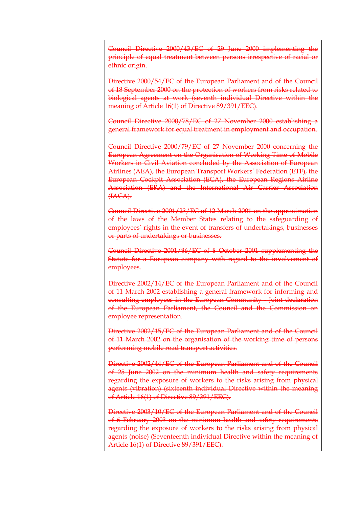Council Directive 2000/43/EC of 29 June 2000 implementing principle of equal treatment between persons irrespective of racial or ethnic origin.

Directive 2000/54/EC of the European Parliament and of the Council of 18 September 2000 on the protection of workers from risks related to biological agents at work (seventh individual Directive within the meaning of Article 16(1) of Directive 89/391/EEC).

Council Directive 2000/78/EC of 27 November 2000 establishing a general framework for equal treatment in employment and occupation.

Council Directive 2000/79/EC of 27 November 2000 concerning the European Agreement on the Organisation of Working Time of Mobile Workers in Civil Aviation concluded by the Association of European Airlines (AEA), the European Transport Workers' Federation (ETF), the European Cockpit Association (ECA), the European Regions Airline Association (ERA) and the International Air Carrier Association (IACA).

Council Directive 2001/23/EC of 12 March 2001 on the approximation of the laws of the Member States relating to the safeguarding of employees' rights in the event of transfers of undertakings, businesses or parts of undertakings or businesses.

Council Directive 2001/86/EC of 8 October 2001 supplementing the Statute for a European company with regard to the involvement of employees.

Directive 2002/14/EC of the European Parliament and of the Council of 11 March 2002 establishing a general framework for informing and consulting employees in the European Community - Joint declaration of the European Parliament, the Council and the Commission on employee representation.

Directive 2002/15/EC of the European Parliament and of the Council of 11 March 2002 on the organisation of the working time of persons performing mobile road transport activities.

Directive 2002/44/EC of the European Parliament and of the Council of 25 June 2002 on the minimum health and safety requirements regarding the exposure of workers to the risks arising from physical agents (vibration) (sixteenth individual Directive within the meaning of Article 16(1) of Directive 89/391/EEC).

Directive 2003/10/EC of the European Parliament and of the Council of 6 February 2003 on the minimum health and safety requirements regarding the exposure of workers to the risks arising from physical agents (noise) (Seventeenth individual Directive within the meaning of Article 16(1) of Directive 89/391/EEC).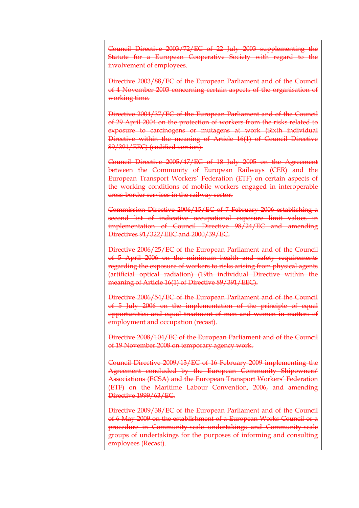Council Directive 2003/72/EC of 22 July 2003 supplementing Statute for a European Cooperative Society with regard to the involvement of employees.

Directive 2003/88/EC of the European Parliament and of the Council of 4 November 2003 concerning certain aspects of the organisation of working time.

Directive 2004/37/EC of the European Parliament and of the Council of 29 April 2004 on the protection of workers from the risks related to exposure to carcinogens or mutagens at work (Sixth individual Directive within the meaning of Article 16(1) of Council Directive 89/391/EEC) (codified version).

Council Directive 2005/47/EC of 18 July 2005 on the Agreement between the Community of European Railways (CER) and the European Transport Workers' Federation (ETF) on certain aspects of the working conditions of mobile workers engaged in interoperable cross-border services in the railway sector.

Commission Directive 2006/15/EC of 7 February 2006 establishing a second list of indicative occupational exposure limit values in implementation of Council Directive 98/24/EC and amending Directives 91/322/EEC and 2000/39/EC.

Directive 2006/25/EC of the European Parliament and of the Council of 5 April 2006 on the minimum health and safety requirements regarding the exposure of workers to risks arising from physical agents (artificial optical radiation) (19th individual Directive within the meaning of Article 16(1) of Directive 89/391/EEC).

Directive 2006/54/EC of the European Parliament and of the Council of 5 July 2006 on the implementation of the principle of equal opportunities and equal treatment of men and women in matters of employment and occupation (recast).

Directive 2008/104/EC of the European Parliament and of the Council of 19 November 2008 on temporary agency work.

Council Directive 2009/13/EC of 16 February 2009 implementing the Agreement concluded by the European Community Shipowners' Associations (ECSA) and the European Transport Workers' Federation (ETF) on the Maritime Labour Convention, 2006, and amending Directive 1999/63/EC.

Directive 2009/38/EC of the European Parliament and of the Council of 6 May 2009 on the establishment of a European Works Council or a procedure in Community-scale undertakings and Community-scale groups of undertakings for the purposes of informing and consulting employees (Recast).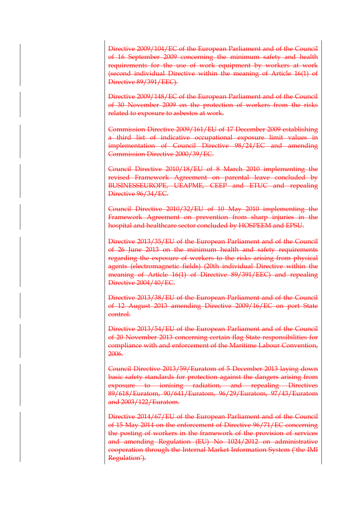Directive 2009/104/EC of the European Parliament and of the Council of 16 September 2009 concerning the minimum safety and health requirements for the use of work equipment by workers at work (second individual Directive within the meaning of Article 16(1) of Directive 89/391/EEC).

Directive 2009/148/EC of the European Parliament and of the Council of 30 November 2009 on the protection of workers from the risks related to exposure to asbestos at work.

Commission Directive 2009/161/EU of 17 December 2009 establishing a third list of indicative occupational exposure limit values in implementation of Council Directive 98/24/EC and amending Commission Directive 2000/39/EC.

Council Directive 2010/18/EU of 8 March 2010 implementing the revised Framework Agreement on parental leave concluded by BUSINESSEUROPE, UEAPME, CEEP and ETUC and repealing Directive 96/34/EC.

Council Directive 2010/32/EU of 10 May 2010 implementing the Framework Agreement on prevention from sharp injuries in the hospital and healthcare sector concluded by HOSPEEM and EPSU.

Directive 2013/35/EU of the European Parliament and of the Council of 26 June 2013 on the minimum health and safety requirements regarding the exposure of workers to the risks arising from physical agents (electromagnetic fields) (20th individual Directive within the meaning of Article 16(1) of Directive 89/391/EEC) and repealing Directive 2004/40/EC.

Directive 2013/38/EU of the European Parliament and of the Council of 12 August 2013 amending Directive 2009/16/EC on port State control.

Directive 2013/54/EU of the European Parliament and of the Council of 20 November 2013 concerning certain flag State responsibilities for compliance with and enforcement of the Maritime Labour Convention, 2006.

Council Directive 2013/59/Euratom of 5 December 2013 laying down basic safety standards for protection against the dangers arising from exposure to ionising radiation, and repealing Directives 89/618/Euratom, 90/641/Euratom, 96/29/Euratom, 97/43/Euratom and 2003/122/Euratom.

Directive 2014/67/EU of the European Parliament and of the Council of 15 May 2014 on the enforcement of Directive 96/71/EC concerning the posting of workers in the framework of the provision of services and amending Regulation (EU) No 1024/2012 on administrative cooperation through the Internal Market Information System ('the IMI Regulation').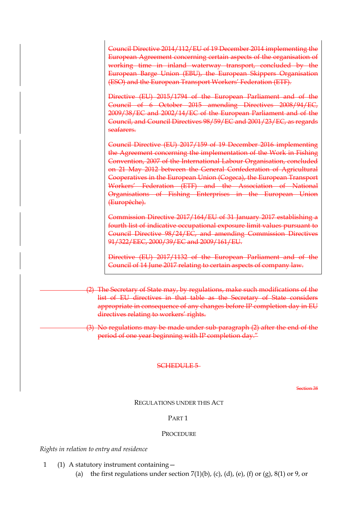Council Directive 2014/112/EU of 19 December 2014 implementing the European Agreement concerning certain aspects of the organisation of working time in inland waterway transport, concluded by the European Barge Union (EBU), the European Skippers Organisation (ESO) and the European Transport Workers' Federation (ETF).

Directive (EU) 2015/1794 of the European Parliament and of the Council of 6 October 2015 amending Directives 2008/94/EC, 2009/38/EC and 2002/14/EC of the European Parliament and of the Council, and Council Directives 98/59/EC and 2001/23/EC, as regards seafarers.

Council Directive (EU) 2017/159 of 19 December 2016 implementing the Agreement concerning the implementation of the Work in Fishing Convention, 2007 of the International Labour Organisation, concluded on 21 May 2012 between the General Confederation of Agricultural Cooperatives in the European Union (Cogeca), the European Transport Workers' Federation (ETF) and the Association of National Organisations of Fishing Enterprises in the European Union (Europêche).

Commission Directive 2017/164/EU of 31 January 2017 establishing a fourth list of indicative occupational exposure limit values pursuant to Council Directive 98/24/EC, and amending Commission Directives 91/322/EEC, 2000/39/EC and 2009/161/EU.

Directive (EU) 2017/1132 of the European Parliament and of the Council of 14 June 2017 relating to certain aspects of company law.

(2) The Secretary of State may, by regulations, make such modifications of the list of EU directives in that table as the Secretary of State considers appropriate in consequence of any changes before IP completion day in EU directives relating to workers' rights.

(3) No regulations may be made under sub-paragraph (2) after the end of the period of one year beginning with IP completion day."

# SCHEDULE 5

Section 38

REGULATIONS UNDER THIS ACT

# PART 1

# **PROCEDURE**

# *Rights in relation to entry and residence*

- 1 (1) A statutory instrument containing—
	- (a) the first regulations under section  $7(1)(b)$ , (c), (d), (e), (f) or (g), 8(1) or 9, or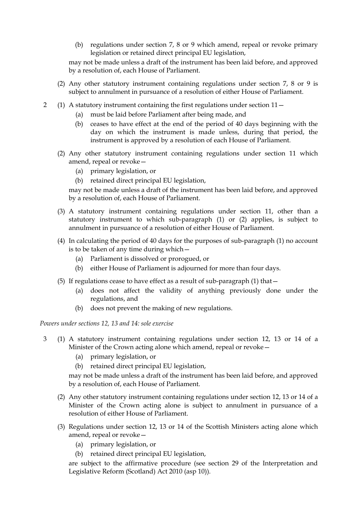(b) regulations under section 7, 8 or 9 which amend, repeal or revoke primary legislation or retained direct principal EU legislation,

may not be made unless a draft of the instrument has been laid before, and approved by a resolution of, each House of Parliament.

- (2) Any other statutory instrument containing regulations under section 7, 8 or 9 is subject to annulment in pursuance of a resolution of either House of Parliament.
- 2 (1) A statutory instrument containing the first regulations under section 11—
	- (a) must be laid before Parliament after being made, and
	- (b) ceases to have effect at the end of the period of 40 days beginning with the day on which the instrument is made unless, during that period, the instrument is approved by a resolution of each House of Parliament.
	- (2) Any other statutory instrument containing regulations under section 11 which amend, repeal or revoke—
		- (a) primary legislation, or
		- (b) retained direct principal EU legislation,

may not be made unless a draft of the instrument has been laid before, and approved by a resolution of, each House of Parliament.

- (3) A statutory instrument containing regulations under section 11, other than a statutory instrument to which sub-paragraph (1) or (2) applies, is subject to annulment in pursuance of a resolution of either House of Parliament.
- (4) In calculating the period of 40 days for the purposes of sub-paragraph (1) no account is to be taken of any time during which—
	- (a) Parliament is dissolved or prorogued, or
	- (b) either House of Parliament is adjourned for more than four days.
- (5) If regulations cease to have effect as a result of sub-paragraph (1) that—
	- (a) does not affect the validity of anything previously done under the regulations, and
	- (b) does not prevent the making of new regulations.

*Powers under sections 12, 13 and 14: sole exercise*

- 3 (1) A statutory instrument containing regulations under section 12, 13 or 14 of a Minister of the Crown acting alone which amend, repeal or revoke—
	- (a) primary legislation, or
	- (b) retained direct principal EU legislation,

may not be made unless a draft of the instrument has been laid before, and approved by a resolution of, each House of Parliament.

- (2) Any other statutory instrument containing regulations under section 12, 13 or 14 of a Minister of the Crown acting alone is subject to annulment in pursuance of a resolution of either House of Parliament.
- (3) Regulations under section 12, 13 or 14 of the Scottish Ministers acting alone which amend, repeal or revoke—
	- (a) primary legislation, or
	- (b) retained direct principal EU legislation,

are subject to the affirmative procedure (see section 29 of the Interpretation and Legislative Reform (Scotland) Act 2010 (asp 10)).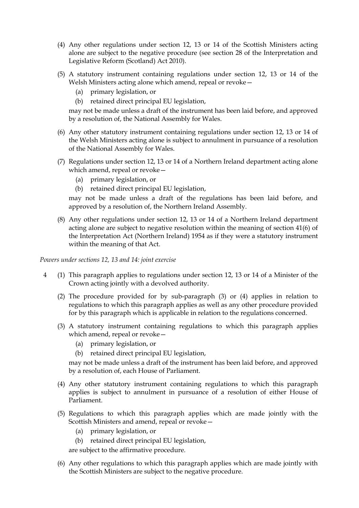- (4) Any other regulations under section 12, 13 or 14 of the Scottish Ministers acting alone are subject to the negative procedure (see section 28 of the Interpretation and Legislative Reform (Scotland) Act 2010).
- (5) A statutory instrument containing regulations under section 12, 13 or 14 of the Welsh Ministers acting alone which amend, repeal or revoke—
	- (a) primary legislation, or
	- (b) retained direct principal EU legislation,

may not be made unless a draft of the instrument has been laid before, and approved by a resolution of, the National Assembly for Wales.

- (6) Any other statutory instrument containing regulations under section 12, 13 or 14 of the Welsh Ministers acting alone is subject to annulment in pursuance of a resolution of the National Assembly for Wales.
- (7) Regulations under section 12, 13 or 14 of a Northern Ireland department acting alone which amend, repeal or revoke—
	- (a) primary legislation, or
	- (b) retained direct principal EU legislation,

may not be made unless a draft of the regulations has been laid before, and approved by a resolution of, the Northern Ireland Assembly.

(8) Any other regulations under section 12, 13 or 14 of a Northern Ireland department acting alone are subject to negative resolution within the meaning of section 41(6) of the Interpretation Act (Northern Ireland) 1954 as if they were a statutory instrument within the meaning of that Act.

*Powers under sections 12, 13 and 14: joint exercise*

- 4 (1) This paragraph applies to regulations under section 12, 13 or 14 of a Minister of the Crown acting jointly with a devolved authority.
	- (2) The procedure provided for by sub-paragraph (3) or (4) applies in relation to regulations to which this paragraph applies as well as any other procedure provided for by this paragraph which is applicable in relation to the regulations concerned.
	- (3) A statutory instrument containing regulations to which this paragraph applies which amend, repeal or revoke—
		- (a) primary legislation, or
		- (b) retained direct principal EU legislation,

may not be made unless a draft of the instrument has been laid before, and approved by a resolution of, each House of Parliament.

- (4) Any other statutory instrument containing regulations to which this paragraph applies is subject to annulment in pursuance of a resolution of either House of Parliament.
- (5) Regulations to which this paragraph applies which are made jointly with the Scottish Ministers and amend, repeal or revoke—
	- (a) primary legislation, or
	- (b) retained direct principal EU legislation,

are subject to the affirmative procedure.

(6) Any other regulations to which this paragraph applies which are made jointly with the Scottish Ministers are subject to the negative procedure.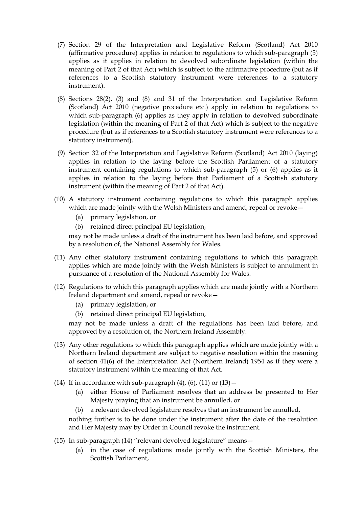- (7) Section 29 of the Interpretation and Legislative Reform (Scotland) Act 2010 (affirmative procedure) applies in relation to regulations to which sub-paragraph (5) applies as it applies in relation to devolved subordinate legislation (within the meaning of Part 2 of that Act) which is subject to the affirmative procedure (but as if references to a Scottish statutory instrument were references to a statutory instrument).
- (8) Sections 28(2), (3) and (8) and 31 of the Interpretation and Legislative Reform (Scotland) Act 2010 (negative procedure etc.) apply in relation to regulations to which sub-paragraph (6) applies as they apply in relation to devolved subordinate legislation (within the meaning of Part 2 of that Act) which is subject to the negative procedure (but as if references to a Scottish statutory instrument were references to a statutory instrument).
- (9) Section 32 of the Interpretation and Legislative Reform (Scotland) Act 2010 (laying) applies in relation to the laying before the Scottish Parliament of a statutory instrument containing regulations to which sub-paragraph (5) or (6) applies as it applies in relation to the laying before that Parliament of a Scottish statutory instrument (within the meaning of Part 2 of that Act).
- (10) A statutory instrument containing regulations to which this paragraph applies which are made jointly with the Welsh Ministers and amend, repeal or revoke—
	- (a) primary legislation, or
	- (b) retained direct principal EU legislation,

may not be made unless a draft of the instrument has been laid before, and approved by a resolution of, the National Assembly for Wales.

- (11) Any other statutory instrument containing regulations to which this paragraph applies which are made jointly with the Welsh Ministers is subject to annulment in pursuance of a resolution of the National Assembly for Wales.
- (12) Regulations to which this paragraph applies which are made jointly with a Northern Ireland department and amend, repeal or revoke—
	- (a) primary legislation, or
	- (b) retained direct principal EU legislation,

may not be made unless a draft of the regulations has been laid before, and approved by a resolution of, the Northern Ireland Assembly.

- (13) Any other regulations to which this paragraph applies which are made jointly with a Northern Ireland department are subject to negative resolution within the meaning of section 41(6) of the Interpretation Act (Northern Ireland) 1954 as if they were a statutory instrument within the meaning of that Act.
- (14) If in accordance with sub-paragraph  $(4)$ ,  $(6)$ ,  $(11)$  or  $(13)$  -
	- (a) either House of Parliament resolves that an address be presented to Her Majesty praying that an instrument be annulled, or
	- (b) a relevant devolved legislature resolves that an instrument be annulled,

nothing further is to be done under the instrument after the date of the resolution and Her Majesty may by Order in Council revoke the instrument.

- (15) In sub-paragraph (14) "relevant devolved legislature" means—
	- (a) in the case of regulations made jointly with the Scottish Ministers, the Scottish Parliament,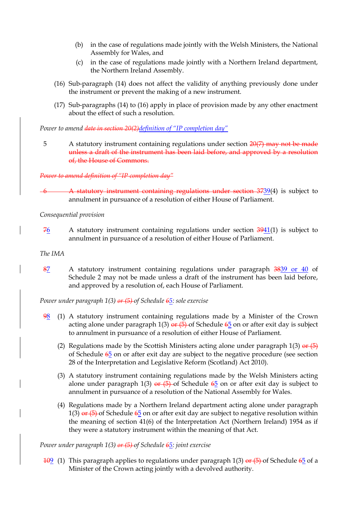- (b) in the case of regulations made jointly with the Welsh Ministers, the National Assembly for Wales, and
- (c) in the case of regulations made jointly with a Northern Ireland department, the Northern Ireland Assembly.
- (16) Sub-paragraph (14) does not affect the validity of anything previously done under the instrument or prevent the making of a new instrument.
- (17) Sub-paragraphs (14) to (16) apply in place of provision made by any other enactment about the effect of such a resolution.

*Power to amend date in section 20(2)definition of "IP completion day"*

5 A statutory instrument containing regulations under section 20(7) may not be made unless a draft of the instrument has been laid before, and approved by a resolution of, the House of Commons.

*Power to amend definition of "IP completion day"*

6 A statutory instrument containing regulations under section 3739(4) is subject to annulment in pursuance of a resolution of either House of Parliament.

*Consequential provision*

76 A statutory instrument containing regulations under section 3941(1) is subject to annulment in pursuance of a resolution of either House of Parliament.

*The IMA*

87 A statutory instrument containing regulations under paragraph 3839 or 40 of Schedule 2 may not be made unless a draft of the instrument has been laid before, and approved by a resolution of, each House of Parliament.

*Power under paragraph 1(3) or (5) of Schedule 65: sole exercise*

- 98 (1) A statutory instrument containing regulations made by a Minister of the Crown acting alone under paragraph  $1(3)$  or  $(5)$  of Schedule 65 on or after exit day is subject to annulment in pursuance of a resolution of either House of Parliament.
	- (2) Regulations made by the Scottish Ministers acting alone under paragraph  $1(3) \text{ or } (5)$ of Schedule 65 on or after exit day are subject to the negative procedure (see section 28 of the Interpretation and Legislative Reform (Scotland) Act 2010).
	- (3) A statutory instrument containing regulations made by the Welsh Ministers acting alone under paragraph 1(3)  $er (5)$  of Schedule  $65$  on or after exit day is subject to annulment in pursuance of a resolution of the National Assembly for Wales.
	- (4) Regulations made by a Northern Ireland department acting alone under paragraph 1(3)  $\frac{\partial F}{\partial r}$  of Schedule  $\frac{65}{2}$  on or after exit day are subject to negative resolution within the meaning of section 41(6) of the Interpretation Act (Northern Ireland) 1954 as if they were a statutory instrument within the meaning of that Act.

# *Power under paragraph 1(3) or (5) of Schedule 65: joint exercise*

 $\frac{100}{10}$  (1) This paragraph applies to regulations under paragraph 1(3) or (5) of Schedule 65 of a Minister of the Crown acting jointly with a devolved authority.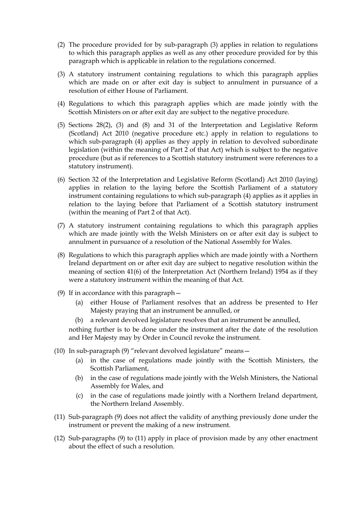- (2) The procedure provided for by sub-paragraph (3) applies in relation to regulations to which this paragraph applies as well as any other procedure provided for by this paragraph which is applicable in relation to the regulations concerned.
- (3) A statutory instrument containing regulations to which this paragraph applies which are made on or after exit day is subject to annulment in pursuance of a resolution of either House of Parliament.
- (4) Regulations to which this paragraph applies which are made jointly with the Scottish Ministers on or after exit day are subject to the negative procedure.
- (5) Sections 28(2), (3) and (8) and 31 of the Interpretation and Legislative Reform (Scotland) Act 2010 (negative procedure etc.) apply in relation to regulations to which sub-paragraph (4) applies as they apply in relation to devolved subordinate legislation (within the meaning of Part 2 of that Act) which is subject to the negative procedure (but as if references to a Scottish statutory instrument were references to a statutory instrument).
- (6) Section 32 of the Interpretation and Legislative Reform (Scotland) Act 2010 (laying) applies in relation to the laying before the Scottish Parliament of a statutory instrument containing regulations to which sub-paragraph (4) applies as it applies in relation to the laying before that Parliament of a Scottish statutory instrument (within the meaning of Part 2 of that Act).
- (7) A statutory instrument containing regulations to which this paragraph applies which are made jointly with the Welsh Ministers on or after exit day is subject to annulment in pursuance of a resolution of the National Assembly for Wales.
- (8) Regulations to which this paragraph applies which are made jointly with a Northern Ireland department on or after exit day are subject to negative resolution within the meaning of section 41(6) of the Interpretation Act (Northern Ireland) 1954 as if they were a statutory instrument within the meaning of that Act.
- (9) If in accordance with this paragraph—
	- (a) either House of Parliament resolves that an address be presented to Her Majesty praying that an instrument be annulled, or
	- (b) a relevant devolved legislature resolves that an instrument be annulled,

nothing further is to be done under the instrument after the date of the resolution and Her Majesty may by Order in Council revoke the instrument.

- (10) In sub-paragraph (9) "relevant devolved legislature" means—
	- (a) in the case of regulations made jointly with the Scottish Ministers, the Scottish Parliament,
	- (b) in the case of regulations made jointly with the Welsh Ministers, the National Assembly for Wales, and
	- (c) in the case of regulations made jointly with a Northern Ireland department, the Northern Ireland Assembly.
- (11) Sub-paragraph (9) does not affect the validity of anything previously done under the instrument or prevent the making of a new instrument.
- (12) Sub-paragraphs (9) to (11) apply in place of provision made by any other enactment about the effect of such a resolution.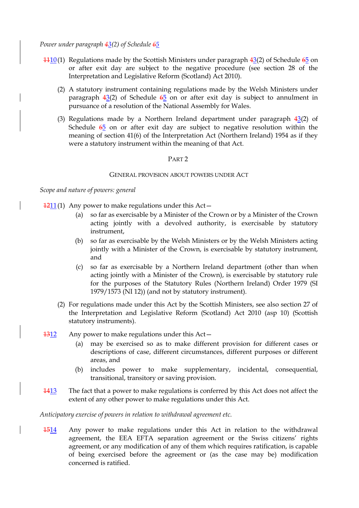*Power under paragraph 43(2) of Schedule 65*

- 1110(1) Regulations made by the Scottish Ministers under paragraph 43(2) of Schedule 65 on or after exit day are subject to the negative procedure (see section 28 of the Interpretation and Legislative Reform (Scotland) Act 2010).
	- (2) A statutory instrument containing regulations made by the Welsh Ministers under paragraph  $43(2)$  of Schedule  $65$  on or after exit day is subject to annulment in pursuance of a resolution of the National Assembly for Wales.
	- (3) Regulations made by a Northern Ireland department under paragraph 43(2) of Schedule  $65$  on or after exit day are subject to negative resolution within the meaning of section 41(6) of the Interpretation Act (Northern Ireland) 1954 as if they were a statutory instrument within the meaning of that Act.

#### PART 2

#### GENERAL PROVISION ABOUT POWERS UNDER ACT

*Scope and nature of powers: general*

 $\frac{1211}{12}$ (1) Any power to make regulations under this Act-

- (a) so far as exercisable by a Minister of the Crown or by a Minister of the Crown acting jointly with a devolved authority, is exercisable by statutory instrument,
- (b) so far as exercisable by the Welsh Ministers or by the Welsh Ministers acting jointly with a Minister of the Crown, is exercisable by statutory instrument, and
- (c) so far as exercisable by a Northern Ireland department (other than when acting jointly with a Minister of the Crown), is exercisable by statutory rule for the purposes of the Statutory Rules (Northern Ireland) Order 1979 (SI 1979/1573 (NI 12)) (and not by statutory instrument).
- (2) For regulations made under this Act by the Scottish Ministers, see also section 27 of the Interpretation and Legislative Reform (Scotland) Act 2010 (asp 10) (Scottish statutory instruments).
- 1312 Any power to make regulations under this Act-
	- (a) may be exercised so as to make different provision for different cases or descriptions of case, different circumstances, different purposes or different areas, and
	- (b) includes power to make supplementary, incidental, consequential, transitional, transitory or saving provision.
- 1413 The fact that a power to make regulations is conferred by this Act does not affect the extent of any other power to make regulations under this Act.

*Anticipatory exercise of powers in relation to withdrawal agreement etc.*

1514 Any power to make regulations under this Act in relation to the withdrawal agreement, the EEA EFTA separation agreement or the Swiss citizens' rights agreement, or any modification of any of them which requires ratification, is capable of being exercised before the agreement or (as the case may be) modification concerned is ratified.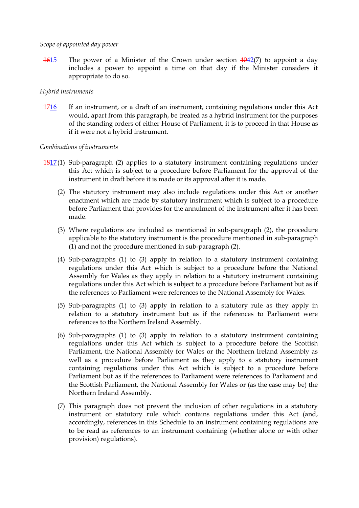### *Scope of appointed day power*

1615 The power of a Minister of the Crown under section  $4042(7)$  to appoint a day includes a power to appoint a time on that day if the Minister considers it appropriate to do so.

## *Hybrid instruments*

 $1716$  If an instrument, or a draft of an instrument, containing regulations under this Act would, apart from this paragraph, be treated as a hybrid instrument for the purposes of the standing orders of either House of Parliament, it is to proceed in that House as if it were not a hybrid instrument.

### *Combinations of instruments*

- 1817(1) Sub-paragraph (2) applies to a statutory instrument containing regulations under this Act which is subject to a procedure before Parliament for the approval of the instrument in draft before it is made or its approval after it is made.
	- (2) The statutory instrument may also include regulations under this Act or another enactment which are made by statutory instrument which is subject to a procedure before Parliament that provides for the annulment of the instrument after it has been made.
	- (3) Where regulations are included as mentioned in sub-paragraph (2), the procedure applicable to the statutory instrument is the procedure mentioned in sub-paragraph (1) and not the procedure mentioned in sub-paragraph (2).
	- (4) Sub-paragraphs (1) to (3) apply in relation to a statutory instrument containing regulations under this Act which is subject to a procedure before the National Assembly for Wales as they apply in relation to a statutory instrument containing regulations under this Act which is subject to a procedure before Parliament but as if the references to Parliament were references to the National Assembly for Wales.
	- (5) Sub-paragraphs (1) to (3) apply in relation to a statutory rule as they apply in relation to a statutory instrument but as if the references to Parliament were references to the Northern Ireland Assembly.
	- (6) Sub-paragraphs (1) to (3) apply in relation to a statutory instrument containing regulations under this Act which is subject to a procedure before the Scottish Parliament, the National Assembly for Wales or the Northern Ireland Assembly as well as a procedure before Parliament as they apply to a statutory instrument containing regulations under this Act which is subject to a procedure before Parliament but as if the references to Parliament were references to Parliament and the Scottish Parliament, the National Assembly for Wales or (as the case may be) the Northern Ireland Assembly.
	- (7) This paragraph does not prevent the inclusion of other regulations in a statutory instrument or statutory rule which contains regulations under this Act (and, accordingly, references in this Schedule to an instrument containing regulations are to be read as references to an instrument containing (whether alone or with other provision) regulations).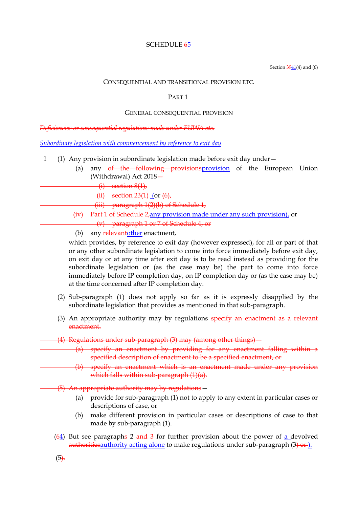## SCHEDULE 65

Section  $\frac{3941}{4}$  and (6)

### CONSEQUENTIAL AND TRANSITIONAL PROVISION ETC.

### PART 1

#### GENERAL CONSEQUENTIAL PROVISION

*Deficiencies or consequential regulations made under EUWA etc.*

*Subordinate legislation with commencement by reference to exit day*

- 1 (1) Any provision in subordinate legislation made before exit day under—
	- (a) any of the following provisions provision of the European Union (Withdrawal) Act 2018—

 $-$  section  $8(1)$ ,

 $(ii)$  section 23(1) (or  $(6)$ ,

(iii) paragraph 1(2)(b) of Schedule 1,

- (iv) Part 1 of Schedule 2,any provision made under any such provision), or
	- (v) paragraph 1 or 7 of Schedule 4, or
- (b) any **relevantother** enactment,

which provides, by reference to exit day (however expressed), for all or part of that or any other subordinate legislation to come into force immediately before exit day, on exit day or at any time after exit day is to be read instead as providing for the subordinate legislation or (as the case may be) the part to come into force immediately before IP completion day, on IP completion day or (as the case may be) at the time concerned after IP completion day.

- (2) Sub-paragraph (1) does not apply so far as it is expressly disapplied by the subordinate legislation that provides as mentioned in that sub-paragraph.
- (3) An appropriate authority may by regulations-specify an enactment as a relevant enactment.

(4) Regulations under sub-paragraph (3) may (among other things)—

- (a) specify an enactment by providing for any enactment falling within a specified description of enactment to be a specified enactment, or
- (b) specify an enactment which is an enactment made under any provision which falls within sub-paragraph (1)(a).

An appropriate authority may by regulations -

- (a) provide for sub-paragraph (1) not to apply to any extent in particular cases or descriptions of case, or
- (b) make different provision in particular cases or descriptions of case to that made by sub-paragraph (1).
- $(64)$  But see paragraphs 2-and 3 for further provision about the power of a devolved authorities authority acting alone to make regulations under sub-paragraph  $(3)$  or  $\blacksquare$ .

 $(5)$ .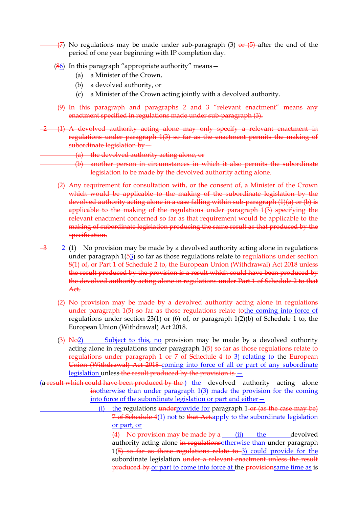- (7) No regulations may be made under sub-paragraph (3)  $\theta$  (5) after the end of the period of one year beginning with IP completion day.
- $(86)$  In this paragraph "appropriate authority" means -
	- (a) a Minister of the Crown,
	- (b) a devolved authority, or
	- (c) a Minister of the Crown acting jointly with a devolved authority.
- (9) In this paragraph and paragraphs 2 and 3 "relevant enactment" means any enactment specified in regulations made under sub-paragraph (3).
- 2 (1) A devolved authority acting alone may only specify a relevant enactment in regulations under paragraph 1(3) so far as the enactment permits the making of subordinate legislation by—
	- (a) the devolved authority acting alone, or
	- (b) another person in circumstances in which it also permits the subordinate legislation to be made by the devolved authority acting alone.
	- (2) Any requirement for consultation with, or the consent of, a Minister of the Crown which would be applicable to the making of the subordinate legislation by the devolved authority acting alone in a case falling within sub-paragraph (1)(a) or (b) is applicable to the making of the regulations under paragraph 1(3) specifying the relevant enactment concerned so far as that requirement would be applicable to the making of subordinate legislation producing the same result as that produced by the specification.
	- $3$  2 (1) No provision may be made by a devolved authority acting alone in regulations under paragraph  $1(53)$  so far as those regulations relate to regulations under section 8(1) of, or Part 1 of Schedule 2 to, the European Union (Withdrawal) Act 2018 unless the result produced by the provision is a result which could have been produced by the devolved authority acting alone in regulations under Part 1 of Schedule 2 to that Act.
		- (2) No provision may be made by a devolved authority acting alone in regulations under paragraph 1(5) so far as those regulations relate to the coming into force of regulations under section 23(1) or  $(6)$  of, or paragraph 1(2)(b) of Schedule 1 to, the European Union (Withdrawal) Act 2018.
		- $(3)$  No2) Subject to this, no provision may be made by a devolved authority acting alone in regulations under paragraph  $1(5)$  so far as those regulations relate to regulations under paragraph 1 or 7 of Schedule 4 to 3) relating to the European Union (Withdrawal) Act 2018 coming into force of all or part of any subordinate legislation unless the result produced by the provision is —
- (a result which could have been produced by the ) the devolved authority acting alone inotherwise than under paragraph 1(3) made the provision for the coming into force of the subordinate legislation or part and either—
	- (i) the regulations underprovide for paragraph  $1$ -or (as the case may be) 7 of Schedule 4(1) not to that Act.apply to the subordinate legislation or part, or
		- $(4)$  No provision may be made by a (ii) the devolved authority acting alone in regulationsotherwise than under paragraph 1(5) so far as those regulations relate to 3) could provide for the subordinate legislation under a relevant enactment unless the result produced by or part to come into force at the provisionsame time as is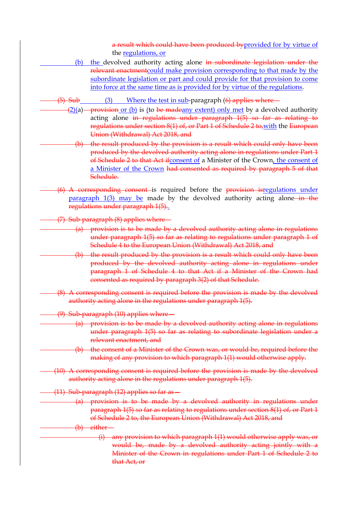a result which could have been produced byprovided for by virtue of the regulations, or

(b) the devolved authority acting alone in subordinate legislation under the relevant enactmentcould make provision corresponding to that made by the subordinate legislation or part and could provide for that provision to come into force at the same time as is provided for by virtue of the regulations.

 $(5)$  Sub (3) Where the test in sub-paragraph  $(6)$  applies where —

- $\frac{f(2)}{a}$  provision or (b) is (to be madeany extent) only met by a devolved authority acting alone in regulations under paragraph 1(5) so far as relating to regulations under section 8(1) of, or Part 1 of Schedule 2 to,with the European Union (Withdrawal) Act 2018, and
	- the result produced by the provision is a result which could only have been produced by the devolved authority acting alone in regulations under Part 1 of Schedule 2 to that Act ifconsent of a Minister of the Crown, the consent of a Minister of the Crown had consented as required by paragraph 5 of that Schedule.
- $(6)$  A corresponding consent is required before the provision is regulations under paragraph 1(3) may be made by the devolved authority acting alone in the regulations under paragraph 1(5)..

(7) Sub-paragraph (8) applies where—

- provision is to be made by a devolved authority acting alone in regulations under paragraph 1(5) so far as relating to regulations under paragraph 1 of Schedule 4 to the European Union (Withdrawal) Act 2018, and
- (b) the result produced by the provision is a result which could only have been produced by the devolved authority acting alone in regulations under paragraph 1 of Schedule 4 to that Act if a Minister of the Crown had consented as required by paragraph 3(2) of that Schedule.
- A corresponding consent is required before the provision is made by the devolved authority acting alone in the regulations under paragraph 1(5).

(9) Sub-paragraph (10) applies where—

- (a) provision is to be made by a devolved authority acting alone in regulations under paragraph 1(5) so far as relating to subordinate legislation under a relevant enactment, and
- (b) the consent of a Minister of the Crown was, or would be, required before the making of any provision to which paragraph 1(1) would otherwise apply.
- (10) A corresponding consent is required before the provision is made by the devolved authority acting alone in the regulations under paragraph 1(5).

(11) Sub-paragraph (12) applies so far as—

- (a) provision is to be made by a devolved authority in regulations under paragraph 1(5) so far as relating to regulations under section 8(1) of, or Part 1 of Schedule 2 to, the European Union (Withdrawal) Act 2018, and
- (b) either—
	- (i) any provision to which paragraph 1(1) would otherwise apply was, or would be, made by a devolved authority acting jointly with a Minister of the Crown in regulations under Part 1 of Schedule 2 to that Act, or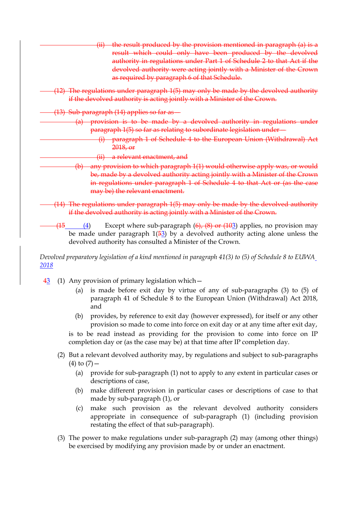- the result produced by the provision mentioned in paragraph (a) is a result which could only have been produced by the devolved authority in regulations under Part 1 of Schedule 2 to that Act if the devolved authority were acting jointly with a Minister of the Crown as required by paragraph 6 of that Schedule.
- (12) The regulations under paragraph 1(5) may only be made by the devolved authority if the devolved authority is acting jointly with a Minister of the Crown.

(13) Sub-paragraph (14) applies so far as—

- provision is to be made by a devolved authority in regulations under paragraph 1(5) so far as relating to subordinate legislation under
	- paragraph 1 of Schedule 4 to the European Union (Withdrawal) Act 2018, or
	- (ii) a relevant enactment, and
- (b) any provision to which paragraph 1(1) would otherwise apply was, or would be, made by a devolved authority acting jointly with a Minister of the Crown in regulations under paragraph 1 of Schedule 4 to that Act or (as the case may be) the relevant enactment.
- (14) The regulations under paragraph 1(5) may only be made by the devolved authority if the devolved authority is acting jointly with a Minister of the Crown.
- $(15 \t(4)$  Except where sub-paragraph  $(6)$ ,  $(8)$  or  $(103)$  applies, no provision may be made under paragraph  $1(53)$  by a devolved authority acting alone unless the devolved authority has consulted a Minister of the Crown.

*Devolved preparatory legislation of a kind mentioned in paragraph 41(3) to (5) of Schedule 8 to EUWA 2018*

- 43 (1) Any provision of primary legislation which—
	- (a) is made before exit day by virtue of any of sub-paragraphs (3) to (5) of paragraph 41 of Schedule 8 to the European Union (Withdrawal) Act 2018, and
	- (b) provides, by reference to exit day (however expressed), for itself or any other provision so made to come into force on exit day or at any time after exit day,

is to be read instead as providing for the provision to come into force on IP completion day or (as the case may be) at that time after IP completion day.

- (2) But a relevant devolved authority may, by regulations and subject to sub-paragraphs (4) to  $(7)$  –
	- (a) provide for sub-paragraph (1) not to apply to any extent in particular cases or descriptions of case,
	- (b) make different provision in particular cases or descriptions of case to that made by sub-paragraph (1), or
	- (c) make such provision as the relevant devolved authority considers appropriate in consequence of sub-paragraph (1) (including provision restating the effect of that sub-paragraph).
- (3) The power to make regulations under sub-paragraph (2) may (among other things) be exercised by modifying any provision made by or under an enactment.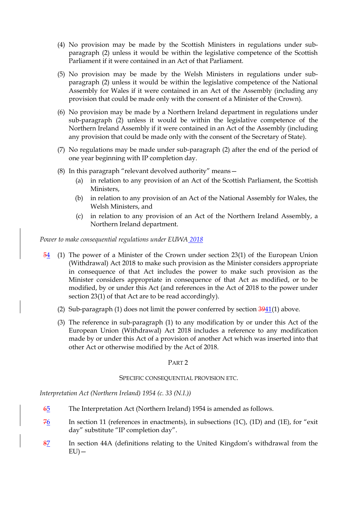- (4) No provision may be made by the Scottish Ministers in regulations under subparagraph (2) unless it would be within the legislative competence of the Scottish Parliament if it were contained in an Act of that Parliament.
- (5) No provision may be made by the Welsh Ministers in regulations under subparagraph (2) unless it would be within the legislative competence of the National Assembly for Wales if it were contained in an Act of the Assembly (including any provision that could be made only with the consent of a Minister of the Crown).
- (6) No provision may be made by a Northern Ireland department in regulations under sub-paragraph (2) unless it would be within the legislative competence of the Northern Ireland Assembly if it were contained in an Act of the Assembly (including any provision that could be made only with the consent of the Secretary of State).
- (7) No regulations may be made under sub-paragraph (2) after the end of the period of one year beginning with IP completion day.
- (8) In this paragraph "relevant devolved authority" means—
	- (a) in relation to any provision of an Act of the Scottish Parliament, the Scottish Ministers,
	- (b) in relation to any provision of an Act of the National Assembly for Wales, the Welsh Ministers, and
	- (c) in relation to any provision of an Act of the Northern Ireland Assembly, a Northern Ireland department.

*Power to make consequential regulations under EUWA 2018*

- 54 (1) The power of a Minister of the Crown under section 23(1) of the European Union (Withdrawal) Act 2018 to make such provision as the Minister considers appropriate in consequence of that Act includes the power to make such provision as the Minister considers appropriate in consequence of that Act as modified, or to be modified, by or under this Act (and references in the Act of 2018 to the power under section 23(1) of that Act are to be read accordingly).
	- (2) Sub-paragraph (1) does not limit the power conferred by section 3941(1) above.
	- (3) The reference in sub-paragraph (1) to any modification by or under this Act of the European Union (Withdrawal) Act 2018 includes a reference to any modification made by or under this Act of a provision of another Act which was inserted into that other Act or otherwise modified by the Act of 2018.

### PART 2

#### SPECIFIC CONSEQUENTIAL PROVISION ETC.

*Interpretation Act (Northern Ireland) 1954 (c. 33 (N.I.))*

- 65 The Interpretation Act (Northern Ireland) 1954 is amended as follows.
- $76$  In section 11 (references in enactments), in subsections (1C), (1D) and (1E), for "exit day" substitute "IP completion day".
- 87 In section 44A (definitions relating to the United Kingdom's withdrawal from the  $EU$ ) —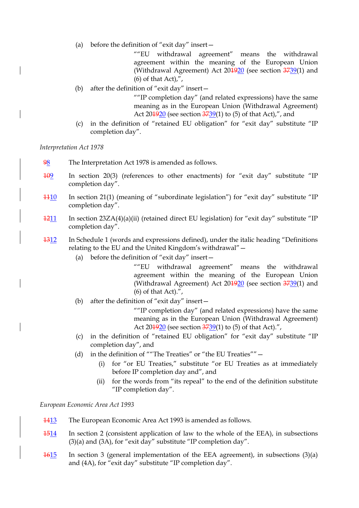(a) before the definition of "exit day" insert—

""EU withdrawal agreement" means the withdrawal agreement within the meaning of the European Union (Withdrawal Agreement) Act 20<del>19</del>20 (see section 3739(1) and (6) of that Act),",

(b) after the definition of "exit day" insert—

""IP completion day" (and related expressions) have the same meaning as in the European Union (Withdrawal Agreement) Act 20<del>1920</del> (see section 3739(1) to (5) of that Act),", and

(c) in the definition of "retained EU obligation" for "exit day" substitute "IP completion day".

*Interpretation Act 1978*

- 98 The Interpretation Act 1978 is amended as follows.
- 109 In section 20(3) (references to other enactments) for "exit day" substitute "IP completion day".
- 1110 In section 21(1) (meaning of "subordinate legislation") for "exit day" substitute "IP completion day".
- $1211$  In section 23ZA(4)(a)(ii) (retained direct EU legislation) for "exit day" substitute "IP completion day".
- 1312 In Schedule 1 (words and expressions defined), under the italic heading "Definitions relating to the EU and the United Kingdom's withdrawal"—
	- (a) before the definition of "exit day" insert—

""EU withdrawal agreement" means the withdrawal agreement within the meaning of the European Union (Withdrawal Agreement) Act  $201920$  (see section  $3739(1)$  and (6) of that Act).",

(b) after the definition of "exit day" insert—

""IP completion day" (and related expressions) have the same meaning as in the European Union (Withdrawal Agreement) Act 201920 (see section 3739(1) to (5) of that Act).",

- (c) in the definition of "retained EU obligation" for "exit day" substitute "IP completion day", and
- (d) in the definition of ""The Treaties" or "the EU Treaties""—
	- (i) for "or EU Treaties," substitute "or EU Treaties as at immediately before IP completion day and", and
	- (ii) for the words from "its repeal" to the end of the definition substitute "IP completion day".

*European Economic Area Act 1993*

- 1413 The European Economic Area Act 1993 is amended as follows.
- $1514$  In section 2 (consistent application of law to the whole of the EEA), in subsections (3)(a) and (3A), for "exit day" substitute "IP completion day".
- 1615 In section 3 (general implementation of the EEA agreement), in subsections (3)(a) and (4A), for "exit day" substitute "IP completion day".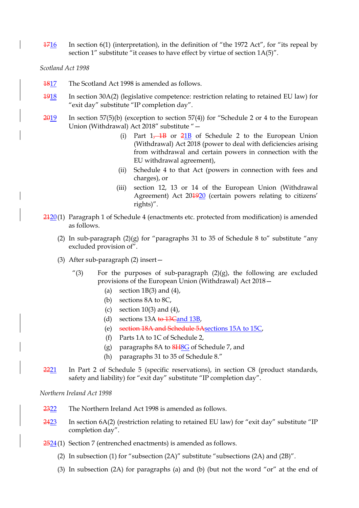1716 In section 6(1) (interpretation), in the definition of "the 1972 Act", for "its repeal by section 1" substitute "it ceases to have effect by virtue of section  $1A(5)$ ".

*Scotland Act 1998*

- 1817 The Scotland Act 1998 is amended as follows.
- 1918 In section 30A(2) (legislative competence: restriction relating to retained EU law) for "exit day" substitute "IP completion day".
- 2019 In section 57(5)(b) (exception to section 57(4)) for "Schedule 2 or 4 to the European Union (Withdrawal) Act 2018" substitute "—
	- (i) Part  $1, \overline{1B}$  or  $21B$  of Schedule 2 to the European Union (Withdrawal) Act 2018 (power to deal with deficiencies arising from withdrawal and certain powers in connection with the EU withdrawal agreement),
	- (ii) Schedule 4 to that Act (powers in connection with fees and charges), or
	- (iii) section 12, 13 or 14 of the European Union (Withdrawal Agreement) Act 201920 (certain powers relating to citizens' rights)".
- 2120(1) Paragraph 1 of Schedule 4 (enactments etc. protected from modification) is amended as follows.
	- (2) In sub-paragraph  $(2)(g)$  for "paragraphs 31 to 35 of Schedule 8 to" substitute "any excluded provision of".
	- (3) After sub-paragraph (2) insert—
		- "(3) For the purposes of sub-paragraph  $(2)(g)$ , the following are excluded provisions of the European Union (Withdrawal) Act 2018—
			- (a) section  $1B(3)$  and  $(4)$ ,
			- (b) sections 8A to 8C,
			- (c) section  $10(3)$  and  $(4)$ ,
			- (d) sections  $13A$  to  $13C$ and  $13B$ ,
			- (e) section 18A and Schedule 5Asections 15A to 15C,
			- (f) Parts 1A to 1C of Schedule 2,
			- (g) paragraphs 8A to  $8H8G$  of Schedule 7, and
			- (h) paragraphs 31 to 35 of Schedule 8."
- 2221 In Part 2 of Schedule 5 (specific reservations), in section C8 (product standards, safety and liability) for "exit day" substitute "IP completion day".

### *Northern Ireland Act 1998*

- 2322 The Northern Ireland Act 1998 is amended as follows.
- 2423 In section 6A(2) (restriction relating to retained EU law) for "exit day" substitute "IP completion day".
- 2524(1) Section 7 (entrenched enactments) is amended as follows.
	- (2) In subsection (1) for "subsection (2A)" substitute "subsections (2A) and (2B)".
	- (3) In subsection (2A) for paragraphs (a) and (b) (but not the word "or" at the end of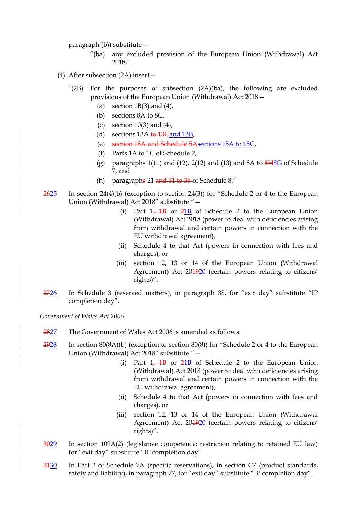paragraph (b)) substitute—

- "(ba) any excluded provision of the European Union (Withdrawal) Act 2018,".
- (4) After subsection (2A) insert—
	- "(2B) For the purposes of subsection (2A)(ba), the following are excluded provisions of the European Union (Withdrawal) Act 2018—
		- (a) section  $1B(3)$  and  $(4)$ ,
		- (b) sections 8A to 8C,
		- (c) section  $10(3)$  and  $(4)$ ,
		- (d) sections  $13A$  to  $13C$ and  $13B$ ,
		- (e) section 18A and Schedule 5Asections 15A to 15C,
		- (f) Parts 1A to 1C of Schedule 2,
		- (g) paragraphs 1(11) and (12), 2(12) and (13) and 8A to  $\frac{8H8G}{8H6}$  of Schedule 7, and
		- (h) paragraphs  $21$  and  $31$  to  $35$  of Schedule 8."
- $2625$  In section 24(4)(b) (exception to section 24(3)) for "Schedule 2 or 4 to the European Union (Withdrawal) Act 2018" substitute "—
	- (i) Part  $1, \overline{1B}$  or  $\overline{21B}$  of Schedule 2 to the European Union (Withdrawal) Act 2018 (power to deal with deficiencies arising from withdrawal and certain powers in connection with the EU withdrawal agreement),
	- (ii) Schedule 4 to that Act (powers in connection with fees and charges), or
	- (iii) section 12, 13 or 14 of the European Union (Withdrawal Agreement) Act 201920 (certain powers relating to citizens' rights)".
- $2726$  In Schedule 3 (reserved matters), in paragraph 38, for "exit day" substitute "IP completion day".

*Government of Wales Act 2006*

- 2827 The Government of Wales Act 2006 is amended as follows.
- $2928$  In section 80(8A)(b) (exception to section 80(8)) for "Schedule 2 or 4 to the European Union (Withdrawal) Act 2018" substitute "—
	- (i) Part  $1, \overline{1B}$  or  $21B$  of Schedule 2 to the European Union (Withdrawal) Act 2018 (power to deal with deficiencies arising from withdrawal and certain powers in connection with the EU withdrawal agreement),
	- (ii) Schedule 4 to that Act (powers in connection with fees and charges), or
	- (iii) section 12, 13 or 14 of the European Union (Withdrawal Agreement) Act 201920 (certain powers relating to citizens' rights)".
- 3029 In section 109A(2) (legislative competence: restriction relating to retained EU law) for "exit day" substitute "IP completion day".
- 3130 In Part 2 of Schedule 7A (specific reservations), in section C7 (product standards, safety and liability), in paragraph 77, for "exit day" substitute "IP completion day".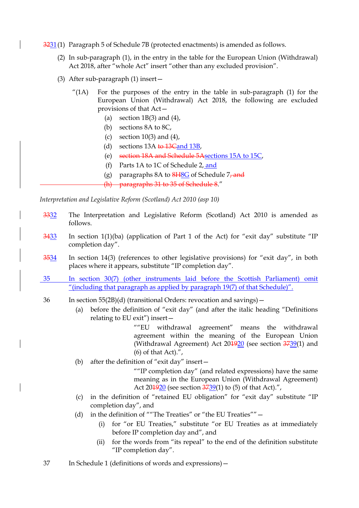- 3231(1) Paragraph 5 of Schedule 7B (protected enactments) is amended as follows.
	- (2) In sub-paragraph (1), in the entry in the table for the European Union (Withdrawal) Act 2018, after "whole Act" insert "other than any excluded provision".
	- (3) After sub-paragraph (1) insert—
		- "(1A) For the purposes of the entry in the table in sub-paragraph  $(1)$  for the European Union (Withdrawal) Act 2018, the following are excluded provisions of that Act—
			- (a) section  $1B(3)$  and  $(4)$ ,
			- (b) sections 8A to 8C,
			- (c) section  $10(3)$  and  $(4)$ ,
			- (d) sections  $13A$  to  $13C$ and  $13B$ ,
			- (e) section 18A and Schedule 5Asections 15A to 15C,
			- (f) Parts 1A to 1C of Schedule 2, and
			- (g) paragraphs 8A to  $8H8G$  of Schedule 7, and
			- (h) paragraphs 31 to 35 of Schedule 8."

*Interpretation and Legislative Reform (Scotland) Act 2010 (asp 10)*

- 3332 The Interpretation and Legislative Reform (Scotland) Act 2010 is amended as follows.
- 3433 In section 1(1)(ba) (application of Part 1 of the Act) for "exit day" substitute "IP completion day".
- 3534 In section 14(3) (references to other legislative provisions) for "exit day", in both places where it appears, substitute "IP completion day".
- 35 In section 30(7) (other instruments laid before the Scottish Parliament) omit "(including that paragraph as applied by paragraph 19(7) of that Schedule)".
- 36 In section 55(2B)(d) (transitional Orders: revocation and savings)—
	- (a) before the definition of "exit day" (and after the italic heading "Definitions relating to EU exit") insert—

""EU withdrawal agreement" means the withdrawal agreement within the meaning of the European Union (Withdrawal Agreement) Act  $20\frac{1920}{1920}$  (see section  $\frac{3739}{1920}$  and (6) of that Act).",

(b) after the definition of "exit day" insert—

""IP completion day" (and related expressions) have the same meaning as in the European Union (Withdrawal Agreement) Act 20<del>19</del>20 (see section 3739(1) to (5) of that Act).",

- (c) in the definition of "retained EU obligation" for "exit day" substitute "IP completion day", and
- (d) in the definition of ""The Treaties" or "the EU Treaties""—
	- (i) for "or EU Treaties," substitute "or EU Treaties as at immediately before IP completion day and", and
	- (ii) for the words from "its repeal" to the end of the definition substitute "IP completion day".
- 37 In Schedule 1 (definitions of words and expressions)—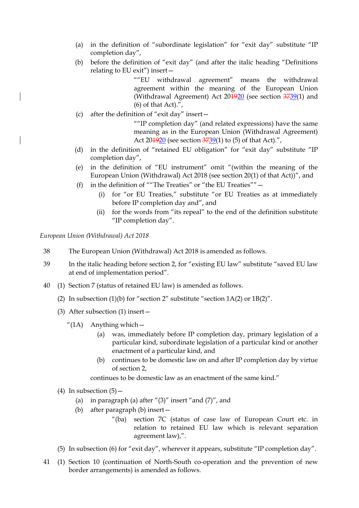- (a) in the definition of "subordinate legislation" for "exit day" substitute "IP completion day",
- (b) before the definition of "exit day" (and after the italic heading "Definitions relating to EU exit") insert—

""EU withdrawal agreement" means the withdrawal agreement within the meaning of the European Union (Withdrawal Agreement) Act 201920 (see section 3739(1) and (6) of that Act).",

(c) after the definition of "exit day" insert—

""IP completion day" (and related expressions) have the same meaning as in the European Union (Withdrawal Agreement) Act 201920 (see section 3739(1) to (5) of that Act).",

- (d) in the definition of "retained EU obligation" for "exit day" substitute "IP completion day",
- (e) in the definition of "EU instrument" omit "(within the meaning of the European Union (Withdrawal) Act 2018 (see section 20(1) of that Act))", and
- (f) in the definition of ""The Treaties" or "the EU Treaties""—
	- (i) for "or EU Treaties," substitute "or EU Treaties as at immediately before IP completion day and", and
	- (ii) for the words from "its repeal" to the end of the definition substitute "IP completion day".

*European Union (Withdrawal) Act 2018*

- 38 The European Union (Withdrawal) Act 2018 is amended as follows.
- 39 In the italic heading before section 2, for "existing EU law" substitute "saved EU law at end of implementation period".
- 40 (1) Section 7 (status of retained EU law) is amended as follows.
	- (2) In subsection (1)(b) for "section 2" substitute "section  $1A(2)$  or  $1B(2)$ ".
	- (3) After subsection (1) insert—
		- " $(1)$  Anything which
			- (a) was, immediately before IP completion day, primary legislation of a particular kind, subordinate legislation of a particular kind or another enactment of a particular kind, and
			- (b) continues to be domestic law on and after IP completion day by virtue of section 2,

continues to be domestic law as an enactment of the same kind."

- (4) In subsection  $(5)$ 
	- (a) in paragraph (a) after " $(3)$ " insert "and  $(7)$ ", and
	- (b) after paragraph (b) insert—
		- "(ba) section 7C (status of case law of European Court etc. in relation to retained EU law which is relevant separation agreement law),".
- (5) In subsection (6) for "exit day", wherever it appears, substitute "IP completion day".
- 41 (1) Section 10 (continuation of North-South co-operation and the prevention of new border arrangements) is amended as follows.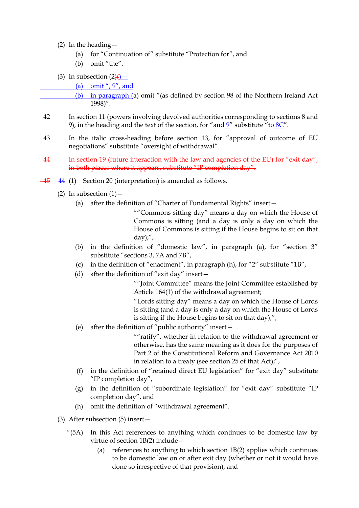- (2) In the heading—
	- (a) for "Continuation of" substitute "Protection for", and
	- (b) omit "the".
- (3) In subsection  $(2)$ <sup>(1)</sup>
	- (a) omit ", 9", and
	- (b) in paragraph (a) omit "(as defined by section 98 of the Northern Ireland Act 1998)".
- 42 In section 11 (powers involving devolved authorities corresponding to sections 8 and 9), in the heading and the text of the section, for "and  $9$ " substitute "to  $8C$ ".
- 43 In the italic cross-heading before section 13, for "approval of outcome of EU negotiations" substitute "oversight of withdrawal".
- In section 19 (future interaction with the law and agencies of the EU) for "exit day", in both places where it appears, substitute "IP completion day".
- 44 (1) Section 20 (interpretation) is amended as follows.
	- (2) In subsection  $(1)$ 
		- (a) after the definition of "Charter of Fundamental Rights" insert—

""Commons sitting day" means a day on which the House of Commons is sitting (and a day is only a day on which the House of Commons is sitting if the House begins to sit on that  $day)$ ;",

- (b) in the definition of "domestic law", in paragraph (a), for "section 3" substitute "sections 3, 7A and 7B",
- (c) in the definition of "enactment", in paragraph (h), for "2" substitute "1B",
- (d) after the definition of "exit day" insert—

""Joint Committee" means the Joint Committee established by Article 164(1) of the withdrawal agreement;

"Lords sitting day" means a day on which the House of Lords is sitting (and a day is only a day on which the House of Lords is sitting if the House begins to sit on that day);",

(e) after the definition of "public authority" insert—

""ratify", whether in relation to the withdrawal agreement or otherwise, has the same meaning as it does for the purposes of Part 2 of the Constitutional Reform and Governance Act 2010 in relation to a treaty (see section 25 of that Act);",

- (f) in the definition of "retained direct EU legislation" for "exit day" substitute "IP completion day",
- (g) in the definition of "subordinate legislation" for "exit day" substitute "IP completion day", and
- (h) omit the definition of "withdrawal agreement".
- (3) After subsection (5) insert—
	- "(5A) In this Act references to anything which continues to be domestic law by virtue of section 1B(2) include—
		- (a) references to anything to which section 1B(2) applies which continues to be domestic law on or after exit day (whether or not it would have done so irrespective of that provision), and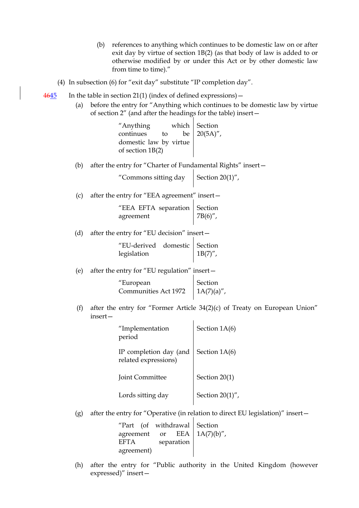- (b) references to anything which continues to be domestic law on or after exit day by virtue of section 1B(2) (as that body of law is added to or otherwise modified by or under this Act or by other domestic law from time to time)."
- (4) In subsection (6) for "exit day" substitute "IP completion day".
- $4645$  In the table in section 21(1) (index of defined expressions)
	- (a) before the entry for "Anything which continues to be domestic law by virtue of section 2" (and after the headings for the table) insert—

| "Anything              |    | which Section<br>be $20(5A)''$ , |
|------------------------|----|----------------------------------|
| continues              | to |                                  |
| domestic law by virtue |    |                                  |
| of section $1B(2)$     |    |                                  |

(b) after the entry for "Charter of Fundamental Rights" insert—

| "Commons sitting day   Section 20(1)", |  |
|----------------------------------------|--|
|                                        |  |

 $\blacksquare$ 

(c) after the entry for "EEA agreement" insert—  $\mathbf{I}$ 

| "EEA EFTA separation   Section |             |
|--------------------------------|-------------|
| agreement                      | $7B(6)''$ , |

(d) after the entry for "EU decision" insert—

| "EU-derived domestic   Section |             |
|--------------------------------|-------------|
| legislation                    | $1B(7)''$ , |

(e) after the entry for "EU regulation" insert—

| "European            | Section    |
|----------------------|------------|
| Communities Act 1972 | 1A(7)(a)'' |

(f) after the entry for "Former Article 34(2)(c) of Treaty on European Union" insert—  $\mathbf{r}$ 

| "Implementation<br>period                      | Section 1A(6)       |
|------------------------------------------------|---------------------|
| IP completion day (and<br>related expressions) | Section 1A(6)       |
| <b>Joint Committee</b>                         | Section 20(1)       |
| Lords sitting day                              | Section $20(1)''$ , |

(g) after the entry for "Operative (in relation to direct EU legislation)" insert—

| "Part (of withdrawal   Section |            |  |                                 |
|--------------------------------|------------|--|---------------------------------|
|                                |            |  | agreement or EEA $1A(7)(b)''$ , |
| <b>EFTA</b>                    | separation |  |                                 |
| agreement)                     |            |  |                                 |

(h) after the entry for "Public authority in the United Kingdom (however expressed)" insert—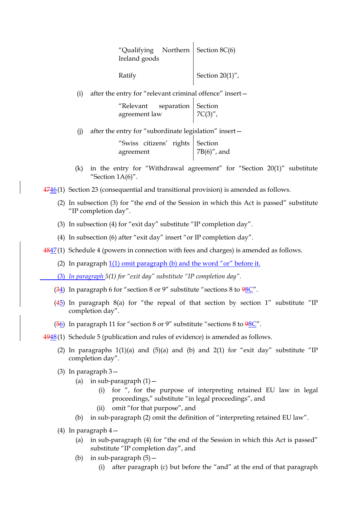|               | "Qualifying Northern   Section $8C(6)$ |
|---------------|----------------------------------------|
| Ireland goods |                                        |
|               |                                        |
| Ratify        | Section $20(1)''$ ,                    |

(i) after the entry for "relevant criminal offence" insert—

| "Relevant     | separation   Section |             |
|---------------|----------------------|-------------|
| agreement law |                      | $7C(3)''$ , |

(j) after the entry for "subordinate legislation" insert—

|           | "Swiss citizens' rights   Section |                    |
|-----------|-----------------------------------|--------------------|
| agreement |                                   | $\mid$ 7B(6)", and |

(k) in the entry for "Withdrawal agreement" for "Section 20(1)" substitute "Section 1A(6)".

4746(1) Section 23 (consequential and transitional provision) is amended as follows.

- (2) In subsection (3) for "the end of the Session in which this Act is passed" substitute "IP completion day".
- (3) In subsection (4) for "exit day" substitute "IP completion day".
- (4) In subsection (6) after "exit day" insert "or IP completion day".

4847(1) Schedule 4 (powers in connection with fees and charges) is amended as follows.

(2) In paragraph 1(1) omit paragraph (b) and the word "or" before it.

(3) *In paragraph 5(1) for "exit day" substitute "IP completion day".*

- (34) In paragraph 6 for "section 8 or 9" substitute "sections 8 to 98C".
- (45) In paragraph 8(a) for "the repeal of that section by section 1" substitute "IP completion day".
- (56) In paragraph 11 for "section 8 or 9" substitute "sections 8 to 98C".
- 4948(1) Schedule 5 (publication and rules of evidence) is amended as follows.
	- (2) In paragraphs  $1(1)(a)$  and  $(5)(a)$  and  $(b)$  and  $2(1)$  for "exit day" substitute "IP completion day".
	- (3) In paragraph 3—
		- (a) in sub-paragraph  $(1)$  -
			- (i) for ", for the purpose of interpreting retained EU law in legal proceedings," substitute "in legal proceedings", and
			- (ii) omit "for that purpose", and
		- (b) in sub-paragraph (2) omit the definition of "interpreting retained EU law".
	- (4) In paragraph 4—
		- (a) in sub-paragraph (4) for "the end of the Session in which this Act is passed" substitute "IP completion day", and
		- (b) in sub-paragraph (5)—
			- (i) after paragraph (c) but before the "and" at the end of that paragraph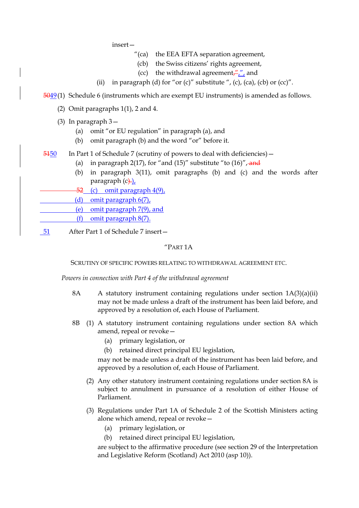insert—

- $''$ (ca) the EEA EFTA separation agreement,
- (cb) the Swiss citizens' rights agreement,
- (cc) the withdrawal agreement $\frac{n}{n}$ , and
- (ii) in paragraph (d) for "or  $(c)$ " substitute ",  $(c)$ ,  $(ca)$ ,  $(cb)$  or  $(cc)$ ".
- 5049(1) Schedule 6 (instruments which are exempt EU instruments) is amended as follows.
	- (2) Omit paragraphs 1(1), 2 and 4.
	- (3) In paragraph 3—
		- (a) omit "or EU regulation" in paragraph (a), and
		- (b) omit paragraph (b) and the word "or" before it.
- 5150 In Part 1 of Schedule 7 (scrutiny of powers to deal with deficiencies)—
	- (a) in paragraph 2(17), for "and  $(15)$ " substitute "to  $(16)$ ", and
	- (b) in paragraph 3(11), omit paragraphs (b) and (c) and the words after paragraph  $(c)$ .
	- $\overline{52}$  (c) omit paragraph 4(9),
	- (d) omit paragraph 6(7),
		- (e) omit paragraph 7(9), and
		- (f) omit paragraph 8(7).
- 51 After Part 1 of Schedule 7 insert—

# "PART 1A

SCRUTINY OF SPECIFIC POWERS RELATING TO WITHDRAWAL AGREEMENT ETC.

*Powers in connection with Part 4 of the withdrawal agreement*

- 8A A statutory instrument containing regulations under section 1A(3)(a)(ii) may not be made unless a draft of the instrument has been laid before, and approved by a resolution of, each House of Parliament.
- 8B (1) A statutory instrument containing regulations under section 8A which amend, repeal or revoke—
	- (a) primary legislation, or
	- (b) retained direct principal EU legislation,

may not be made unless a draft of the instrument has been laid before, and approved by a resolution of, each House of Parliament.

- (2) Any other statutory instrument containing regulations under section 8A is subject to annulment in pursuance of a resolution of either House of Parliament.
- (3) Regulations under Part 1A of Schedule 2 of the Scottish Ministers acting alone which amend, repeal or revoke—
	- (a) primary legislation, or
	- (b) retained direct principal EU legislation,

are subject to the affirmative procedure (see section 29 of the Interpretation and Legislative Reform (Scotland) Act 2010 (asp 10)).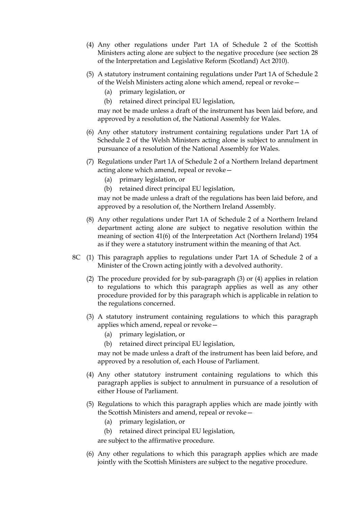- (4) Any other regulations under Part 1A of Schedule 2 of the Scottish Ministers acting alone are subject to the negative procedure (see section 28 of the Interpretation and Legislative Reform (Scotland) Act 2010).
- (5) A statutory instrument containing regulations under Part 1A of Schedule 2 of the Welsh Ministers acting alone which amend, repeal or revoke—
	- (a) primary legislation, or
	- (b) retained direct principal EU legislation,

may not be made unless a draft of the instrument has been laid before, and approved by a resolution of, the National Assembly for Wales.

- (6) Any other statutory instrument containing regulations under Part 1A of Schedule 2 of the Welsh Ministers acting alone is subject to annulment in pursuance of a resolution of the National Assembly for Wales.
- (7) Regulations under Part 1A of Schedule 2 of a Northern Ireland department acting alone which amend, repeal or revoke—
	- (a) primary legislation, or
	- (b) retained direct principal EU legislation,

may not be made unless a draft of the regulations has been laid before, and approved by a resolution of, the Northern Ireland Assembly.

- (8) Any other regulations under Part 1A of Schedule 2 of a Northern Ireland department acting alone are subject to negative resolution within the meaning of section 41(6) of the Interpretation Act (Northern Ireland) 1954 as if they were a statutory instrument within the meaning of that Act.
- 8C (1) This paragraph applies to regulations under Part 1A of Schedule 2 of a Minister of the Crown acting jointly with a devolved authority.
	- (2) The procedure provided for by sub-paragraph (3) or (4) applies in relation to regulations to which this paragraph applies as well as any other procedure provided for by this paragraph which is applicable in relation to the regulations concerned.
	- (3) A statutory instrument containing regulations to which this paragraph applies which amend, repeal or revoke—
		- (a) primary legislation, or
		- (b) retained direct principal EU legislation,

may not be made unless a draft of the instrument has been laid before, and approved by a resolution of, each House of Parliament.

- (4) Any other statutory instrument containing regulations to which this paragraph applies is subject to annulment in pursuance of a resolution of either House of Parliament.
- (5) Regulations to which this paragraph applies which are made jointly with the Scottish Ministers and amend, repeal or revoke—
	- (a) primary legislation, or
	- (b) retained direct principal EU legislation,

are subject to the affirmative procedure.

(6) Any other regulations to which this paragraph applies which are made jointly with the Scottish Ministers are subject to the negative procedure.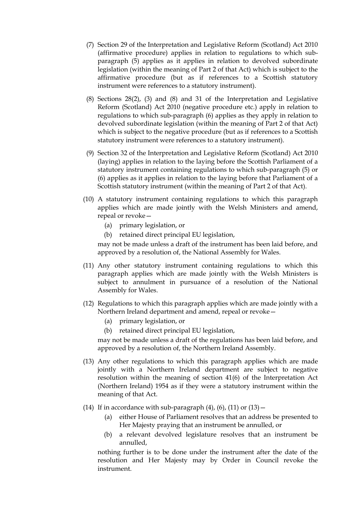- (7) Section 29 of the Interpretation and Legislative Reform (Scotland) Act 2010 (affirmative procedure) applies in relation to regulations to which subparagraph (5) applies as it applies in relation to devolved subordinate legislation (within the meaning of Part 2 of that Act) which is subject to the affirmative procedure (but as if references to a Scottish statutory instrument were references to a statutory instrument).
- (8) Sections 28(2), (3) and (8) and 31 of the Interpretation and Legislative Reform (Scotland) Act 2010 (negative procedure etc.) apply in relation to regulations to which sub-paragraph (6) applies as they apply in relation to devolved subordinate legislation (within the meaning of Part 2 of that Act) which is subject to the negative procedure (but as if references to a Scottish statutory instrument were references to a statutory instrument).
- (9) Section 32 of the Interpretation and Legislative Reform (Scotland) Act 2010 (laying) applies in relation to the laying before the Scottish Parliament of a statutory instrument containing regulations to which sub-paragraph (5) or (6) applies as it applies in relation to the laying before that Parliament of a Scottish statutory instrument (within the meaning of Part 2 of that Act).
- (10) A statutory instrument containing regulations to which this paragraph applies which are made jointly with the Welsh Ministers and amend, repeal or revoke—
	- (a) primary legislation, or
	- (b) retained direct principal EU legislation,

may not be made unless a draft of the instrument has been laid before, and approved by a resolution of, the National Assembly for Wales.

- (11) Any other statutory instrument containing regulations to which this paragraph applies which are made jointly with the Welsh Ministers is subject to annulment in pursuance of a resolution of the National Assembly for Wales.
- (12) Regulations to which this paragraph applies which are made jointly with a Northern Ireland department and amend, repeal or revoke—
	- (a) primary legislation, or
	- (b) retained direct principal EU legislation,

may not be made unless a draft of the regulations has been laid before, and approved by a resolution of, the Northern Ireland Assembly.

- (13) Any other regulations to which this paragraph applies which are made jointly with a Northern Ireland department are subject to negative resolution within the meaning of section 41(6) of the Interpretation Act (Northern Ireland) 1954 as if they were a statutory instrument within the meaning of that Act.
- (14) If in accordance with sub-paragraph  $(4)$ ,  $(6)$ ,  $(11)$  or  $(13)$  -
	- (a) either House of Parliament resolves that an address be presented to Her Majesty praying that an instrument be annulled, or
	- (b) a relevant devolved legislature resolves that an instrument be annulled,

nothing further is to be done under the instrument after the date of the resolution and Her Majesty may by Order in Council revoke the instrument.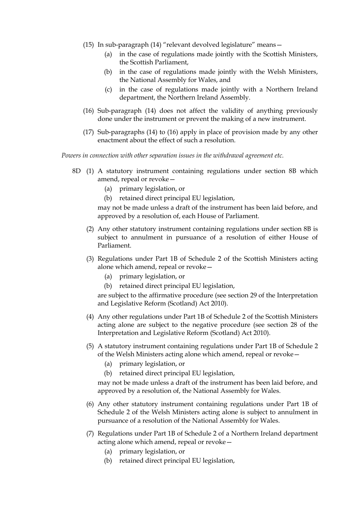- (15) In sub-paragraph (14) "relevant devolved legislature" means—
	- (a) in the case of regulations made jointly with the Scottish Ministers, the Scottish Parliament,
	- (b) in the case of regulations made jointly with the Welsh Ministers, the National Assembly for Wales, and
	- (c) in the case of regulations made jointly with a Northern Ireland department, the Northern Ireland Assembly.
- (16) Sub-paragraph (14) does not affect the validity of anything previously done under the instrument or prevent the making of a new instrument.
- (17) Sub-paragraphs (14) to (16) apply in place of provision made by any other enactment about the effect of such a resolution.

*Powers in connection with other separation issues in the withdrawal agreement etc.*

- 8D (1) A statutory instrument containing regulations under section 8B which amend, repeal or revoke—
	- (a) primary legislation, or
	- (b) retained direct principal EU legislation,

may not be made unless a draft of the instrument has been laid before, and approved by a resolution of, each House of Parliament.

- (2) Any other statutory instrument containing regulations under section 8B is subject to annulment in pursuance of a resolution of either House of Parliament.
- (3) Regulations under Part 1B of Schedule 2 of the Scottish Ministers acting alone which amend, repeal or revoke—
	- (a) primary legislation, or
	- (b) retained direct principal EU legislation,

are subject to the affirmative procedure (see section 29 of the Interpretation and Legislative Reform (Scotland) Act 2010).

- (4) Any other regulations under Part 1B of Schedule 2 of the Scottish Ministers acting alone are subject to the negative procedure (see section 28 of the Interpretation and Legislative Reform (Scotland) Act 2010).
- (5) A statutory instrument containing regulations under Part 1B of Schedule 2 of the Welsh Ministers acting alone which amend, repeal or revoke—
	- (a) primary legislation, or
	- (b) retained direct principal EU legislation,

may not be made unless a draft of the instrument has been laid before, and approved by a resolution of, the National Assembly for Wales.

- (6) Any other statutory instrument containing regulations under Part 1B of Schedule 2 of the Welsh Ministers acting alone is subject to annulment in pursuance of a resolution of the National Assembly for Wales.
- (7) Regulations under Part 1B of Schedule 2 of a Northern Ireland department acting alone which amend, repeal or revoke—
	- (a) primary legislation, or
	- (b) retained direct principal EU legislation,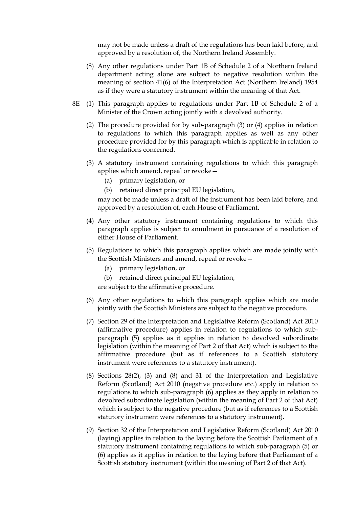may not be made unless a draft of the regulations has been laid before, and approved by a resolution of, the Northern Ireland Assembly.

- (8) Any other regulations under Part 1B of Schedule 2 of a Northern Ireland department acting alone are subject to negative resolution within the meaning of section 41(6) of the Interpretation Act (Northern Ireland) 1954 as if they were a statutory instrument within the meaning of that Act.
- 8E (1) This paragraph applies to regulations under Part 1B of Schedule 2 of a Minister of the Crown acting jointly with a devolved authority.
	- (2) The procedure provided for by sub-paragraph (3) or (4) applies in relation to regulations to which this paragraph applies as well as any other procedure provided for by this paragraph which is applicable in relation to the regulations concerned.
	- (3) A statutory instrument containing regulations to which this paragraph applies which amend, repeal or revoke—
		- (a) primary legislation, or
		- (b) retained direct principal EU legislation,

may not be made unless a draft of the instrument has been laid before, and approved by a resolution of, each House of Parliament.

- (4) Any other statutory instrument containing regulations to which this paragraph applies is subject to annulment in pursuance of a resolution of either House of Parliament.
- (5) Regulations to which this paragraph applies which are made jointly with the Scottish Ministers and amend, repeal or revoke—
	- (a) primary legislation, or
	- (b) retained direct principal EU legislation,

are subject to the affirmative procedure.

- (6) Any other regulations to which this paragraph applies which are made jointly with the Scottish Ministers are subject to the negative procedure.
- (7) Section 29 of the Interpretation and Legislative Reform (Scotland) Act 2010 (affirmative procedure) applies in relation to regulations to which subparagraph (5) applies as it applies in relation to devolved subordinate legislation (within the meaning of Part 2 of that Act) which is subject to the affirmative procedure (but as if references to a Scottish statutory instrument were references to a statutory instrument).
- (8) Sections 28(2), (3) and (8) and 31 of the Interpretation and Legislative Reform (Scotland) Act 2010 (negative procedure etc.) apply in relation to regulations to which sub-paragraph (6) applies as they apply in relation to devolved subordinate legislation (within the meaning of Part 2 of that Act) which is subject to the negative procedure (but as if references to a Scottish statutory instrument were references to a statutory instrument).
- (9) Section 32 of the Interpretation and Legislative Reform (Scotland) Act 2010 (laying) applies in relation to the laying before the Scottish Parliament of a statutory instrument containing regulations to which sub-paragraph (5) or (6) applies as it applies in relation to the laying before that Parliament of a Scottish statutory instrument (within the meaning of Part 2 of that Act).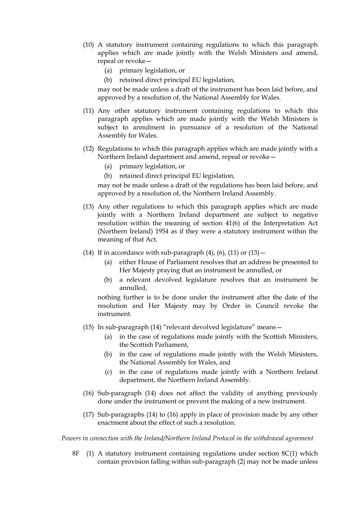- (10) A statutory instrument containing regulations to which this paragraph applies which are made jointly with the Welsh Ministers and amend, repeal or revoke—
	- (a) primary legislation, or
	- (b) retained direct principal EU legislation,

may not be made unless a draft of the instrument has been laid before, and approved by a resolution of, the National Assembly for Wales.

- (11) Any other statutory instrument containing regulations to which this paragraph applies which are made jointly with the Welsh Ministers is subject to annulment in pursuance of a resolution of the National Assembly for Wales.
- (12) Regulations to which this paragraph applies which are made jointly with a Northern Ireland department and amend, repeal or revoke—
	- (a) primary legislation, or
	- (b) retained direct principal EU legislation,

may not be made unless a draft of the regulations has been laid before, and approved by a resolution of, the Northern Ireland Assembly.

- (13) Any other regulations to which this paragraph applies which are made jointly with a Northern Ireland department are subject to negative resolution within the meaning of section 41(6) of the Interpretation Act (Northern Ireland) 1954 as if they were a statutory instrument within the meaning of that Act.
- (14) If in accordance with sub-paragraph  $(4)$ ,  $(6)$ ,  $(11)$  or  $(13)$  -
	- (a) either House of Parliament resolves that an address be presented to Her Majesty praying that an instrument be annulled, or
	- (b) a relevant devolved legislature resolves that an instrument be annulled,

nothing further is to be done under the instrument after the date of the resolution and Her Majesty may by Order in Council revoke the instrument.

- (15) In sub-paragraph (14) "relevant devolved legislature" means—
	- (a) in the case of regulations made jointly with the Scottish Ministers, the Scottish Parliament,
	- (b) in the case of regulations made jointly with the Welsh Ministers, the National Assembly for Wales, and
	- (c) in the case of regulations made jointly with a Northern Ireland department, the Northern Ireland Assembly.
- (16) Sub-paragraph (14) does not affect the validity of anything previously done under the instrument or prevent the making of a new instrument.
- (17) Sub-paragraphs (14) to (16) apply in place of provision made by any other enactment about the effect of such a resolution.

*Powers in connection with the Ireland/Northern Ireland Protocol in the withdrawal agreement*

8F (1) A statutory instrument containing regulations under section 8C(1) which contain provision falling within sub-paragraph (2) may not be made unless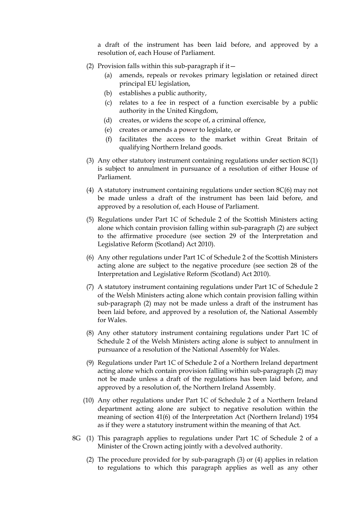a draft of the instrument has been laid before, and approved by a resolution of, each House of Parliament.

- (2) Provision falls within this sub-paragraph if it  $-$ 
	- (a) amends, repeals or revokes primary legislation or retained direct principal EU legislation,
	- (b) establishes a public authority,
	- (c) relates to a fee in respect of a function exercisable by a public authority in the United Kingdom,
	- (d) creates, or widens the scope of, a criminal offence,
	- (e) creates or amends a power to legislate, or
	- (f) facilitates the access to the market within Great Britain of qualifying Northern Ireland goods.
- (3) Any other statutory instrument containing regulations under section  $8C(1)$ is subject to annulment in pursuance of a resolution of either House of Parliament.
- (4) A statutory instrument containing regulations under section 8C(6) may not be made unless a draft of the instrument has been laid before, and approved by a resolution of, each House of Parliament.
- (5) Regulations under Part 1C of Schedule 2 of the Scottish Ministers acting alone which contain provision falling within sub-paragraph (2) are subject to the affirmative procedure (see section 29 of the Interpretation and Legislative Reform (Scotland) Act 2010).
- (6) Any other regulations under Part 1C of Schedule 2 of the Scottish Ministers acting alone are subject to the negative procedure (see section 28 of the Interpretation and Legislative Reform (Scotland) Act 2010).
- (7) A statutory instrument containing regulations under Part 1C of Schedule 2 of the Welsh Ministers acting alone which contain provision falling within sub-paragraph (2) may not be made unless a draft of the instrument has been laid before, and approved by a resolution of, the National Assembly for Wales.
- (8) Any other statutory instrument containing regulations under Part 1C of Schedule 2 of the Welsh Ministers acting alone is subject to annulment in pursuance of a resolution of the National Assembly for Wales.
- (9) Regulations under Part 1C of Schedule 2 of a Northern Ireland department acting alone which contain provision falling within sub-paragraph (2) may not be made unless a draft of the regulations has been laid before, and approved by a resolution of, the Northern Ireland Assembly.
- (10) Any other regulations under Part 1C of Schedule 2 of a Northern Ireland department acting alone are subject to negative resolution within the meaning of section 41(6) of the Interpretation Act (Northern Ireland) 1954 as if they were a statutory instrument within the meaning of that Act.
- 8G (1) This paragraph applies to regulations under Part 1C of Schedule 2 of a Minister of the Crown acting jointly with a devolved authority.
	- (2) The procedure provided for by sub-paragraph (3) or (4) applies in relation to regulations to which this paragraph applies as well as any other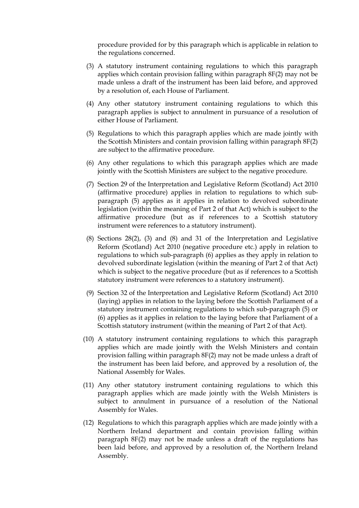procedure provided for by this paragraph which is applicable in relation to the regulations concerned.

- (3) A statutory instrument containing regulations to which this paragraph applies which contain provision falling within paragraph 8F(2) may not be made unless a draft of the instrument has been laid before, and approved by a resolution of, each House of Parliament.
- (4) Any other statutory instrument containing regulations to which this paragraph applies is subject to annulment in pursuance of a resolution of either House of Parliament.
- (5) Regulations to which this paragraph applies which are made jointly with the Scottish Ministers and contain provision falling within paragraph 8F(2) are subject to the affirmative procedure.
- (6) Any other regulations to which this paragraph applies which are made jointly with the Scottish Ministers are subject to the negative procedure.
- (7) Section 29 of the Interpretation and Legislative Reform (Scotland) Act 2010 (affirmative procedure) applies in relation to regulations to which subparagraph (5) applies as it applies in relation to devolved subordinate legislation (within the meaning of Part 2 of that Act) which is subject to the affirmative procedure (but as if references to a Scottish statutory instrument were references to a statutory instrument).
- (8) Sections 28(2), (3) and (8) and 31 of the Interpretation and Legislative Reform (Scotland) Act 2010 (negative procedure etc.) apply in relation to regulations to which sub-paragraph (6) applies as they apply in relation to devolved subordinate legislation (within the meaning of Part 2 of that Act) which is subject to the negative procedure (but as if references to a Scottish statutory instrument were references to a statutory instrument).
- (9) Section 32 of the Interpretation and Legislative Reform (Scotland) Act 2010 (laying) applies in relation to the laying before the Scottish Parliament of a statutory instrument containing regulations to which sub-paragraph (5) or (6) applies as it applies in relation to the laying before that Parliament of a Scottish statutory instrument (within the meaning of Part 2 of that Act).
- (10) A statutory instrument containing regulations to which this paragraph applies which are made jointly with the Welsh Ministers and contain provision falling within paragraph 8F(2) may not be made unless a draft of the instrument has been laid before, and approved by a resolution of, the National Assembly for Wales.
- (11) Any other statutory instrument containing regulations to which this paragraph applies which are made jointly with the Welsh Ministers is subject to annulment in pursuance of a resolution of the National Assembly for Wales.
- (12) Regulations to which this paragraph applies which are made jointly with a Northern Ireland department and contain provision falling within paragraph 8F(2) may not be made unless a draft of the regulations has been laid before, and approved by a resolution of, the Northern Ireland Assembly.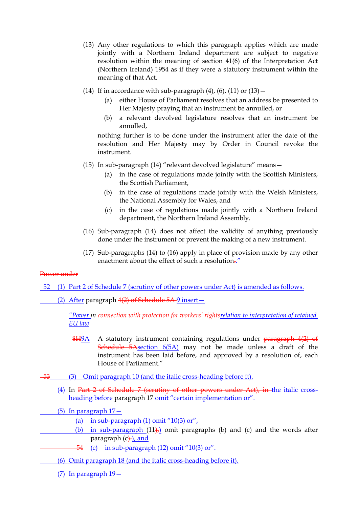- (13) Any other regulations to which this paragraph applies which are made jointly with a Northern Ireland department are subject to negative resolution within the meaning of section 41(6) of the Interpretation Act (Northern Ireland) 1954 as if they were a statutory instrument within the meaning of that Act.
- (14) If in accordance with sub-paragraph  $(4)$ ,  $(6)$ ,  $(11)$  or  $(13)$  -
	- (a) either House of Parliament resolves that an address be presented to Her Majesty praying that an instrument be annulled, or
	- (b) a relevant devolved legislature resolves that an instrument be annulled,

nothing further is to be done under the instrument after the date of the resolution and Her Majesty may by Order in Council revoke the instrument.

- (15) In sub-paragraph (14) "relevant devolved legislature" means—
	- (a) in the case of regulations made jointly with the Scottish Ministers, the Scottish Parliament,
	- (b) in the case of regulations made jointly with the Welsh Ministers, the National Assembly for Wales, and
	- (c) in the case of regulations made jointly with a Northern Ireland department, the Northern Ireland Assembly.
- (16) Sub-paragraph (14) does not affect the validity of anything previously done under the instrument or prevent the making of a new instrument.
- (17) Sub-paragraphs (14) to (16) apply in place of provision made by any other enactment about the effect of such a resolution.."

# Power under

52 (1) Part 2 of Schedule 7 (scrutiny of other powers under Act) is amended as follows.

(2) After paragraph  $4(2)$  of Schedule 5A-9 insert -

*"Power in connection with protection for workers' rightsrelation to interpretation of retained EU law*

- $8H9A$  A statutory instrument containing regulations under paragraph  $4(2)$  of Schedule 5Asection 6(5A) may not be made unless a draft of the instrument has been laid before, and approved by a resolution of, each House of Parliament."
- 53 (3) Omit paragraph 10 (and the italic cross-heading before it).
	- (4) In Part 2 of Schedule 7 (scrutiny of other powers under Act), in the italic crossheading before paragraph 17 omit "certain implementation or".
	- (5) In paragraph 17—
		- (a) in sub-paragraph  $(1)$  omit "10(3) or",
		- (b) in sub-paragraph  $(11)$ , omit paragraphs (b) and (c) and the words after paragraph (c).), and
		- $-54$  (c) in sub-paragraph (12) omit "10(3) or".

(6) Omit paragraph 18 (and the italic cross-heading before it).

(7) In paragraph 19—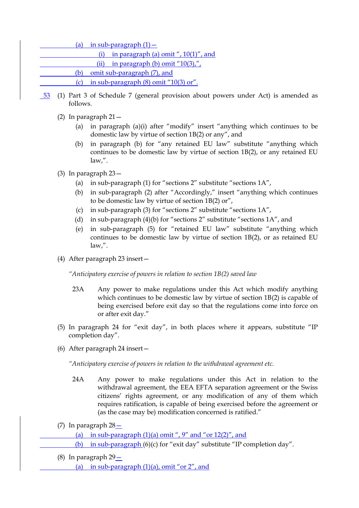(a) in sub-paragraph  $(1)$  -

- (i) in paragraph (a) omit ",  $10(1)$ ", and
- (ii) in paragraph (b) omit " $10(3)$ ,",
- (b) omit sub-paragraph (7), and
- (c) in sub-paragraph  $(8)$  omit "10(3) or".
- 53 (1) Part 3 of Schedule 7 (general provision about powers under Act) is amended as follows.
	- (2) In paragraph 21—
		- (a) in paragraph (a)(i) after "modify" insert "anything which continues to be domestic law by virtue of section 1B(2) or any", and
		- (b) in paragraph (b) for "any retained EU law" substitute "anything which continues to be domestic law by virtue of section 1B(2), or any retained EU law,".
	- (3) In paragraph 23—
		- (a) in sub-paragraph (1) for "sections 2" substitute "sections 1A",
		- (b) in sub-paragraph (2) after "Accordingly," insert "anything which continues to be domestic law by virtue of section 1B(2) or",
		- (c) in sub-paragraph (3) for "sections 2" substitute "sections 1A",
		- (d) in sub-paragraph (4)(b) for "sections 2" substitute "sections 1A", and
		- (e) in sub-paragraph (5) for "retained EU law" substitute "anything which continues to be domestic law by virtue of section 1B(2), or as retained EU law,".
	- (4) After paragraph 23 insert—

*"Anticipatory exercise of powers in relation to section 1B(2) saved law*

- 23A Any power to make regulations under this Act which modify anything which continues to be domestic law by virtue of section  $1B(2)$  is capable of being exercised before exit day so that the regulations come into force on or after exit day."
- (5) In paragraph 24 for "exit day", in both places where it appears, substitute "IP completion day".
- (6) After paragraph 24 insert—

*"Anticipatory exercise of powers in relation to the withdrawal agreement etc.*

- 24A Any power to make regulations under this Act in relation to the withdrawal agreement, the EEA EFTA separation agreement or the Swiss citizens' rights agreement, or any modification of any of them which requires ratification, is capable of being exercised before the agreement or (as the case may be) modification concerned is ratified."
- (7) In paragraph 28—

in sub-paragraph  $(1)(a)$  omit ", 9" and "or  $12(2)$ ", and

- (b) in sub-paragraph  $(6)(c)$  for "exit day" substitute "IP completion day".
- (8) In paragraph  $29$  -
	- (a) in sub-paragraph  $(1)(a)$ , omit "or 2", and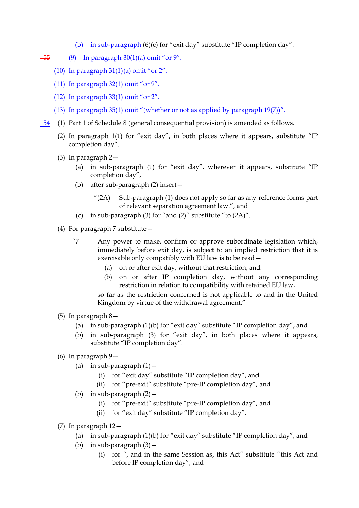- (b) in sub-paragraph  $(6)(c)$  for "exit day" substitute "IP completion day".
- $-55$  (9) In paragraph  $30(1)(a)$  omit "or 9".
	- (10) In paragraph  $31(1)(a)$  omit "or 2".
- (11) In paragraph 32(1) omit "or 9".
	- (12) In paragraph 33(1) omit "or 2".
	- (13) In paragraph 35(1) omit "(whether or not as applied by paragraph 19(7))".
- 54 (1) Part 1 of Schedule 8 (general consequential provision) is amended as follows.
	- (2) In paragraph 1(1) for "exit day", in both places where it appears, substitute "IP completion day".
	- (3) In paragraph 2
		- in sub-paragraph (1) for "exit day", wherever it appears, substitute "IP completion day",
		- (b) after sub-paragraph (2) insert—
			- "(2A) Sub-paragraph (1) does not apply so far as any reference forms part of relevant separation agreement law.", and
		- (c) in sub-paragraph (3) for "and  $(2)$ " substitute "to  $(2A)$ ".
	- (4) For paragraph 7 substitute—
		- "7 Any power to make, confirm or approve subordinate legislation which, immediately before exit day, is subject to an implied restriction that it is exercisable only compatibly with EU law is to be read—
			- (a) on or after exit day, without that restriction, and
			- (b) on or after IP completion day, without any corresponding restriction in relation to compatibility with retained EU law,
			- so far as the restriction concerned is not applicable to and in the United Kingdom by virtue of the withdrawal agreement."
	- (5) In paragraph 8—
		- (a) in sub-paragraph (1)(b) for "exit day" substitute "IP completion day", and
		- (b) in sub-paragraph (3) for "exit day", in both places where it appears, substitute "IP completion day".
	- (6) In paragraph 9—
		- (a) in sub-paragraph  $(1)$  -
			- (i) for "exit day" substitute "IP completion day", and
			- (ii) for "pre-exit" substitute "pre-IP completion day", and
		- (b) in sub-paragraph  $(2)$  -
			- (i) for "pre-exit" substitute "pre-IP completion day", and
			- (ii) for "exit day" substitute "IP completion day".
	- (7) In paragraph 12—
		- (a) in sub-paragraph  $(1)(b)$  for "exit day" substitute "IP completion day", and
		- (b) in sub-paragraph  $(3)$  -
			- (i) for ", and in the same Session as, this Act" substitute "this Act and before IP completion day", and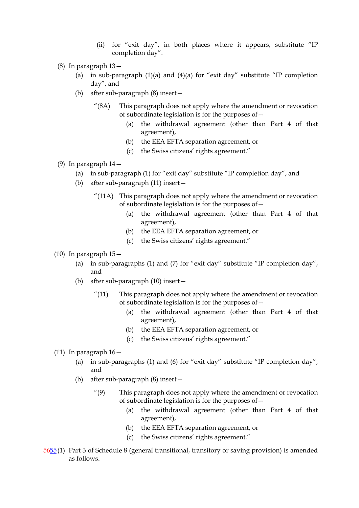- (ii) for "exit day", in both places where it appears, substitute "IP completion day".
- (8) In paragraph 13—
	- (a) in sub-paragraph  $(1)(a)$  and  $(4)(a)$  for "exit day" substitute "IP completion day", and
	- (b) after sub-paragraph (8) insert—
		- "(8A) This paragraph does not apply where the amendment or revocation of subordinate legislation is for the purposes of—
			- (a) the withdrawal agreement (other than Part 4 of that agreement),
			- (b) the EEA EFTA separation agreement, or
			- (c) the Swiss citizens' rights agreement."
- (9) In paragraph 14—
	- (a) in sub-paragraph (1) for "exit day" substitute "IP completion day", and
	- (b) after sub-paragraph (11) insert—
		- "(11A) This paragraph does not apply where the amendment or revocation of subordinate legislation is for the purposes of—
			- (a) the withdrawal agreement (other than Part 4 of that agreement),
			- (b) the EEA EFTA separation agreement, or
			- (c) the Swiss citizens' rights agreement."
- (10) In paragraph 15—
	- (a) in sub-paragraphs (1) and (7) for "exit day" substitute "IP completion day", and
	- (b) after sub-paragraph (10) insert—
		- " $(11)$  This paragraph does not apply where the amendment or revocation of subordinate legislation is for the purposes of—
			- (a) the withdrawal agreement (other than Part 4 of that agreement),
			- (b) the EEA EFTA separation agreement, or
			- (c) the Swiss citizens' rights agreement."
- (11) In paragraph 16—
	- (a) in sub-paragraphs (1) and (6) for "exit day" substitute "IP completion day", and
	- (b) after sub-paragraph (8) insert—
		- $''(9)$  This paragraph does not apply where the amendment or revocation of subordinate legislation is for the purposes of—
			- (a) the withdrawal agreement (other than Part 4 of that agreement),
			- (b) the EEA EFTA separation agreement, or
			- (c) the Swiss citizens' rights agreement."
- 5655(1) Part 3 of Schedule 8 (general transitional, transitory or saving provision) is amended as follows.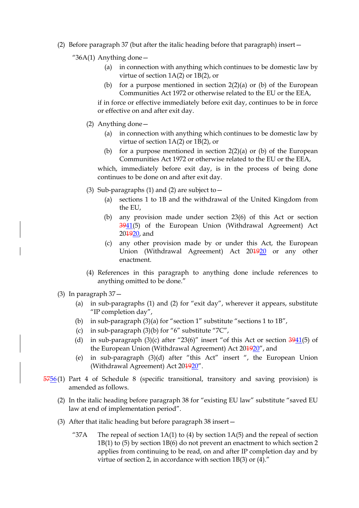(2) Before paragraph 37 (but after the italic heading before that paragraph) insert—

" $36A(1)$  Anything done —

- (a) in connection with anything which continues to be domestic law by virtue of section 1A(2) or 1B(2), or
- (b) for a purpose mentioned in section  $2(2)(a)$  or (b) of the European Communities Act 1972 or otherwise related to the EU or the EEA,

if in force or effective immediately before exit day, continues to be in force or effective on and after exit day.

- (2) Anything done—
	- (a) in connection with anything which continues to be domestic law by virtue of section  $1A(2)$  or  $1B(2)$ , or
	- (b) for a purpose mentioned in section  $2(2)(a)$  or (b) of the European Communities Act 1972 or otherwise related to the EU or the EEA,

which, immediately before exit day, is in the process of being done continues to be done on and after exit day.

- (3) Sub-paragraphs (1) and (2) are subject to  $-$ 
	- (a) sections 1 to 1B and the withdrawal of the United Kingdom from the EU,
	- (b) any provision made under section 23(6) of this Act or section 3941(5) of the European Union (Withdrawal Agreement) Act 201920, and
	- (c) any other provision made by or under this Act, the European Union (Withdrawal Agreement) Act 201920 or any other enactment.
- (4) References in this paragraph to anything done include references to anything omitted to be done."
- (3) In paragraph 37—
	- (a) in sub-paragraphs (1) and (2) for "exit day", wherever it appears, substitute "IP completion day",
	- (b) in sub-paragraph (3)(a) for "section 1" substitute "sections 1 to 1B",
	- (c) in sub-paragraph (3)(b) for "6" substitute "7C",
	- (d) in sub-paragraph  $(3)(c)$  after "23 $(6)$ " insert "of this Act or section  $\frac{3941}{5}$  of the European Union (Withdrawal Agreement) Act 201920", and
	- (e) in sub-paragraph (3)(d) after "this Act" insert ", the European Union (Withdrawal Agreement) Act 201920".
- 5756(1) Part 4 of Schedule 8 (specific transitional, transitory and saving provision) is amended as follows.
	- (2) In the italic heading before paragraph 38 for "existing EU law" substitute "saved EU law at end of implementation period".
	- (3) After that italic heading but before paragraph 38 insert—
		- "37A The repeal of section  $1A(1)$  to (4) by section  $1A(5)$  and the repeal of section 1B(1) to (5) by section 1B(6) do not prevent an enactment to which section 2 applies from continuing to be read, on and after IP completion day and by virtue of section 2, in accordance with section 1B(3) or (4)."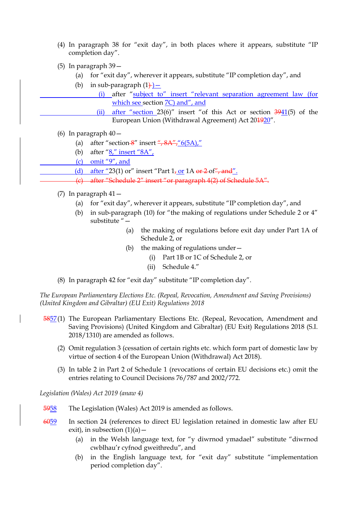- (4) In paragraph 38 for "exit day", in both places where it appears, substitute "IP completion day".
- (5) In paragraph 39—
	- (a) for "exit day", wherever it appears, substitute "IP completion day", and
	- (b) in sub-paragraph  $(1)$ 
		- (i) after "subject to" insert "relevant separation agreement law (for which see section 7C) and", and
		- (ii) after "section 23(6)" insert "of this Act or section 3941(5) of the European Union (Withdrawal Agreement) Act 201920".
- (6) In paragraph 40—
	- (a) after "section-8" insert  $\frac{a}{b}$ ,  $8A''''''6(5A)$ ,"
	- (b) after " $8$ ," insert " $8A$ ",
	- (c) omit "9", and
	- (d) after "23(1) or" insert "Part  $1<sub>7</sub>$  or  $1A \theta r^2$  of", and".

after "Schedule 2" insert "or paragraph 4(2) of Schedule 5A".

- (7) In paragraph 41—
	- (a) for "exit day", wherever it appears, substitute "IP completion day", and
	- (b) in sub-paragraph (10) for "the making of regulations under Schedule 2 or 4" substitute "—
		- (a) the making of regulations before exit day under Part 1A of Schedule 2, or
		- (b) the making of regulations under—
			- (i) Part 1B or 1C of Schedule 2, or
			- (ii) Schedule 4."
- (8) In paragraph 42 for "exit day" substitute "IP completion day".

*The European Parliamentary Elections Etc. (Repeal, Revocation, Amendment and Saving Provisions) (United Kingdom and Gibraltar) (EU Exit) Regulations 2018*

- 5857(1) The European Parliamentary Elections Etc. (Repeal, Revocation, Amendment and Saving Provisions) (United Kingdom and Gibraltar) (EU Exit) Regulations 2018 (S.I. 2018/1310) are amended as follows.
	- (2) Omit regulation 3 (cessation of certain rights etc. which form part of domestic law by virtue of section 4 of the European Union (Withdrawal) Act 2018).
	- (3) In table 2 in Part 2 of Schedule 1 (revocations of certain EU decisions etc.) omit the entries relating to Council Decisions 76/787 and 2002/772.

*Legislation (Wales) Act 2019 (anaw 4)*

- 5958 The Legislation (Wales) Act 2019 is amended as follows.
- 6059 In section 24 (references to direct EU legislation retained in domestic law after EU exit), in subsection  $(1)(a)$  –
	- (a) in the Welsh language text, for "y diwrnod ymadael" substitute "diwrnod cwblhau'r cyfnod gweithredu", and
	- (b) in the English language text, for "exit day" substitute "implementation period completion day".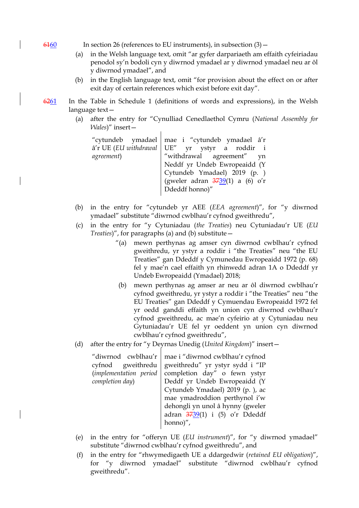6160 In section 26 (references to EU instruments), in subsection (3)—

- (a) in the Welsh language text, omit "ar gyfer darpariaeth am effaith cyfeiriadau penodol sy'n bodoli cyn y diwrnod ymadael ar y diwrnod ymadael neu ar ôl y diwrnod ymadael", and
- (b) in the English language text, omit "for provision about the effect on or after exit day of certain references which exist before exit day".
- 6261 In the Table in Schedule 1 (definitions of words and expressions), in the Welsh language text—
	- (a) after the entry for "Cynulliad Cenedlaethol Cymru (*National Assembly for Wales*)" insert—  $\overline{\phantom{a}}$

|                    | "cytundeb ymadael mae i "cytundeb ymadael â'r                       |
|--------------------|---------------------------------------------------------------------|
|                    | â'r UE (EU withdrawal   UE" yr ystyr a roddir i                     |
| <i>agreement</i> ) | "withdrawal agreement" yn                                           |
|                    | Neddf yr Undeb Ewropeaidd (Y                                        |
|                    | Cytundeb Ymadael) 2019 (p.)                                         |
|                    | $\int$ (gweler adran $\frac{3739}{1}$ ) a (6) o'r<br>Ddeddf honno)" |

- (b) in the entry for "cytundeb yr AEE (*EEA agreement*)", for "y diwrnod ymadael" substitute "diwrnod cwblhau'r cyfnod gweithredu",
- (c) in the entry for "y Cytuniadau (*the Treaties*) neu Cytuniadau'r UE (*EU Treaties*)", for paragraphs (a) and (b) substitute—
	- "(a) mewn perthynas ag amser cyn diwrnod cwblhau'r cyfnod gweithredu, yr ystyr a roddir i "the Treaties" neu "the EU Treaties" gan Ddeddf y Cymunedau Ewropeaidd 1972 (p. 68) fel y mae'n cael effaith yn rhinwedd adran 1A o Ddeddf yr Undeb Ewropeaidd (Ymadael) 2018;
	- (b) mewn perthynas ag amser ar neu ar ôl diwrnod cwblhau'r cyfnod gweithredu, yr ystyr a roddir i "the Treaties" neu "the EU Treaties" gan Ddeddf y Cymuendau Ewropeaidd 1972 fel yr oedd ganddi effaith yn union cyn diwrnod cwblhau'r cyfnod gweithredu, ac mae'n cyfeirio at y Cytuniadau neu Gytuniadau'r UE fel yr oeddent yn union cyn diwrnod cwblhau'r cyfnod gweithredu",
- (d) after the entry for "y Deyrnas Unedig (*United Kingdom*)" insert—

| "diwrnod cwblhau'r<br>cyfnod gweithredu | mae i "diwrnod cwblhau'r cyfnod<br>gweithredu" yr ystyr sydd i "IP |
|-----------------------------------------|--------------------------------------------------------------------|
| (implementation period                  | completion day" o fewn ystyr                                       |
| completion day)                         | Deddf yr Undeb Ewropeaidd (Y                                       |
|                                         | Cytundeb Ymadael) 2019 (p. ), ac                                   |
|                                         | mae ymadroddion perthynol i'w                                      |
|                                         | dehongli yn unol â hynny (gweler                                   |
|                                         | adran $3739(1)$ i (5) o'r Ddeddf                                   |
|                                         | honno)",                                                           |

- (e) in the entry for "offeryn UE (*EU instrument*)", for "y diwrnod ymadael" substitute "diwrnod cwblhau'r cyfnod gweithredu", and
- (f) in the entry for "rhwymedigaeth UE a ddargedwir (*retained EU obligation*)", for "y diwrnod ymadael" substitute "diwrnod cwblhau'r cyfnod gweithredu".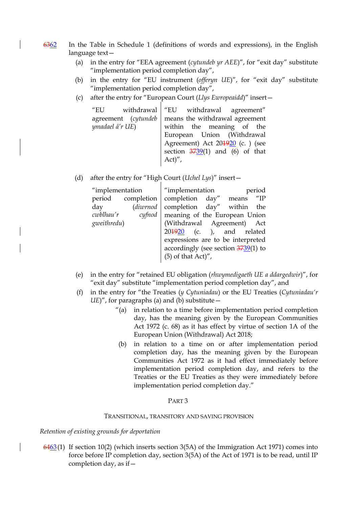- 6362 In the Table in Schedule 1 (definitions of words and expressions), in the English language text—
	- (a) in the entry for "EEA agreement (*cytundeb yr AEE*)", for "exit day" substitute "implementation period completion day",
	- (b) in the entry for "EU instrument (*offeryn UE*)", for "exit day" substitute "implementation period completion day",
	- (c) after the entry for "European Court (*Llys Ewropeaidd*)" insert—

| $^{\prime\prime}$ EU | withdrawal "EU withdrawal agreement"                 |
|----------------------|------------------------------------------------------|
|                      | agreement (cytundeb   means the withdrawal agreement |
| ymadael â'r UE)      | within the meaning of the                            |
|                      | European Union (Withdrawal                           |
|                      | Agreement) Act 20 <del>19</del> 20 (c.) (see         |
|                      | section $\frac{3739(1)}{2}$ and (6) of that          |
|                      | $Act)''$ ,                                           |

(d) after the entry for "High Court (*Uchel Lys*)" insert—

| "implementation                                 | "implementation<br>period                     |
|-------------------------------------------------|-----------------------------------------------|
| completion<br>period                            | $^{\prime\prime}$ IP<br>completion day" means |
| day<br>$\left(\text{div} \, \text{mod} \right)$ | completion day" within the                    |
| cwblhau'r<br>cufnod                             | meaning of the European Union                 |
| gweithredu)                                     | (Withdrawal Agreement) Act                    |
|                                                 | 20 <del>19</del> 20 (c. ), and related        |
|                                                 | expressions are to be interpreted             |
|                                                 | accordingly (see section 3739(1) to           |
|                                                 | $(5)$ of that Act)",                          |

- (e) in the entry for "retained EU obligation (*rhwymedigaeth UE a ddargedwir*)", for "exit day" substitute "implementation period completion day", and
- (f) in the entry for "the Treaties (*y Cytuniadau*) or the EU Treaties (*Cytuniadau'r UE*)", for paragraphs (a) and (b) substitute—
	- "(a) in relation to a time before implementation period completion day, has the meaning given by the European Communities Act 1972 (c. 68) as it has effect by virtue of section 1A of the European Union (Withdrawal) Act 2018;
		- (b) in relation to a time on or after implementation period completion day, has the meaning given by the European Communities Act 1972 as it had effect immediately before implementation period completion day, and refers to the Treaties or the EU Treaties as they were immediately before implementation period completion day."

### PART 3

#### TRANSITIONAL, TRANSITORY AND SAVING PROVISION

## *Retention of existing grounds for deportation*

6463(1) If section 10(2) (which inserts section 3(5A) of the Immigration Act 1971) comes into force before IP completion day, section 3(5A) of the Act of 1971 is to be read, until IP completion day, as if—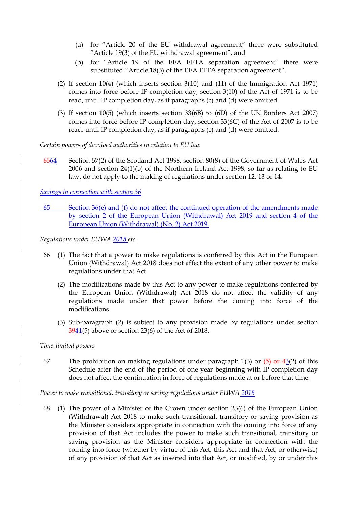- (a) for "Article 20 of the EU withdrawal agreement" there were substituted "Article 19(3) of the EU withdrawal agreement", and
- (b) for "Article 19 of the EEA EFTA separation agreement" there were substituted "Article 18(3) of the EEA EFTA separation agreement".
- (2) If section 10(4) (which inserts section 3(10) and (11) of the Immigration Act 1971) comes into force before IP completion day, section 3(10) of the Act of 1971 is to be read, until IP completion day, as if paragraphs (c) and (d) were omitted.
- (3) If section 10(5) (which inserts section 33(6B) to (6D) of the UK Borders Act 2007) comes into force before IP completion day, section 33(6C) of the Act of 2007 is to be read, until IP completion day, as if paragraphs (c) and (d) were omitted.

*Certain powers of devolved authorities in relation to EU law*

6564 Section 57(2) of the Scotland Act 1998, section 80(8) of the Government of Wales Act 2006 and section 24(1)(b) of the Northern Ireland Act 1998, so far as relating to EU law, do not apply to the making of regulations under section 12, 13 or 14.

*Savings in connection with section 36*

65 Section 36(e) and (f) do not affect the continued operation of the amendments made by section 2 of the European Union (Withdrawal) Act 2019 and section 4 of the European Union (Withdrawal) (No. 2) Act 2019.

*Regulations under EUWA 2018 etc.*

- 66 (1) The fact that a power to make regulations is conferred by this Act in the European Union (Withdrawal) Act 2018 does not affect the extent of any other power to make regulations under that Act.
	- (2) The modifications made by this Act to any power to make regulations conferred by the European Union (Withdrawal) Act 2018 do not affect the validity of any regulations made under that power before the coming into force of the modifications.
	- (3) Sub-paragraph (2) is subject to any provision made by regulations under section 3941(5) above or section 23(6) of the Act of 2018.

# *Time-limited powers*

67 The prohibition on making regulations under paragraph 1(3) or  $\overline{5}$  or 43(2) of this Schedule after the end of the period of one year beginning with IP completion day does not affect the continuation in force of regulations made at or before that time.

*Power to make transitional, transitory or saving regulations under EUWA 2018*

68 (1) The power of a Minister of the Crown under section 23(6) of the European Union (Withdrawal) Act 2018 to make such transitional, transitory or saving provision as the Minister considers appropriate in connection with the coming into force of any provision of that Act includes the power to make such transitional, transitory or saving provision as the Minister considers appropriate in connection with the coming into force (whether by virtue of this Act, this Act and that Act, or otherwise) of any provision of that Act as inserted into that Act, or modified, by or under this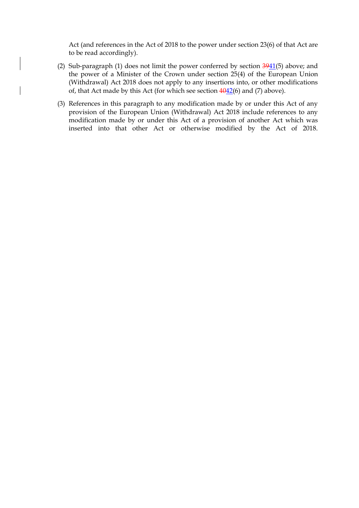Act (and references in the Act of 2018 to the power under section 23(6) of that Act are to be read accordingly).

- (2) Sub-paragraph (1) does not limit the power conferred by section  $\frac{3941}{5}$  above; and the power of a Minister of the Crown under section 25(4) of the European Union (Withdrawal) Act 2018 does not apply to any insertions into, or other modifications of, that Act made by this Act (for which see section  $4042(6)$  and (7) above).
- (3) References in this paragraph to any modification made by or under this Act of any provision of the European Union (Withdrawal) Act 2018 include references to any modification made by or under this Act of a provision of another Act which was inserted into that other Act or otherwise modified by the Act of 2018.